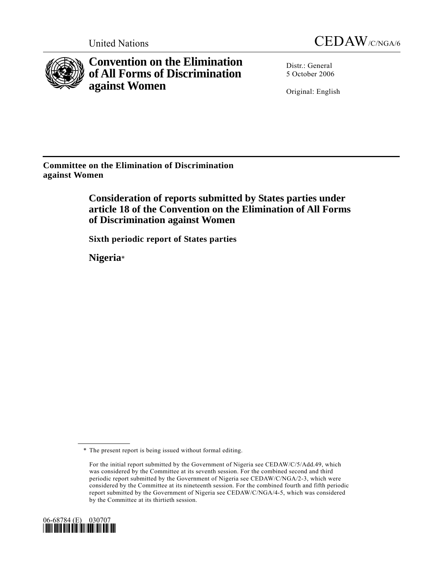



**Convention on the Elimination of All Forms of Discrimination against Women** 

Distr.: General 5 October 2006

Original: English

**Committee on the Elimination of Discrimination against Women** 

> **Consideration of reports submitted by States parties under article 18 of the Convention on the Elimination of All Forms of Discrimination against Women**

 **Sixth periodic report of States parties** 

 **Nigeria**\*

For the initial report submitted by the Government of Nigeria see CEDAW/C/5/Add.49, which was considered by the Committee at its seventh session. For the combined second and third periodic report submitted by the Government of Nigeria see CEDAW/C/NGA/2-3, which were considered by the Committee at its nineteenth session. For the combined fourth and fifth periodic report submitted by the Government of Nigeria see CEDAW/C/NGA/4-5, which was considered by the Committee at its thirtieth session.



 <sup>\*</sup> The present report is being issued without formal editing.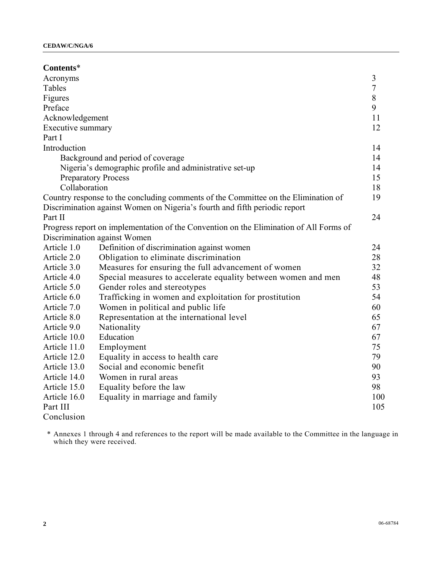| Contents*                    |                                                                                                                                                                  |                |
|------------------------------|------------------------------------------------------------------------------------------------------------------------------------------------------------------|----------------|
| Acronyms                     |                                                                                                                                                                  | 3              |
| Tables                       |                                                                                                                                                                  | $\overline{7}$ |
| Figures                      |                                                                                                                                                                  | $\,$ 8 $\,$    |
| Preface                      |                                                                                                                                                                  | 9              |
| Acknowledgement              |                                                                                                                                                                  | 11             |
| Executive summary            |                                                                                                                                                                  | 12             |
| Part I                       |                                                                                                                                                                  |                |
| Introduction                 |                                                                                                                                                                  | 14             |
|                              | Background and period of coverage                                                                                                                                | 14             |
|                              | Nigeria's demographic profile and administrative set-up                                                                                                          | 14             |
| <b>Preparatory Process</b>   |                                                                                                                                                                  | 15             |
| Collaboration                |                                                                                                                                                                  | 18             |
|                              | Country response to the concluding comments of the Committee on the Elimination of<br>Discrimination against Women on Nigeria's fourth and fifth periodic report | 19             |
| Part II                      |                                                                                                                                                                  | 24             |
|                              | Progress report on implementation of the Convention on the Elimination of All Forms of                                                                           |                |
| Discrimination against Women |                                                                                                                                                                  |                |
| Article 1.0                  | Definition of discrimination against women                                                                                                                       | 24             |
| Article 2.0                  | Obligation to eliminate discrimination                                                                                                                           | 28             |
| Article 3.0                  | Measures for ensuring the full advancement of women                                                                                                              | 32             |
| Article 4.0                  | Special measures to accelerate equality between women and men                                                                                                    | 48             |
| Article 5.0                  | Gender roles and stereotypes                                                                                                                                     | 53             |
| Article 6.0                  | Trafficking in women and exploitation for prostitution                                                                                                           | 54             |
| Article 7.0                  | Women in political and public life                                                                                                                               | 60             |
| Article 8.0                  | Representation at the international level                                                                                                                        | 65             |
| Article 9.0                  | Nationality                                                                                                                                                      | 67             |
| Article 10.0                 | Education                                                                                                                                                        | 67             |
| Article 11.0                 | Employment                                                                                                                                                       | 75             |
| Article 12.0                 | Equality in access to health care                                                                                                                                | 79             |
| Article 13.0                 | Social and economic benefit                                                                                                                                      | 90             |
| Article 14.0                 | Women in rural areas                                                                                                                                             | 93             |
| Article 15.0                 | Equality before the law                                                                                                                                          | 98             |
| Article 16.0                 | Equality in marriage and family                                                                                                                                  | 100            |
| Part III                     |                                                                                                                                                                  | 105            |
| Conclusion                   |                                                                                                                                                                  |                |

 \* Annexes 1 through 4 and references to the report will be made available to the Committee in the language in which they were received.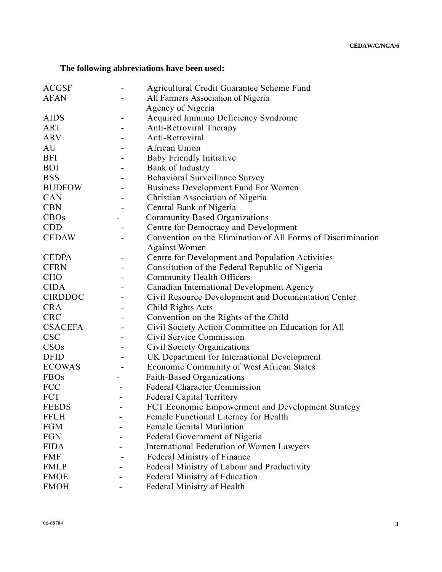# **The following abbreviations have been used:**

| <b>ACGSF</b>     | Agricultural Credit Guarantee Scheme Fund                    |
|------------------|--------------------------------------------------------------|
| <b>AFAN</b>      | All Farmers Association of Nigeria                           |
|                  | Agency of Nigeria                                            |
| <b>AIDS</b>      | Acquired Immuno Deficiency Syndrome                          |
| <b>ART</b>       | <b>Anti-Retroviral Therapy</b>                               |
| <b>ARV</b>       | Anti-Retroviral                                              |
| AU               | African Union                                                |
| <b>BFI</b>       | <b>Baby Friendly Initiative</b>                              |
| <b>BOI</b>       | Bank of Industry                                             |
| <b>BSS</b>       | Behavioral Surveillance Survey                               |
| <b>BUDFOW</b>    | <b>Business Development Fund For Women</b>                   |
| CAN              | Christian Association of Nigeria                             |
| <b>CBN</b>       | Central Bank of Nigeria                                      |
| <b>CBOs</b>      | <b>Community Based Organizations</b>                         |
| <b>CDD</b>       | Centre for Democracy and Development                         |
| <b>CEDAW</b>     | Convention on the Elimination of All Forms of Discrimination |
|                  | <b>Against Women</b>                                         |
| <b>CEDPA</b>     | Centre for Development and Population Activities             |
| <b>CFRN</b>      | Constitution of the Federal Republic of Nigeria              |
| <b>CHO</b>       | <b>Community Health Officers</b>                             |
| <b>CIDA</b>      | Canadian International Development Agency                    |
| <b>CIRDDOC</b>   | Civil Resource Development and Documentation Center          |
| <b>CRA</b>       | Child Rights Acts                                            |
| <b>CRC</b>       | Convention on the Rights of the Child                        |
| <b>CSACEFA</b>   | Civil Society Action Committee on Education for All          |
| <b>CSC</b>       | Civil Service Commission                                     |
| CSO <sub>s</sub> | Civil Society Organizations                                  |
| <b>DFID</b>      | UK Department for International Development                  |
| <b>ECOWAS</b>    | Economic Community of West African States                    |
| <b>FBOs</b>      | <b>Faith-Based Organizations</b>                             |
| <b>FCC</b>       | <b>Federal Character Commission</b>                          |
| FCT              | Federal Capital Territory                                    |
| <b>FEEDS</b>     | FCT Economic Empowerment and Development Strategy            |
| <b>FFLH</b>      | Female Functional Literacy for Health                        |
| <b>FGM</b>       | <b>Female Genital Mutilation</b>                             |
| <b>FGN</b>       | Federal Government of Nigeria                                |
| <b>FIDA</b>      | International Federation of Women Lawyers                    |
| <b>FMF</b>       | Federal Ministry of Finance                                  |
| <b>FMLP</b>      | Federal Ministry of Labour and Productivity                  |
| <b>FMOE</b>      | Federal Ministry of Education                                |
| <b>FMOH</b>      | Federal Ministry of Health                                   |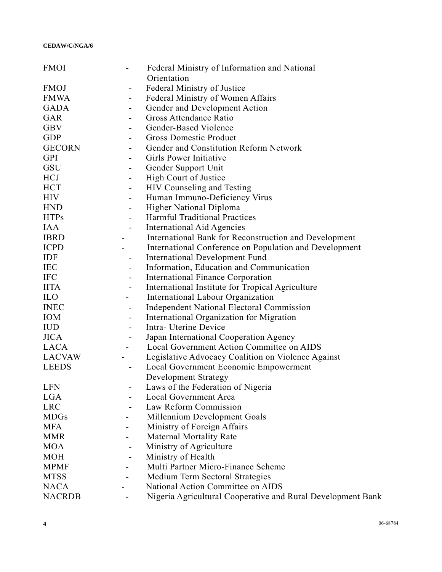| <b>FMOI</b>                                 | Federal Ministry of Information and National<br>Orientation |
|---------------------------------------------|-------------------------------------------------------------|
| <b>FMOJ</b><br>$\overline{\phantom{0}}$     | Federal Ministry of Justice                                 |
| <b>FMWA</b><br>$\overline{\phantom{0}}$     | Federal Ministry of Women Affairs                           |
| <b>GADA</b><br>$\qquad \qquad \blacksquare$ | Gender and Development Action                               |
| GAR<br>$\overline{\phantom{0}}$             | Gross Attendance Ratio                                      |
| <b>GBV</b><br>$\overline{\phantom{0}}$      | Gender-Based Violence                                       |
| <b>GDP</b><br>$\qquad \qquad \blacksquare$  | <b>Gross Domestic Product</b>                               |
| <b>GECORN</b><br>۰                          | Gender and Constitution Reform Network                      |
| <b>GPI</b>                                  | Girls Power Initiative                                      |
| GSU<br>$\overline{\phantom{a}}$             | Gender Support Unit                                         |
| <b>HCJ</b><br>$\overline{\phantom{0}}$      | High Court of Justice                                       |
| <b>HCT</b><br>$\qquad \qquad \blacksquare$  | HIV Counseling and Testing                                  |
| <b>HIV</b><br>$\frac{1}{2}$                 | Human Immuno-Deficiency Virus                               |
| <b>HND</b><br>$\qquad \qquad \blacksquare$  | Higher National Diploma                                     |
| <b>HTPs</b><br>$\overline{\phantom{0}}$     | <b>Harmful Traditional Practices</b>                        |
| <b>IAA</b><br>$\overline{a}$                | International Aid Agencies                                  |
| <b>IBRD</b>                                 | International Bank for Reconstruction and Development       |
| <b>ICPD</b>                                 | International Conference on Population and Development      |
| IDF<br>$\overline{\phantom{0}}$             | <b>International Development Fund</b>                       |
| <b>IEC</b><br>$\overline{\phantom{0}}$      | Information, Education and Communication                    |
| <b>IFC</b><br>$\overline{\phantom{0}}$      | <b>International Finance Corporation</b>                    |
| <b>IITA</b><br>$\overline{\phantom{0}}$     | International Institute for Tropical Agriculture            |
| <b>ILO</b>                                  | International Labour Organization                           |
| <b>INEC</b><br>$\overline{\phantom{a}}$     | <b>Independent National Electoral Commission</b>            |
| <b>IOM</b><br>-                             | International Organization for Migration                    |
| <b>IUD</b><br>$\overline{\phantom{0}}$      | Intra- Uterine Device                                       |
| <b>JICA</b><br>$\qquad \qquad \blacksquare$ | Japan International Cooperation Agency                      |
| <b>LACA</b><br>$\blacksquare$               | Local Government Action Committee on AIDS                   |
| <b>LACVAW</b>                               | Legislative Advocacy Coalition on Violence Against          |
| <b>LEEDS</b><br>$\overline{\phantom{0}}$    | Local Government Economic Empowerment                       |
|                                             | Development Strategy                                        |
| <b>LFN</b>                                  | Laws of the Federation of Nigeria                           |
| LGA                                         | <b>Local Government Area</b>                                |
| <b>LRC</b>                                  | Law Reform Commission                                       |
| <b>MDGs</b>                                 | Millennium Development Goals                                |
| <b>MFA</b>                                  | Ministry of Foreign Affairs                                 |
| <b>MMR</b>                                  | <b>Maternal Mortality Rate</b>                              |
| <b>MOA</b><br>$\overline{\phantom{0}}$      | Ministry of Agriculture                                     |
| <b>MOH</b>                                  | Ministry of Health                                          |
| <b>MPMF</b>                                 | Multi Partner Micro-Finance Scheme                          |
| <b>MTSS</b>                                 | Medium Term Sectoral Strategies                             |
| <b>NACA</b>                                 | National Action Committee on AIDS                           |
| <b>NACRDB</b>                               | Nigeria Agricultural Cooperative and Rural Development Bank |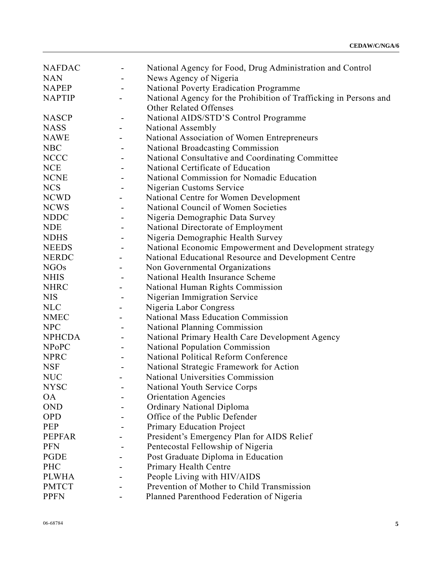| <b>NAFDAC</b> |                              | National Agency for Food, Drug Administration and Control         |
|---------------|------------------------------|-------------------------------------------------------------------|
| <b>NAN</b>    |                              | News Agency of Nigeria                                            |
| <b>NAPEP</b>  |                              | National Poverty Eradication Programme                            |
| <b>NAPTIP</b> |                              | National Agency for the Prohibition of Trafficking in Persons and |
|               |                              | Other Related Offenses                                            |
| <b>NASCP</b>  |                              | National AIDS/STD'S Control Programme                             |
| <b>NASS</b>   |                              | National Assembly                                                 |
| <b>NAWE</b>   |                              | National Association of Women Entrepreneurs                       |
| <b>NBC</b>    |                              | <b>National Broadcasting Commission</b>                           |
| <b>NCCC</b>   |                              | National Consultative and Coordinating Committee                  |
| <b>NCE</b>    |                              | National Certificate of Education                                 |
| <b>NCNE</b>   |                              | National Commission for Nomadic Education                         |
| <b>NCS</b>    |                              | Nigerian Customs Service                                          |
| <b>NCWD</b>   |                              | National Centre for Women Development                             |
| <b>NCWS</b>   |                              | National Council of Women Societies                               |
| <b>NDDC</b>   |                              | Nigeria Demographic Data Survey                                   |
| <b>NDE</b>    |                              | National Directorate of Employment                                |
| <b>NDHS</b>   |                              | Nigeria Demographic Health Survey                                 |
| <b>NEEDS</b>  |                              | National Economic Empowerment and Development strategy            |
| <b>NERDC</b>  |                              | National Educational Resource and Development Centre              |
| <b>NGOs</b>   |                              | Non Governmental Organizations                                    |
| <b>NHIS</b>   |                              | National Health Insurance Scheme                                  |
| <b>NHRC</b>   |                              | National Human Rights Commission                                  |
| <b>NIS</b>    | $\qquad \qquad \blacksquare$ | Nigerian Immigration Service                                      |
| <b>NLC</b>    |                              | Nigeria Labor Congress                                            |
| <b>NMEC</b>   |                              | <b>National Mass Education Commission</b>                         |
| <b>NPC</b>    |                              | National Planning Commission                                      |
| <b>NPHCDA</b> |                              | National Primary Health Care Development Agency                   |
| <b>NPoPC</b>  | -                            | <b>National Population Commission</b>                             |
| <b>NPRC</b>   |                              | National Political Reform Conference                              |
| <b>NSF</b>    |                              | National Strategic Framework for Action                           |
| <b>NUC</b>    |                              | National Universities Commission                                  |
| <b>NYSC</b>   |                              | National Youth Service Corps                                      |
| <b>OA</b>     |                              | <b>Orientation Agencies</b>                                       |
| <b>OND</b>    |                              | <b>Ordinary National Diploma</b>                                  |
| <b>OPD</b>    |                              | Office of the Public Defender                                     |
| PEP           |                              | <b>Primary Education Project</b>                                  |
| <b>PEPFAR</b> |                              | President's Emergency Plan for AIDS Relief                        |
| <b>PFN</b>    |                              | Pentecostal Fellowship of Nigeria                                 |
| <b>PGDE</b>   |                              | Post Graduate Diploma in Education                                |
| PHC           |                              | Primary Health Centre                                             |
| <b>PLWHA</b>  |                              | People Living with HIV/AIDS                                       |
| <b>PMTCT</b>  |                              | Prevention of Mother to Child Transmission                        |
| <b>PPFN</b>   |                              | Planned Parenthood Federation of Nigeria                          |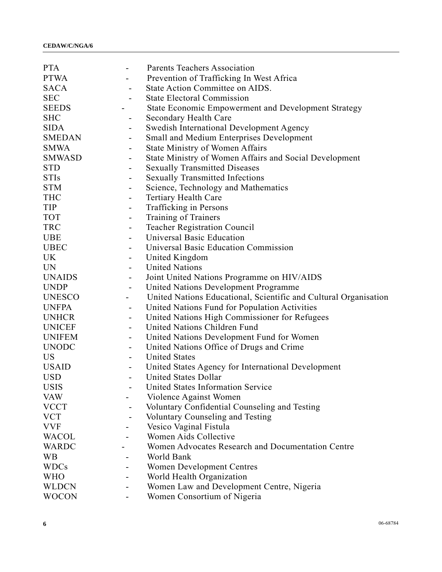| <b>PTA</b>    | $\qquad \qquad \blacksquare$ | <b>Parents Teachers Association</b>                              |
|---------------|------------------------------|------------------------------------------------------------------|
| <b>PTWA</b>   |                              | Prevention of Trafficking In West Africa                         |
| <b>SACA</b>   |                              | State Action Committee on AIDS.                                  |
| <b>SEC</b>    |                              | <b>State Electoral Commission</b>                                |
| <b>SEEDS</b>  |                              | State Economic Empowerment and Development Strategy              |
| <b>SHC</b>    |                              | Secondary Health Care                                            |
| <b>SIDA</b>   | -                            | Swedish International Development Agency                         |
| <b>SMEDAN</b> | $\qquad \qquad \blacksquare$ | Small and Medium Enterprises Development                         |
| <b>SMWA</b>   | $\overline{\phantom{a}}$     | <b>State Ministry of Women Affairs</b>                           |
| <b>SMWASD</b> |                              | State Ministry of Women Affairs and Social Development           |
| <b>STD</b>    |                              | <b>Sexually Transmitted Diseases</b>                             |
| <b>STIs</b>   | $\overline{\phantom{a}}$     | <b>Sexually Transmitted Infections</b>                           |
| <b>STM</b>    | -                            | Science, Technology and Mathematics                              |
| <b>THC</b>    | $\qquad \qquad \blacksquare$ | <b>Tertiary Health Care</b>                                      |
| <b>TIP</b>    | -                            | Trafficking in Persons                                           |
| <b>TOT</b>    | -                            | Training of Trainers                                             |
| <b>TRC</b>    |                              | <b>Teacher Registration Council</b>                              |
| <b>UBE</b>    | -                            | Universal Basic Education                                        |
| <b>UBEC</b>   | $\qquad \qquad \blacksquare$ | Universal Basic Education Commission                             |
| <b>UK</b>     | $\qquad \qquad \blacksquare$ | United Kingdom                                                   |
| <b>UN</b>     | $\qquad \qquad \blacksquare$ | <b>United Nations</b>                                            |
| <b>UNAIDS</b> | $\qquad \qquad \blacksquare$ | Joint United Nations Programme on HIV/AIDS                       |
| <b>UNDP</b>   | $\overline{\phantom{a}}$     | United Nations Development Programme                             |
| <b>UNESCO</b> |                              | United Nations Educational, Scientific and Cultural Organisation |
| <b>UNFPA</b>  | $\overline{a}$               | United Nations Fund for Population Activities                    |
| <b>UNHCR</b>  | $\qquad \qquad \blacksquare$ | United Nations High Commissioner for Refugees                    |
| <b>UNICEF</b> |                              | United Nations Children Fund                                     |
| <b>UNIFEM</b> | $\overline{\phantom{a}}$     | United Nations Development Fund for Women                        |
| <b>UNODC</b>  | $\qquad \qquad \blacksquare$ | United Nations Office of Drugs and Crime                         |
| <b>US</b>     |                              | <b>United States</b>                                             |
| <b>USAID</b>  |                              | United States Agency for International Development               |
| <b>USD</b>    |                              | <b>United States Dollar</b>                                      |
| <b>USIS</b>   |                              | United States Information Service                                |
| <b>VAW</b>    |                              | Violence Against Women                                           |
| <b>VCCT</b>   |                              | Voluntary Confidential Counseling and Testing                    |
| <b>VCT</b>    |                              | <b>Voluntary Counseling and Testing</b>                          |
| <b>VVF</b>    |                              | Vesico Vaginal Fistula                                           |
| <b>WACOL</b>  |                              | Women Aids Collective                                            |
| WARDC         |                              | Women Advocates Research and Documentation Centre                |
| <b>WB</b>     |                              | World Bank                                                       |
| <b>WDCs</b>   |                              | <b>Women Development Centres</b>                                 |
| <b>WHO</b>    |                              | World Health Organization                                        |
| <b>WLDCN</b>  |                              | Women Law and Development Centre, Nigeria                        |
| <b>WOCON</b>  | $\overline{\phantom{a}}$     | Women Consortium of Nigeria                                      |
|               |                              |                                                                  |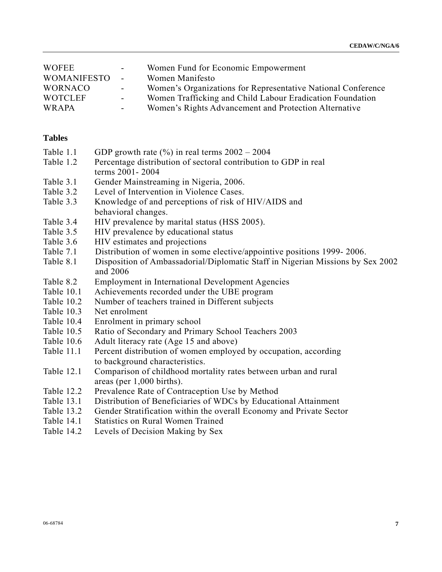| <b>WOFEE</b>       | $\sim$ 100 $\mu$ | Women Fund for Economic Empowerment                          |
|--------------------|------------------|--------------------------------------------------------------|
| <b>WOMANIFESTO</b> | $\sim$ .         | Women Manifesto                                              |
| <b>WORNACO</b>     | $\sim$ 10 $\pm$  | Women's Organizations for Representative National Conference |
| <b>WOTCLEF</b>     | $\sim 100$       | Women Trafficking and Child Labour Eradication Foundation    |
| WRAPA              | $\sim$           | Women's Rights Advancement and Protection Alternative        |

#### **Tables**

- Table 1.1 GDP growth rate  $(\% )$  in real terms  $2002 2004$
- Table 1.2 Percentage distribution of sectoral contribution to GDP in real terms 2001- 2004
- Table 3.1 Gender Mainstreaming in Nigeria, 2006.
- Table 3.2 Level of Intervention in Violence Cases.
- Table 3.3 Knowledge of and perceptions of risk of HIV/AIDS and behavioral changes.
- Table 3.4 HIV prevalence by marital status (HSS 2005).
- Table 3.5 HIV prevalence by educational status
- Table 3.6 HIV estimates and projections
- Table 7.1 Distribution of women in some elective/appointive positions 1999- 2006.
- Table 8.1 Disposition of Ambassadorial/Diplomatic Staff in Nigerian Missions by Sex 2002 and 2006
- Table 8.2 Employment in International Development Agencies
- Table 10.1 Achievements recorded under the UBE program
- Table 10.2 Number of teachers trained in Different subjects
- Table 10.3 Net enrolment
- Table 10.4 Enrolment in primary school
- Table 10.5 Ratio of Secondary and Primary School Teachers 2003
- Table 10.6 Adult literacy rate (Age 15 and above)
- Table 11.1 Percent distribution of women employed by occupation, according to background characteristics.
- Table 12.1 Comparison of childhood mortality rates between urban and rural areas (per 1,000 births).
- Table 12.2 Prevalence Rate of Contraception Use by Method
- Table 13.1 Distribution of Beneficiaries of WDCs by Educational Attainment
- Table 13.2 Gender Stratification within the overall Economy and Private Sector
- Table 14.1 Statistics on Rural Women Trained
- Table 14.2 Levels of Decision Making by Sex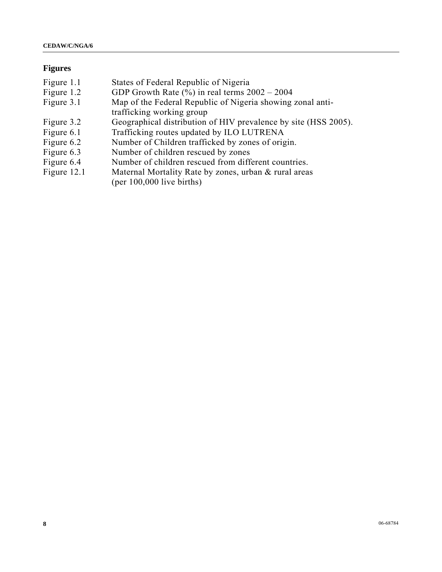# **Figures**

| Figure 1.1  | States of Federal Republic of Nigeria                           |
|-------------|-----------------------------------------------------------------|
| Figure 1.2  | GDP Growth Rate $(\% )$ in real terms $2002 - 2004$             |
| Figure 3.1  | Map of the Federal Republic of Nigeria showing zonal anti-      |
|             | trafficking working group                                       |
| Figure 3.2  | Geographical distribution of HIV prevalence by site (HSS 2005). |
| Figure 6.1  | Trafficking routes updated by ILO LUTRENA                       |
| Figure 6.2  | Number of Children trafficked by zones of origin.               |
| Figure 6.3  | Number of children rescued by zones                             |
| Figure 6.4  | Number of children rescued from different countries.            |
| Figure 12.1 | Maternal Mortality Rate by zones, urban & rural areas           |
|             | $(per 100,000$ live births)                                     |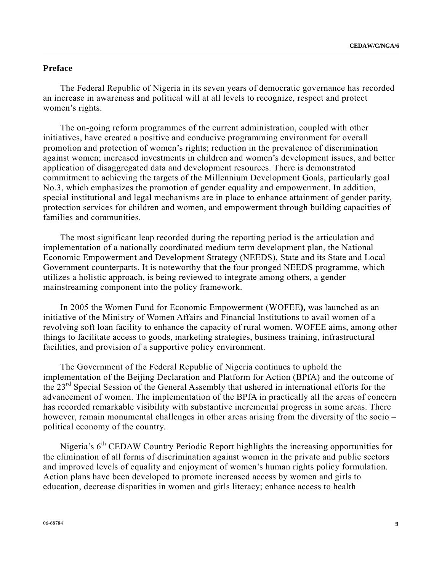## **Preface**

 The Federal Republic of Nigeria in its seven years of democratic governance has recorded an increase in awareness and political will at all levels to recognize, respect and protect women's rights.

 The on-going reform programmes of the current administration, coupled with other initiatives, have created a positive and conducive programming environment for overall promotion and protection of women's rights; reduction in the prevalence of discrimination against women; increased investments in children and women's development issues, and better application of disaggregated data and development resources. There is demonstrated commitment to achieving the targets of the Millennium Development Goals, particularly goal No.3, which emphasizes the promotion of gender equality and empowerment. In addition, special institutional and legal mechanisms are in place to enhance attainment of gender parity, protection services for children and women, and empowerment through building capacities of families and communities.

 The most significant leap recorded during the reporting period is the articulation and implementation of a nationally coordinated medium term development plan, the National Economic Empowerment and Development Strategy (NEEDS), State and its State and Local Government counterparts. It is noteworthy that the four pronged NEEDS programme, which utilizes a holistic approach, is being reviewed to integrate among others, a gender mainstreaming component into the policy framework.

 In 2005 the Women Fund for Economic Empowerment (WOFEE**),** was launched as an initiative of the Ministry of Women Affairs and Financial Institutions to avail women of a revolving soft loan facility to enhance the capacity of rural women. WOFEE aims, among other things to facilitate access to goods, marketing strategies, business training, infrastructural facilities, and provision of a supportive policy environment.

 The Government of the Federal Republic of Nigeria continues to uphold the implementation of the Beijing Declaration and Platform for Action (BPfA) and the outcome of the 23rd Special Session of the General Assembly that ushered in international efforts for the advancement of women. The implementation of the BPfA in practically all the areas of concern has recorded remarkable visibility with substantive incremental progress in some areas. There however, remain monumental challenges in other areas arising from the diversity of the socio – political economy of the country.

Nigeria's 6<sup>th</sup> CEDAW Country Periodic Report highlights the increasing opportunities for the elimination of all forms of discrimination against women in the private and public sectors and improved levels of equality and enjoyment of women's human rights policy formulation. Action plans have been developed to promote increased access by women and girls to education, decrease disparities in women and girls literacy; enhance access to health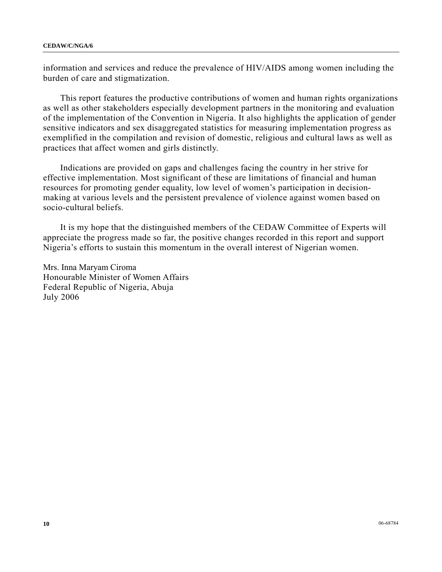information and services and reduce the prevalence of HIV/AIDS among women including the burden of care and stigmatization.

 This report features the productive contributions of women and human rights organizations as well as other stakeholders especially development partners in the monitoring and evaluation of the implementation of the Convention in Nigeria. It also highlights the application of gender sensitive indicators and sex disaggregated statistics for measuring implementation progress as exemplified in the compilation and revision of domestic, religious and cultural laws as well as practices that affect women and girls distinctly.

 Indications are provided on gaps and challenges facing the country in her strive for effective implementation. Most significant of these are limitations of financial and human resources for promoting gender equality, low level of women's participation in decisionmaking at various levels and the persistent prevalence of violence against women based on socio-cultural beliefs.

 It is my hope that the distinguished members of the CEDAW Committee of Experts will appreciate the progress made so far, the positive changes recorded in this report and support Nigeria's efforts to sustain this momentum in the overall interest of Nigerian women.

Mrs. Inna Maryam Ciroma Honourable Minister of Women Affairs Federal Republic of Nigeria, Abuja July 2006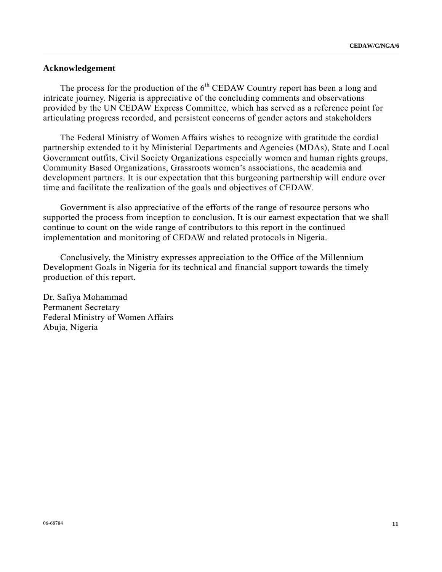#### **Acknowledgement**

The process for the production of the  $6<sup>th</sup>$  CEDAW Country report has been a long and intricate journey. Nigeria is appreciative of the concluding comments and observations provided by the UN CEDAW Express Committee, which has served as a reference point for articulating progress recorded, and persistent concerns of gender actors and stakeholders

 The Federal Ministry of Women Affairs wishes to recognize with gratitude the cordial partnership extended to it by Ministerial Departments and Agencies (MDAs), State and Local Government outfits, Civil Society Organizations especially women and human rights groups, Community Based Organizations, Grassroots women's associations, the academia and development partners. It is our expectation that this burgeoning partnership will endure over time and facilitate the realization of the goals and objectives of CEDAW.

 Government is also appreciative of the efforts of the range of resource persons who supported the process from inception to conclusion. It is our earnest expectation that we shall continue to count on the wide range of contributors to this report in the continued implementation and monitoring of CEDAW and related protocols in Nigeria.

 Conclusively, the Ministry expresses appreciation to the Office of the Millennium Development Goals in Nigeria for its technical and financial support towards the timely production of this report.

Dr. Safiya Mohammad Permanent Secretary Federal Ministry of Women Affairs Abuja, Nigeria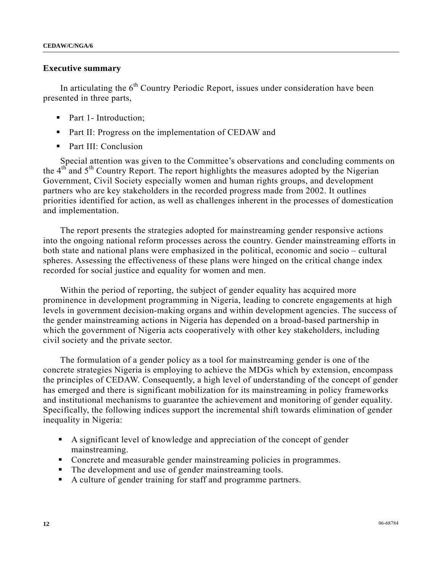#### **Executive summary**

In articulating the  $6<sup>th</sup>$  Country Periodic Report, issues under consideration have been presented in three parts,

- Part 1- Introduction;
- **Part II: Progress on the implementation of CEDAW and**
- Part III: Conclusion

 Special attention was given to the Committee's observations and concluding comments on the  $4<sup>th</sup>$  and  $5<sup>th</sup>$  Country Report. The report highlights the measures adopted by the Nigerian Government, Civil Society especially women and human rights groups, and development partners who are key stakeholders in the recorded progress made from 2002. It outlines priorities identified for action, as well as challenges inherent in the processes of domestication and implementation.

 The report presents the strategies adopted for mainstreaming gender responsive actions into the ongoing national reform processes across the country. Gender mainstreaming efforts in both state and national plans were emphasized in the political, economic and socio – cultural spheres. Assessing the effectiveness of these plans were hinged on the critical change index recorded for social justice and equality for women and men.

 Within the period of reporting, the subject of gender equality has acquired more prominence in development programming in Nigeria, leading to concrete engagements at high levels in government decision-making organs and within development agencies. The success of the gender mainstreaming actions in Nigeria has depended on a broad-based partnership in which the government of Nigeria acts cooperatively with other key stakeholders, including civil society and the private sector.

 The formulation of a gender policy as a tool for mainstreaming gender is one of the concrete strategies Nigeria is employing to achieve the MDGs which by extension, encompass the principles of CEDAW. Consequently, a high level of understanding of the concept of gender has emerged and there is significant mobilization for its mainstreaming in policy frameworks and institutional mechanisms to guarantee the achievement and monitoring of gender equality. Specifically, the following indices support the incremental shift towards elimination of gender inequality in Nigeria:

- A significant level of knowledge and appreciation of the concept of gender mainstreaming.
- Concrete and measurable gender mainstreaming policies in programmes.
- The development and use of gender mainstreaming tools.
- A culture of gender training for staff and programme partners.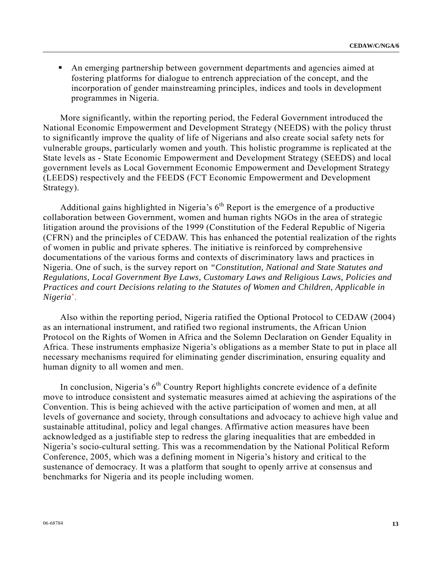An emerging partnership between government departments and agencies aimed at fostering platforms for dialogue to entrench appreciation of the concept, and the incorporation of gender mainstreaming principles, indices and tools in development programmes in Nigeria.

 More significantly, within the reporting period, the Federal Government introduced the National Economic Empowerment and Development Strategy (NEEDS) with the policy thrust to significantly improve the quality of life of Nigerians and also create social safety nets for vulnerable groups, particularly women and youth. This holistic programme is replicated at the State levels as - State Economic Empowerment and Development Strategy (SEEDS) and local government levels as Local Government Economic Empowerment and Development Strategy (LEEDS) respectively and the FEEDS (FCT Economic Empowerment and Development Strategy).

Additional gains highlighted in Nigeria's  $6<sup>th</sup>$  Report is the emergence of a productive collaboration between Government, women and human rights NGOs in the area of strategic litigation around the provisions of the 1999 (Constitution of the Federal Republic of Nigeria (CFRN) and the principles of CEDAW. This has enhanced the potential realization of the rights of women in public and private spheres. The initiative is reinforced by comprehensive documentations of the various forms and contexts of discriminatory laws and practices in Nigeria. One of such, is the survey report on *"Constitution, National and State Statutes and Regulations, Local Government Bye Laws, Customary Laws and Religious Laws, Policies and Practices and court Decisions relating to the Statutes of Women and Children, Applicable in Nigeria*'.

 Also within the reporting period, Nigeria ratified the Optional Protocol to CEDAW (2004) as an international instrument, and ratified two regional instruments, the African Union Protocol on the Rights of Women in Africa and the Solemn Declaration on Gender Equality in Africa. These instruments emphasize Nigeria's obligations as a member State to put in place all necessary mechanisms required for eliminating gender discrimination, ensuring equality and human dignity to all women and men.

In conclusion, Nigeria's  $6<sup>th</sup>$  Country Report highlights concrete evidence of a definite move to introduce consistent and systematic measures aimed at achieving the aspirations of the Convention. This is being achieved with the active participation of women and men, at all levels of governance and society, through consultations and advocacy to achieve high value and sustainable attitudinal, policy and legal changes. Affirmative action measures have been acknowledged as a justifiable step to redress the glaring inequalities that are embedded in Nigeria's socio-cultural setting. This was a recommendation by the National Political Reform Conference, 2005, which was a defining moment in Nigeria's history and critical to the sustenance of democracy. It was a platform that sought to openly arrive at consensus and benchmarks for Nigeria and its people including women.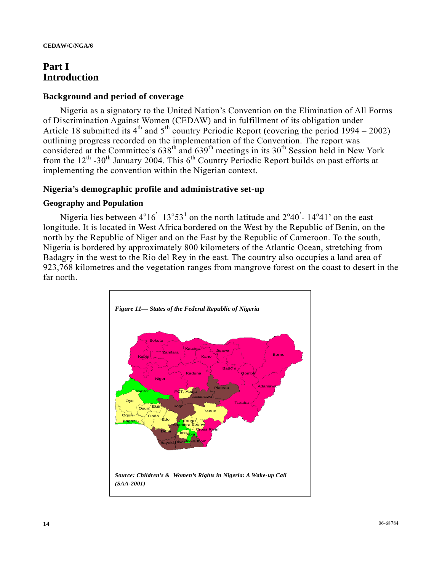# **Part I Introduction**

#### **Background and period of coverage**

 Nigeria as a signatory to the United Nation's Convention on the Elimination of All Forms of Discrimination Against Women (CEDAW) and in fulfillment of its obligation under Article 18 submitted its  $4<sup>th</sup>$  and  $5<sup>th</sup>$  country Periodic Report (covering the period 1994 – 2002) outlining progress recorded on the implementation of the Convention. The report was considered at the Committee's  $638<sup>th</sup>$  and  $639<sup>th</sup>$  meetings in its  $30<sup>th</sup>$  Session held in New York from the  $12<sup>th</sup>$  -30<sup>th</sup> January 2004. This 6<sup>th</sup> Country Periodic Report builds on past efforts at implementing the convention within the Nigerian context.

#### **Nigeria's demographic profile and administrative set-up**

#### **Geography and Population**

Nigeria lies between  $4^{\circ}16^{\circ}13^{\circ}53^{\circ}$  on the north latitude and  $2^{\circ}40^{\circ}$ -  $14^{\circ}41^{\circ}$  on the east longitude. It is located in West Africa bordered on the West by the Republic of Benin, on the north by the Republic of Niger and on the East by the Republic of Cameroon. To the south, Nigeria is bordered by approximately 800 kilometers of the Atlantic Ocean, stretching from Badagry in the west to the Rio del Rey in the east. The country also occupies a land area of 923,768 kilometres and the vegetation ranges from mangrove forest on the coast to desert in the far north.

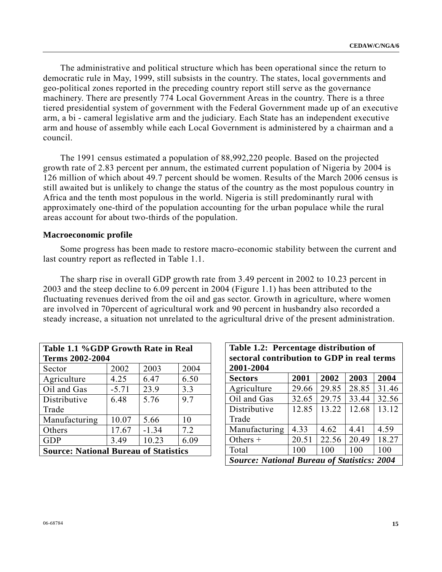The administrative and political structure which has been operational since the return to democratic rule in May, 1999, still subsists in the country. The states, local governments and geo-political zones reported in the preceding country report still serve as the governance machinery. There are presently 774 Local Government Areas in the country. There is a three tiered presidential system of government with the Federal Government made up of an executive arm, a bi - cameral legislative arm and the judiciary. Each State has an independent executive arm and house of assembly while each Local Government is administered by a chairman and a council.

 The 1991 census estimated a population of 88,992,220 people. Based on the projected growth rate of 2.83 percent per annum, the estimated current population of Nigeria by 2004 is 126 million of which about 49.7 percent should be women. Results of the March 2006 census is still awaited but is unlikely to change the status of the country as the most populous country in Africa and the tenth most populous in the world. Nigeria is still predominantly rural with approximately one-third of the population accounting for the urban populace while the rural areas account for about two-thirds of the population.

#### **Macroeconomic profile**

 Some progress has been made to restore macro-economic stability between the current and last country report as reflected in Table 1.1.

 The sharp rise in overall GDP growth rate from 3.49 percent in 2002 to 10.23 percent in 2003 and the steep decline to 6.09 percent in 2004 (Figure 1.1) has been attributed to the fluctuating revenues derived from the oil and gas sector. Growth in agriculture, where women are involved in 70percent of agricultural work and 90 percent in husbandry also recorded a steady increase, a situation not unrelated to the agricultural drive of the present administration.

| Table 1.1 %GDP Growth Rate in Real           |         |         |      |  |
|----------------------------------------------|---------|---------|------|--|
| <b>Terms 2002-2004</b>                       |         |         |      |  |
| Sector                                       | 2002    | 2003    | 2004 |  |
| Agriculture                                  | 4.25    | 6.47    | 6.50 |  |
| Oil and Gas                                  | $-5.71$ | 23.9    | 3.3  |  |
| Distributive                                 | 6.48    | 5.76    | 9.7  |  |
| Trade                                        |         |         |      |  |
| Manufacturing                                | 10.07   | 5.66    | 10   |  |
| Others                                       | 17.67   | $-1.34$ | 7.2  |  |
| <b>GDP</b>                                   | 3.49    | 10.23   | 6.09 |  |
| <b>Source: National Bureau of Statistics</b> |         |         |      |  |

| Table 1.2: Percentage distribution of<br>sectoral contribution to GDP in real terms |       |       |       |       |
|-------------------------------------------------------------------------------------|-------|-------|-------|-------|
| 2001-2004                                                                           |       |       |       |       |
| <b>Sectors</b>                                                                      | 2001  | 2002  | 2003  | 2004  |
| Agriculture                                                                         | 29.66 | 29.85 | 28.85 | 31.46 |
| Oil and Gas                                                                         | 32.65 | 29.75 | 33.44 | 32.56 |
| Distributive                                                                        | 12.85 | 13.22 | 12.68 | 13.12 |
| Trade                                                                               |       |       |       |       |
| Manufacturing                                                                       | 4.33  | 4.62  | 4.41  | 4.59  |
| Others $+$                                                                          | 20.51 | 22.56 | 20.49 | 18.27 |
| Total                                                                               | 100   | 100   | 100   | 100   |
| <b>Source: National Bureau of Statistics: 2004</b>                                  |       |       |       |       |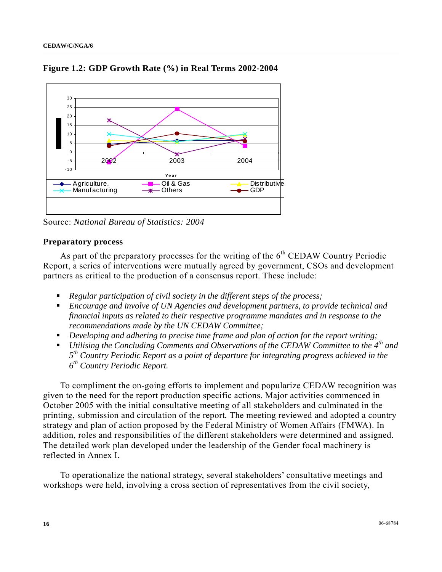

**Figure 1.2: GDP Growth Rate (%) in Real Terms 2002-2004** 

Source: *National Bureau of Statistics: 2004* 

## **Preparatory process**

As part of the preparatory processes for the writing of the  $6<sup>th</sup>$  CEDAW Country Periodic Report, a series of interventions were mutually agreed by government, CSOs and development partners as critical to the production of a consensus report. These include:

- *Regular participation of civil society in the different steps of the process;*
- *Encourage and involve of UN Agencies and development partners, to provide technical and financial inputs as related to their respective programme mandates and in response to the recommendations made by the UN CEDAW Committee;*
- *Developing and adhering to precise time frame and plan of action for the report writing;*
- *Utilising the Concluding Comments and Observations of the CEDAW Committee to the 4th and 5th Country Periodic Report as a point of departure for integrating progress achieved in the 6th Country Periodic Report.*

 To compliment the on-going efforts to implement and popularize CEDAW recognition was given to the need for the report production specific actions. Major activities commenced in October 2005 with the initial consultative meeting of all stakeholders and culminated in the printing, submission and circulation of the report*.* The meeting reviewed and adopted a country strategy and plan of action proposed by the Federal Ministry of Women Affairs (FMWA). In addition, roles and responsibilities of the different stakeholders were determined and assigned. The detailed work plan developed under the leadership of the Gender focal machinery is reflected in Annex I.

 To operationalize the national strategy, several stakeholders' consultative meetings and workshops were held, involving a cross section of representatives from the civil society,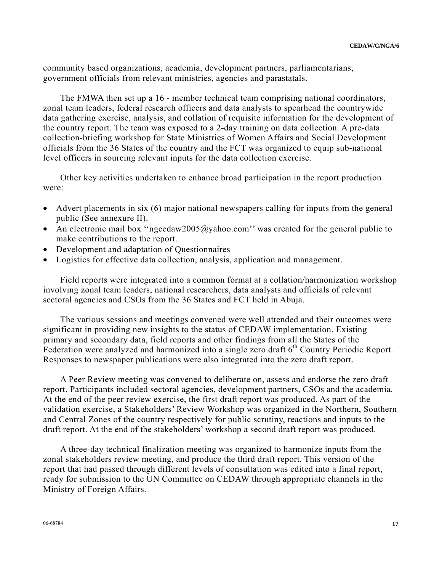community based organizations, academia, development partners, parliamentarians, government officials from relevant ministries, agencies and parastatals.

 The FMWA then set up a 16 - member technical team comprising national coordinators, zonal team leaders, federal research officers and data analysts to spearhead the countrywide data gathering exercise, analysis, and collation of requisite information for the development of the country report. The team was exposed to a 2-day training on data collection. A pre-data collection-briefing workshop for State Ministries of Women Affairs and Social Development officials from the 36 States of the country and the FCT was organized to equip sub-national level officers in sourcing relevant inputs for the data collection exercise.

 Other key activities undertaken to enhance broad participation in the report production were:

- Advert placements in six (6) major national newspapers calling for inputs from the general public (See annexure II).
- An electronic mail box "ngcedaw2005@yahoo.com" was created for the general public to make contributions to the report.
- Development and adaptation of Questionnaires
- Logistics for effective data collection, analysis, application and management.

 Field reports were integrated into a common format at a collation/harmonization workshop involving zonal team leaders, national researchers, data analysts and officials of relevant sectoral agencies and CSOs from the 36 States and FCT held in Abuja.

 The various sessions and meetings convened were well attended and their outcomes were significant in providing new insights to the status of CEDAW implementation. Existing primary and secondary data, field reports and other findings from all the States of the Federation were analyzed and harmonized into a single zero draft 6<sup>th</sup> Country Periodic Report. Responses to newspaper publications were also integrated into the zero draft report.

 A Peer Review meeting was convened to deliberate on, assess and endorse the zero draft report. Participants included sectoral agencies, development partners, CSOs and the academia. At the end of the peer review exercise, the first draft report was produced. As part of the validation exercise, a Stakeholders' Review Workshop was organized in the Northern, Southern and Central Zones of the country respectively for public scrutiny, reactions and inputs to the draft report. At the end of the stakeholders' workshop a second draft report was produced.

 A three-day technical finalization meeting was organized to harmonize inputs from the zonal stakeholders review meeting, and produce the third draft report. This version of the report that had passed through different levels of consultation was edited into a final report, ready for submission to the UN Committee on CEDAW through appropriate channels in the Ministry of Foreign Affairs.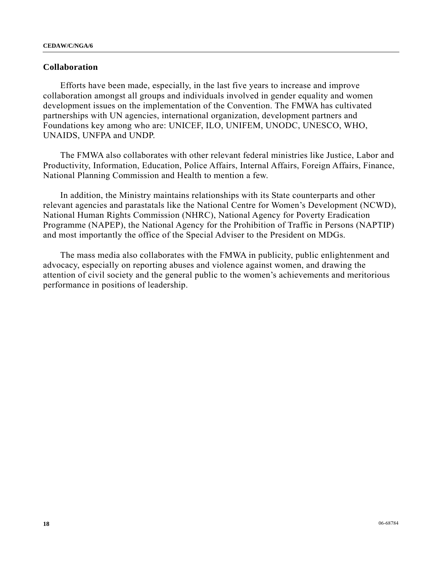#### **Collaboration**

 Efforts have been made, especially, in the last five years to increase and improve collaboration amongst all groups and individuals involved in gender equality and women development issues on the implementation of the Convention. The FMWA has cultivated partnerships with UN agencies, international organization, development partners and Foundations key among who are: UNICEF, ILO, UNIFEM, UNODC, UNESCO, WHO, UNAIDS, UNFPA and UNDP.

 The FMWA also collaborates with other relevant federal ministries like Justice, Labor and Productivity, Information, Education, Police Affairs, Internal Affairs, Foreign Affairs, Finance, National Planning Commission and Health to mention a few.

 In addition, the Ministry maintains relationships with its State counterparts and other relevant agencies and parastatals like the National Centre for Women's Development (NCWD), National Human Rights Commission (NHRC), National Agency for Poverty Eradication Programme (NAPEP), the National Agency for the Prohibition of Traffic in Persons (NAPTIP) and most importantly the office of the Special Adviser to the President on MDGs.

 The mass media also collaborates with the FMWA in publicity, public enlightenment and advocacy, especially on reporting abuses and violence against women, and drawing the attention of civil society and the general public to the women's achievements and meritorious performance in positions of leadership.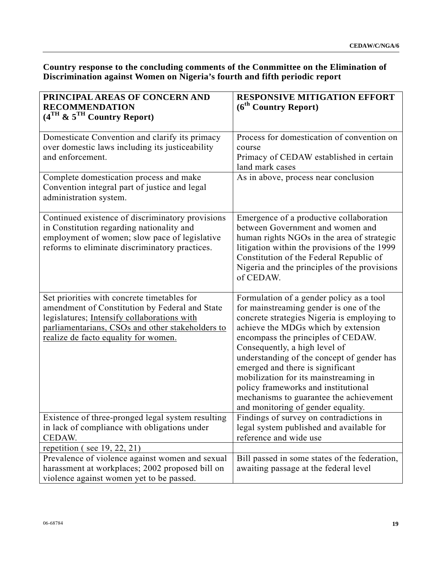## **Country response to the concluding comments of the Conmmittee on the Elimination of Discrimination against Women on Nigeria's fourth and fifth periodic report**

| PRINCIPAL AREAS OF CONCERN AND                                                                                                                                                                                                           | <b>RESPONSIVE MITIGATION EFFORT</b>                                                                                                                                                                                                                                                                                                                                                                                                                                                                |
|------------------------------------------------------------------------------------------------------------------------------------------------------------------------------------------------------------------------------------------|----------------------------------------------------------------------------------------------------------------------------------------------------------------------------------------------------------------------------------------------------------------------------------------------------------------------------------------------------------------------------------------------------------------------------------------------------------------------------------------------------|
| <b>RECOMMENDATION</b>                                                                                                                                                                                                                    | (6 <sup>th</sup> Country Report)                                                                                                                                                                                                                                                                                                                                                                                                                                                                   |
| $(4TH$ & $5TH$ Country Report)                                                                                                                                                                                                           |                                                                                                                                                                                                                                                                                                                                                                                                                                                                                                    |
| Domesticate Convention and clarify its primacy<br>over domestic laws including its justiceability<br>and enforcement.                                                                                                                    | Process for domestication of convention on<br>course<br>Primacy of CEDAW established in certain<br>land mark cases                                                                                                                                                                                                                                                                                                                                                                                 |
| Complete domestication process and make<br>Convention integral part of justice and legal<br>administration system.                                                                                                                       | As in above, process near conclusion                                                                                                                                                                                                                                                                                                                                                                                                                                                               |
| Continued existence of discriminatory provisions<br>in Constitution regarding nationality and<br>employment of women; slow pace of legislative<br>reforms to eliminate discriminatory practices.                                         | Emergence of a productive collaboration<br>between Government and women and<br>human rights NGOs in the area of strategic<br>litigation within the provisions of the 1999<br>Constitution of the Federal Republic of<br>Nigeria and the principles of the provisions<br>of CEDAW.                                                                                                                                                                                                                  |
| Set priorities with concrete timetables for<br>amendment of Constitution by Federal and State<br>legislatures; Intensify collaborations with<br>parliamentarians, CSOs and other stakeholders to<br>realize de facto equality for women. | Formulation of a gender policy as a tool<br>for mainstreaming gender is one of the<br>concrete strategies Nigeria is employing to<br>achieve the MDGs which by extension<br>encompass the principles of CEDAW.<br>Consequently, a high level of<br>understanding of the concept of gender has<br>emerged and there is significant<br>mobilization for its mainstreaming in<br>policy frameworks and institutional<br>mechanisms to guarantee the achievement<br>and monitoring of gender equality. |
| Existence of three-pronged legal system resulting<br>in lack of compliance with obligations under<br>CEDAW.                                                                                                                              | Findings of survey on contradictions in<br>legal system published and available for<br>reference and wide use                                                                                                                                                                                                                                                                                                                                                                                      |
| repetition (see $19, 22, 21$ )                                                                                                                                                                                                           |                                                                                                                                                                                                                                                                                                                                                                                                                                                                                                    |
| Prevalence of violence against women and sexual<br>harassment at workplaces; 2002 proposed bill on<br>violence against women yet to be passed.                                                                                           | Bill passed in some states of the federation,<br>awaiting passage at the federal level                                                                                                                                                                                                                                                                                                                                                                                                             |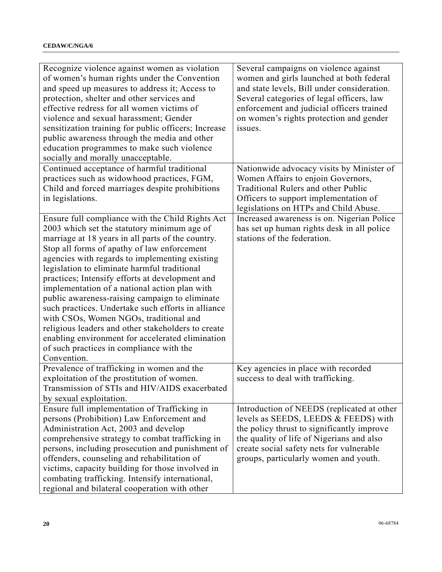| Recognize violence against women as violation<br>of women's human rights under the Convention<br>and speed up measures to address it; Access to<br>protection, shelter and other services and<br>effective redress for all women victims of<br>violence and sexual harassment; Gender<br>sensitization training for public officers; Increase<br>public awareness through the media and other<br>education programmes to make such violence<br>socially and morally unacceptable.<br>Continued acceptance of harmful traditional<br>practices such as widowhood practices, FGM,<br>Child and forced marriages despite prohibitions                                                                                               | Several campaigns on violence against<br>women and girls launched at both federal<br>and state levels, Bill under consideration.<br>Several categories of legal officers, law<br>enforcement and judicial officers trained<br>on women's rights protection and gender<br>issues.<br>Nationwide advocacy visits by Minister of<br>Women Affairs to enjoin Governors,<br>Traditional Rulers and other Public |
|----------------------------------------------------------------------------------------------------------------------------------------------------------------------------------------------------------------------------------------------------------------------------------------------------------------------------------------------------------------------------------------------------------------------------------------------------------------------------------------------------------------------------------------------------------------------------------------------------------------------------------------------------------------------------------------------------------------------------------|------------------------------------------------------------------------------------------------------------------------------------------------------------------------------------------------------------------------------------------------------------------------------------------------------------------------------------------------------------------------------------------------------------|
| in legislations.                                                                                                                                                                                                                                                                                                                                                                                                                                                                                                                                                                                                                                                                                                                 | Officers to support implementation of                                                                                                                                                                                                                                                                                                                                                                      |
| Ensure full compliance with the Child Rights Act<br>2003 which set the statutory minimum age of<br>marriage at 18 years in all parts of the country.<br>Stop all forms of apathy of law enforcement<br>agencies with regards to implementing existing<br>legislation to eliminate harmful traditional<br>practices; Intensify efforts at development and<br>implementation of a national action plan with<br>public awareness-raising campaign to eliminate<br>such practices. Undertake such efforts in alliance<br>with CSOs, Women NGOs, traditional and<br>religious leaders and other stakeholders to create<br>enabling environment for accelerated elimination<br>of such practices in compliance with the<br>Convention. | legislations on HTPs and Child Abuse.<br>Increased awareness is on. Nigerian Police<br>has set up human rights desk in all police<br>stations of the federation.                                                                                                                                                                                                                                           |
| Prevalence of trafficking in women and the<br>exploitation of the prostitution of women.<br>Transmission of STIs and HIV/AIDS exacerbated<br>by sexual exploitation.                                                                                                                                                                                                                                                                                                                                                                                                                                                                                                                                                             | Key agencies in place with recorded<br>success to deal with trafficking.                                                                                                                                                                                                                                                                                                                                   |
| Ensure full implementation of Trafficking in<br>persons (Prohibition) Law Enforcement and<br>Administration Act, 2003 and develop<br>comprehensive strategy to combat trafficking in<br>persons, including prosecution and punishment of<br>offenders, counseling and rehabilitation of<br>victims, capacity building for those involved in<br>combating trafficking. Intensify international,<br>regional and bilateral cooperation with other                                                                                                                                                                                                                                                                                  | Introduction of NEEDS (replicated at other<br>levels as SEEDS, LEEDS & FEEDS) with<br>the policy thrust to significantly improve<br>the quality of life of Nigerians and also<br>create social safety nets for vulnerable<br>groups, particularly women and youth.                                                                                                                                         |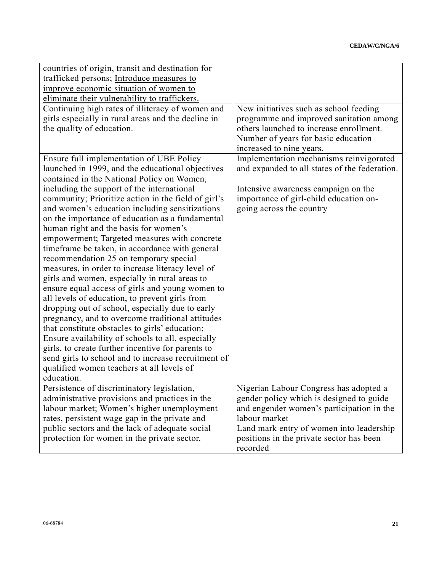| countries of origin, transit and destination for<br>trafficked persons; Introduce measures to<br>improve economic situation of women to<br>eliminate their vulnerability to traffickers.                                                                                                                                                                                                                                                                                                                                                                                                                                                                                                                                                                                                                                                                                                                                                                                                                                                                                                                                   |                                                                                                                                                                                                                                                      |
|----------------------------------------------------------------------------------------------------------------------------------------------------------------------------------------------------------------------------------------------------------------------------------------------------------------------------------------------------------------------------------------------------------------------------------------------------------------------------------------------------------------------------------------------------------------------------------------------------------------------------------------------------------------------------------------------------------------------------------------------------------------------------------------------------------------------------------------------------------------------------------------------------------------------------------------------------------------------------------------------------------------------------------------------------------------------------------------------------------------------------|------------------------------------------------------------------------------------------------------------------------------------------------------------------------------------------------------------------------------------------------------|
| Continuing high rates of illiteracy of women and<br>girls especially in rural areas and the decline in<br>the quality of education.                                                                                                                                                                                                                                                                                                                                                                                                                                                                                                                                                                                                                                                                                                                                                                                                                                                                                                                                                                                        | New initiatives such as school feeding<br>programme and improved sanitation among<br>others launched to increase enrollment.<br>Number of years for basic education<br>increased to nine years.                                                      |
| Ensure full implementation of UBE Policy<br>launched in 1999, and the educational objectives<br>contained in the National Policy on Women,<br>including the support of the international<br>community; Prioritize action in the field of girl's<br>and women's education including sensitizations<br>on the importance of education as a fundamental<br>human right and the basis for women's<br>empowerment; Targeted measures with concrete<br>timeframe be taken, in accordance with general<br>recommendation 25 on temporary special<br>measures, in order to increase literacy level of<br>girls and women, especially in rural areas to<br>ensure equal access of girls and young women to<br>all levels of education, to prevent girls from<br>dropping out of school, especially due to early<br>pregnancy, and to overcome traditional attitudes<br>that constitute obstacles to girls' education;<br>Ensure availability of schools to all, especially<br>girls, to create further incentive for parents to<br>send girls to school and to increase recruitment of<br>qualified women teachers at all levels of | Implementation mechanisms reinvigorated<br>and expanded to all states of the federation.<br>Intensive awareness campaign on the<br>importance of girl-child education on-<br>going across the country                                                |
| education.                                                                                                                                                                                                                                                                                                                                                                                                                                                                                                                                                                                                                                                                                                                                                                                                                                                                                                                                                                                                                                                                                                                 |                                                                                                                                                                                                                                                      |
| Persistence of discriminatory legislation,<br>administrative provisions and practices in the<br>labour market; Women's higher unemployment<br>rates, persistent wage gap in the private and<br>public sectors and the lack of adequate social<br>protection for women in the private sector.                                                                                                                                                                                                                                                                                                                                                                                                                                                                                                                                                                                                                                                                                                                                                                                                                               | Nigerian Labour Congress has adopted a<br>gender policy which is designed to guide<br>and engender women's participation in the<br>labour market<br>Land mark entry of women into leadership<br>positions in the private sector has been<br>recorded |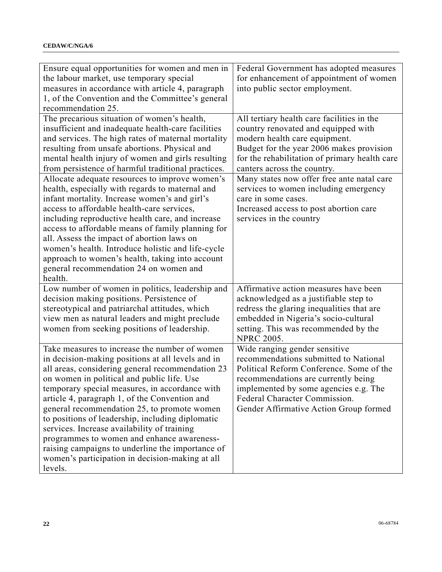| Ensure equal opportunities for women and men in<br>the labour market, use temporary special<br>measures in accordance with article 4, paragraph<br>1, of the Convention and the Committee's general<br>recommendation 25.                                                                                                                                                                                                                                                                                                                                                                                                 | Federal Government has adopted measures<br>for enhancement of appointment of women<br>into public sector employment.                                                                                                                                                          |
|---------------------------------------------------------------------------------------------------------------------------------------------------------------------------------------------------------------------------------------------------------------------------------------------------------------------------------------------------------------------------------------------------------------------------------------------------------------------------------------------------------------------------------------------------------------------------------------------------------------------------|-------------------------------------------------------------------------------------------------------------------------------------------------------------------------------------------------------------------------------------------------------------------------------|
| The precarious situation of women's health,<br>insufficient and inadequate health-care facilities<br>and services. The high rates of maternal mortality<br>resulting from unsafe abortions. Physical and<br>mental health injury of women and girls resulting<br>from persistence of harmful traditional practices.                                                                                                                                                                                                                                                                                                       | All tertiary health care facilities in the<br>country renovated and equipped with<br>modern health care equipment.<br>Budget for the year 2006 makes provision<br>for the rehabilitation of primary health care<br>canters across the country.                                |
| Allocate adequate resources to improve women's<br>health, especially with regards to maternal and<br>infant mortality. Increase women's and girl's<br>access to affordable health-care services,<br>including reproductive health care, and increase<br>access to affordable means of family planning for<br>all. Assess the impact of abortion laws on<br>women's health. Introduce holistic and life-cycle<br>approach to women's health, taking into account<br>general recommendation 24 on women and<br>health.                                                                                                      | Many states now offer free ante natal care<br>services to women including emergency<br>care in some cases.<br>Increased access to post abortion care<br>services in the country                                                                                               |
| Low number of women in politics, leadership and<br>decision making positions. Persistence of<br>stereotypical and patriarchal attitudes, which<br>view men as natural leaders and might preclude<br>women from seeking positions of leadership.                                                                                                                                                                                                                                                                                                                                                                           | Affirmative action measures have been<br>acknowledged as a justifiable step to<br>redress the glaring inequalities that are<br>embedded in Nigeria's socio-cultural<br>setting. This was recommended by the<br><b>NPRC 2005.</b>                                              |
| Take measures to increase the number of women<br>in decision-making positions at all levels and in<br>all areas, considering general recommendation 23<br>on women in political and public life. Use<br>temporary special measures, in accordance with<br>article 4, paragraph 1, of the Convention and<br>general recommendation 25, to promote women<br>to positions of leadership, including diplomatic<br>services. Increase availability of training<br>programmes to women and enhance awareness-<br>raising campaigns to underline the importance of<br>women's participation in decision-making at all<br>levels. | Wide ranging gender sensitive<br>recommendations submitted to National<br>Political Reform Conference. Some of the<br>recommendations are currently being<br>implemented by some agencies e.g. The<br>Federal Character Commission.<br>Gender Affirmative Action Group formed |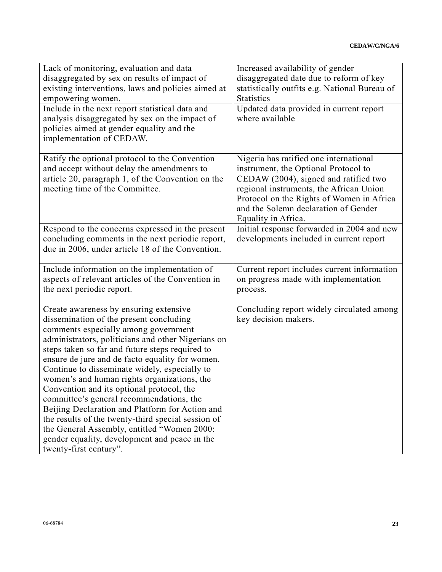| Lack of monitoring, evaluation and data<br>disaggregated by sex on results of impact of<br>existing interventions, laws and policies aimed at<br>empowering women.                                                                                                                                                                                                                                                                                                                                                                                                                                                                                                                                                | Increased availability of gender<br>disaggregated date due to reform of key<br>statistically outfits e.g. National Bureau of<br><b>Statistics</b>                                                                                                                              |
|-------------------------------------------------------------------------------------------------------------------------------------------------------------------------------------------------------------------------------------------------------------------------------------------------------------------------------------------------------------------------------------------------------------------------------------------------------------------------------------------------------------------------------------------------------------------------------------------------------------------------------------------------------------------------------------------------------------------|--------------------------------------------------------------------------------------------------------------------------------------------------------------------------------------------------------------------------------------------------------------------------------|
| Include in the next report statistical data and<br>analysis disaggregated by sex on the impact of<br>policies aimed at gender equality and the<br>implementation of CEDAW.                                                                                                                                                                                                                                                                                                                                                                                                                                                                                                                                        | Updated data provided in current report<br>where available                                                                                                                                                                                                                     |
| Ratify the optional protocol to the Convention<br>and accept without delay the amendments to<br>article 20, paragraph 1, of the Convention on the<br>meeting time of the Committee.                                                                                                                                                                                                                                                                                                                                                                                                                                                                                                                               | Nigeria has ratified one international<br>instrument, the Optional Protocol to<br>CEDAW (2004), signed and ratified two<br>regional instruments, the African Union<br>Protocol on the Rights of Women in Africa<br>and the Solemn declaration of Gender<br>Equality in Africa. |
| Respond to the concerns expressed in the present<br>concluding comments in the next periodic report,<br>due in 2006, under article 18 of the Convention.                                                                                                                                                                                                                                                                                                                                                                                                                                                                                                                                                          | Initial response forwarded in 2004 and new<br>developments included in current report                                                                                                                                                                                          |
| Include information on the implementation of<br>aspects of relevant articles of the Convention in<br>the next periodic report.                                                                                                                                                                                                                                                                                                                                                                                                                                                                                                                                                                                    | Current report includes current information<br>on progress made with implementation<br>process.                                                                                                                                                                                |
| Create awareness by ensuring extensive<br>dissemination of the present concluding<br>comments especially among government<br>administrators, politicians and other Nigerians on<br>steps taken so far and future steps required to<br>ensure de jure and de facto equality for women.<br>Continue to disseminate widely, especially to<br>women's and human rights organizations, the<br>Convention and its optional protocol, the<br>committee's general recommendations, the<br>Beijing Declaration and Platform for Action and<br>the results of the twenty-third special session of<br>the General Assembly, entitled "Women 2000:<br>gender equality, development and peace in the<br>twenty-first century". | Concluding report widely circulated among<br>key decision makers.                                                                                                                                                                                                              |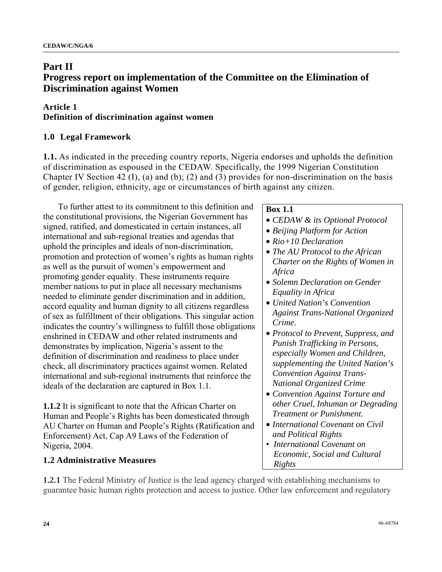# **Part II Progress report on implementation of the Committee on the Elimination of Discrimination against Women**

## **Article 1 Definition of discrimination against women**

# **1.0 Legal Framework**

**1.1.** As indicated in the preceding country reports, Nigeria endorses and upholds the definition of discrimination as espoused in the CEDAW. Specifically, the 1999 Nigerian Constitution Chapter IV Section 42 (I), (a) and (b); (2) and (3) provides for non-discrimination on the basis of gender, religion, ethnicity, age or circumstances of birth against any citizen.

 To further attest to its commitment to this definition and the constitutional provisions, the Nigerian Government has signed, ratified, and domesticated in certain instances, all international and sub-regional treaties and agendas that uphold the principles and ideals of non-discrimination, promotion and protection of women's rights as human rights as well as the pursuit of women's empowerment and promoting gender equality. These instruments require member nations to put in place all necessary mechanisms needed to eliminate gender discrimination and in addition, accord equality and human dignity to all citizens regardless of sex as fulfillment of their obligations. This singular action indicates the country's willingness to fulfill those obligations enshrined in CEDAW and other related instruments and demonstrates by implication, Nigeria's assent to the definition of discrimination and readiness to place under check, all discriminatory practices against women. Related international and sub-regional instruments that reinforce the ideals of the declaration are captured in Box 1.1.

**1.1.2** It is significant to note that the African Charter on Human and People's Rights has been domesticated through AU Charter on Human and People's Rights (Ratification and Enforcement) Act, Cap A9 Laws of the Federation of Nigeria, 2004.

## **1.2 Administrative Measures**

## **Box 1.1**

- *CEDAW & its Optional Protocol*
- *Beijing Platform for Action*
- *Rio+10 Declaration*
- *The AU Protocol to the African Charter on the Rights of Women in Africa*
- *Solemn Declaration on Gender Equality in Africa*
- *United Nation's Convention Against Trans-National Organized Crime.*
- *Protocol to Prevent, Suppress, and Punish Trafficking in Persons, especially Women and Children, supplementing the United Nation's Convention Against Trans-National Organized Crime*
- *Convention Against Torture and other Cruel, Inhuman or Degrading Treatment or Punishment.*
- *International Covenant on Civil and Political Rights*
- *International Covenant on Economic, Social and Cultural Rights*

**1.2.1** The Federal Ministry of Justice is the lead agency charged with establishing mechanisms to guarantee basic human rights protection and access to justice. Other law enforcement and regulatory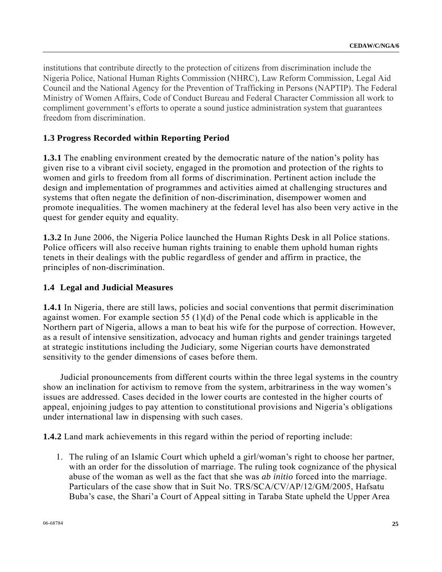institutions that contribute directly to the protection of citizens from discrimination include the Nigeria Police, National Human Rights Commission (NHRC), Law Reform Commission, Legal Aid Council and the National Agency for the Prevention of Trafficking in Persons (NAPTIP). The Federal Ministry of Women Affairs, Code of Conduct Bureau and Federal Character Commission all work to compliment government's efforts to operate a sound justice administration system that guarantees freedom from discrimination.

### **1.3 Progress Recorded within Reporting Period**

**1.3.1** The enabling environment created by the democratic nature of the nation's polity has given rise to a vibrant civil society, engaged in the promotion and protection of the rights to women and girls to freedom from all forms of discrimination. Pertinent action include the design and implementation of programmes and activities aimed at challenging structures and systems that often negate the definition of non-discrimination, disempower women and promote inequalities. The women machinery at the federal level has also been very active in the quest for gender equity and equality.

**1.3.2** In June 2006, the Nigeria Police launched the Human Rights Desk in all Police stations. Police officers will also receive human rights training to enable them uphold human rights tenets in their dealings with the public regardless of gender and affirm in practice, the principles of non-discrimination.

#### **1.4 Legal and Judicial Measures**

**1.4.1** In Nigeria, there are still laws, policies and social conventions that permit discrimination against women. For example section 55 (1)(d) of the Penal code which is applicable in the Northern part of Nigeria, allows a man to beat his wife for the purpose of correction. However, as a result of intensive sensitization, advocacy and human rights and gender trainings targeted at strategic institutions including the Judiciary, some Nigerian courts have demonstrated sensitivity to the gender dimensions of cases before them.

 Judicial pronouncements from different courts within the three legal systems in the country show an inclination for activism to remove from the system, arbitrariness in the way women's issues are addressed. Cases decided in the lower courts are contested in the higher courts of appeal, enjoining judges to pay attention to constitutional provisions and Nigeria's obligations under international law in dispensing with such cases.

**1.4.2** Land mark achievements in this regard within the period of reporting include:

1. The ruling of an Islamic Court which upheld a girl/woman's right to choose her partner, with an order for the dissolution of marriage. The ruling took cognizance of the physical abuse of the woman as well as the fact that she was *ab initio* forced into the marriage. Particulars of the case show that in Suit No. TRS/SCA/CV/AP/12/GM/2005, Hafsatu Buba's case, the Shari'a Court of Appeal sitting in Taraba State upheld the Upper Area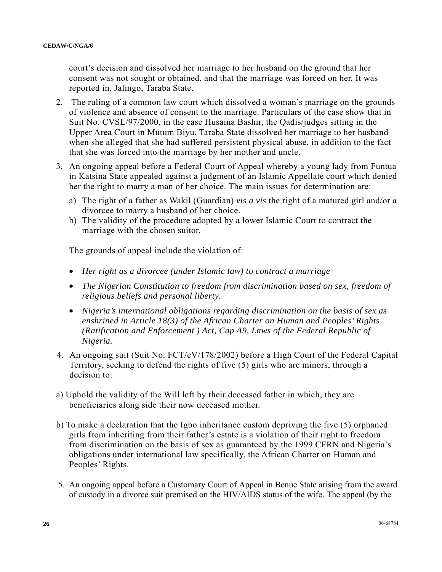court's decision and dissolved her marriage to her husband on the ground that her consent was not sought or obtained, and that the marriage was forced on her. It was reported in, Jalingo, Taraba State.

- 2. The ruling of a common law court which dissolved a woman's marriage on the grounds of violence and absence of consent to the marriage. Particulars of the case show that in Suit No. CVSL/97/2000, in the case Husaina Bashir, the Qadis/judges sitting in the Upper Area Court in Mutum Biyu, Taraba State dissolved her marriage to her husband when she alleged that she had suffered persistent physical abuse, in addition to the fact that she was forced into the marriage by her mother and uncle.
- 3. An ongoing appeal before a Federal Court of Appeal whereby a young lady from Funtua in Katsina State appealed against a judgment of an Islamic Appellate court which denied her the right to marry a man of her choice. The main issues for determination are:
	- a) The right of a father as Wakil (Guardian) *vis a vis* the right of a matured girl and/or a divorcee to marry a husband of her choice.
	- b) The validity of the procedure adopted by a lower Islamic Court to contract the marriage with the chosen suitor.

The grounds of appeal include the violation of:

- *Her right as a divorcee (under Islamic law) to contract a marriage*
- *The Nigerian Constitution to freedom from discrimination based on sex, freedom of religious beliefs and personal liberty.*
- *Nigeria's international obligations regarding discrimination on the basis of sex as enshrined in Article 18(3) of the African Charter on Human and Peoples' Rights (Ratification and Enforcement ) Act, Cap A9, Laws of the Federal Republic of Nigeria.*
- 4. An ongoing suit (Suit No. FCT/cV/178/2002) before a High Court of the Federal Capital Territory, seeking to defend the rights of five (5) girls who are minors, through a decision to:
- a) Uphold the validity of the Will left by their deceased father in which, they are beneficiaries along side their now deceased mother.
- b) To make a declaration that the Igbo inheritance custom depriving the five (5) orphaned girls from inheriting from their father's estate is a violation of their right to freedom from discrimination on the basis of sex as guaranteed by the 1999 CFRN and Nigeria's obligations under international law specifically, the African Charter on Human and Peoples' Rights.
- 5. An ongoing appeal before a Customary Court of Appeal in Benue State arising from the award of custody in a divorce suit premised on the HIV/AIDS status of the wife. The appeal (by the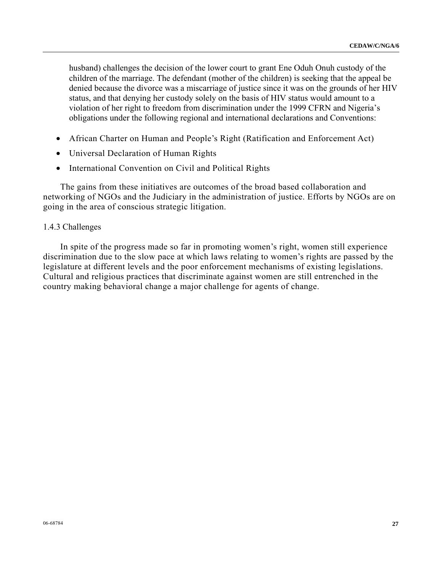husband) challenges the decision of the lower court to grant Ene Oduh Onuh custody of the children of the marriage. The defendant (mother of the children) is seeking that the appeal be denied because the divorce was a miscarriage of justice since it was on the grounds of her HIV status, and that denying her custody solely on the basis of HIV status would amount to a violation of her right to freedom from discrimination under the 1999 CFRN and Nigeria's obligations under the following regional and international declarations and Conventions:

- African Charter on Human and People's Right (Ratification and Enforcement Act)
- Universal Declaration of Human Rights
- International Convention on Civil and Political Rights

 The gains from these initiatives are outcomes of the broad based collaboration and networking of NGOs and the Judiciary in the administration of justice. Efforts by NGOs are on going in the area of conscious strategic litigation.

## 1.4.3 Challenges

 In spite of the progress made so far in promoting women's right, women still experience discrimination due to the slow pace at which laws relating to women's rights are passed by the legislature at different levels and the poor enforcement mechanisms of existing legislations. Cultural and religious practices that discriminate against women are still entrenched in the country making behavioral change a major challenge for agents of change.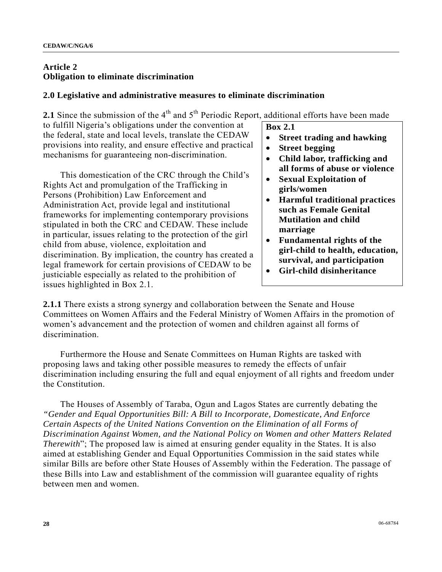## **Article 2 Obligation to eliminate discrimination**

## **2.0 Legislative and administrative measures to eliminate discrimination**

**2.1** Since the submission of the  $4<sup>th</sup>$  and  $5<sup>th</sup>$  Periodic Report, additional efforts have been made

to fulfill Nigeria's obligations under the convention at the federal, state and local levels, translate the CEDAW provisions into reality, and ensure effective and practical mechanisms for guaranteeing non-discrimination.

 This domestication of the CRC through the Child's Rights Act and promulgation of the Trafficking in Persons (Prohibition) Law Enforcement and Administration Act, provide legal and institutional frameworks for implementing contemporary provisions stipulated in both the CRC and CEDAW. These include in particular, issues relating to the protection of the girl child from abuse, violence, exploitation and discrimination. By implication, the country has created a legal framework for certain provisions of CEDAW to be justiciable especially as related to the prohibition of issues highlighted in Box 2.1.

**Box 2.1** 

- **Street trading and hawking**
- **Street begging**
- **Child labor, trafficking and all forms of abuse or violence**
- **Sexual Exploitation of girls/women**
- **Harmful traditional practices such as Female Genital Mutilation and child marriage**
- **Fundamental rights of the girl-child to health, education, survival, and participation**
- **Girl-child disinheritance**

**2.1.1** There exists a strong synergy and collaboration between the Senate and House Committees on Women Affairs and the Federal Ministry of Women Affairs in the promotion of women's advancement and the protection of women and children against all forms of discrimination.

 Furthermore the House and Senate Committees on Human Rights are tasked with proposing laws and taking other possible measures to remedy the effects of unfair discrimination including ensuring the full and equal enjoyment of all rights and freedom under the Constitution.

 The Houses of Assembly of Taraba, Ogun and Lagos States are currently debating the *"Gender and Equal Opportunities Bill: A Bill to Incorporate, Domesticate, And Enforce Certain Aspects of the United Nations Convention on the Elimination of all Forms of Discrimination Against Women, and the National Policy on Women and other Matters Related Therewith*"; The proposed law is aimed at ensuring gender equality in the States. It is also aimed at establishing Gender and Equal Opportunities Commission in the said states while similar Bills are before other State Houses of Assembly within the Federation. The passage of these Bills into Law and establishment of the commission will guarantee equality of rights between men and women.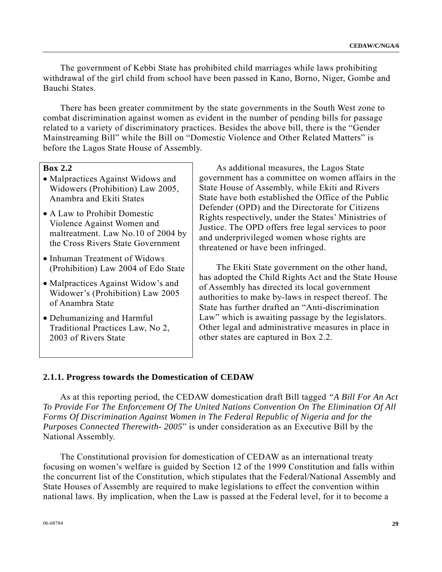The government of Kebbi State has prohibited child marriages while laws prohibiting withdrawal of the girl child from school have been passed in Kano, Borno, Niger, Gombe and Bauchi States.

 There has been greater commitment by the state governments in the South West zone to combat discrimination against women as evident in the number of pending bills for passage related to a variety of discriminatory practices. Besides the above bill, there is the "Gender Mainstreaming Bill" while the Bill on "Domestic Violence and Other Related Matters" is before the Lagos State House of Assembly.

## **Box 2.2**

- Malpractices Against Widows and Widowers (Prohibition) Law 2005, Anambra and Ekiti States
- A Law to Prohibit Domestic Violence Against Women and maltreatment. Law No.10 of 2004 by the Cross Rivers State Government
- Inhuman Treatment of Widows (Prohibition) Law 2004 of Edo State
- Malpractices Against Widow's and Widower's (Prohibition) Law 2005 of Anambra State
- Dehumanizing and Harmful Traditional Practices Law, No 2, 2003 of Rivers State

 As additional measures, the Lagos State government has a committee on women affairs in the State House of Assembly, while Ekiti and Rivers State have both established the Office of the Public Defender (OPD) and the Directorate for Citizens Rights respectively, under the States' Ministries of Justice. The OPD offers free legal services to poor and underprivileged women whose rights are threatened or have been infringed.

 The Ekiti State government on the other hand, has adopted the Child Rights Act and the State House of Assembly has directed its local government authorities to make by-laws in respect thereof. The State has further drafted an "Anti-discrimination Law" which is awaiting passage by the legislators. Other legal and administrative measures in place in other states are captured in Box 2.2.

#### **2.1.1. Progress towards the Domestication of CEDAW**

 As at this reporting period, the CEDAW domestication draft Bill tagged *"A Bill For An Act To Provide For The Enforcement Of The United Nations Convention On The Elimination Of All Forms Of Discrimination Against Women in The Federal Republic of Nigeria and for the Purposes Connected Therewith- 2005*" is under consideration as an Executive Bill by the National Assembly.

 The Constitutional provision for domestication of CEDAW as an international treaty focusing on women's welfare is guided by Section 12 of the 1999 Constitution and falls within the concurrent list of the Constitution, which stipulates that the Federal/National Assembly and State Houses of Assembly are required to make legislations to effect the convention within national laws. By implication, when the Law is passed at the Federal level, for it to become a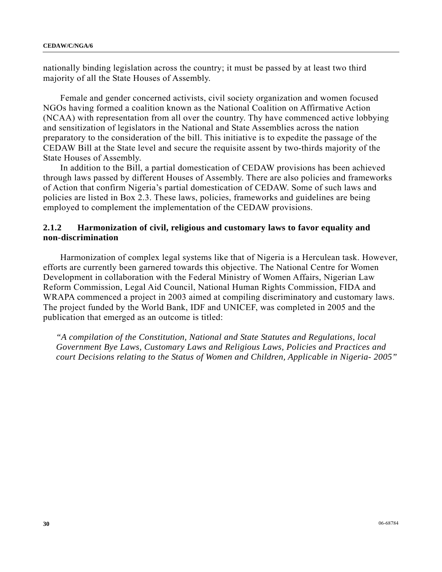nationally binding legislation across the country; it must be passed by at least two third majority of all the State Houses of Assembly.

 Female and gender concerned activists, civil society organization and women focused NGOs having formed a coalition known as the National Coalition on Affirmative Action (NCAA) with representation from all over the country. Thy have commenced active lobbying and sensitization of legislators in the National and State Assemblies across the nation preparatory to the consideration of the bill. This initiative is to expedite the passage of the CEDAW Bill at the State level and secure the requisite assent by two-thirds majority of the State Houses of Assembly.

 In addition to the Bill, a partial domestication of CEDAW provisions has been achieved through laws passed by different Houses of Assembly. There are also policies and frameworks of Action that confirm Nigeria's partial domestication of CEDAW. Some of such laws and policies are listed in Box 2.3. These laws, policies, frameworks and guidelines are being employed to complement the implementation of the CEDAW provisions.

## **2.1.2 Harmonization of civil, religious and customary laws to favor equality and non-discrimination**

 Harmonization of complex legal systems like that of Nigeria is a Herculean task. However, efforts are currently been garnered towards this objective. The National Centre for Women Development in collaboration with the Federal Ministry of Women Affairs, Nigerian Law Reform Commission, Legal Aid Council, National Human Rights Commission, FIDA and WRAPA commenced a project in 2003 aimed at compiling discriminatory and customary laws. The project funded by the World Bank, IDF and UNICEF, was completed in 2005 and the publication that emerged as an outcome is titled:

*"A compilation of the Constitution, National and State Statutes and Regulations, local Government Bye Laws, Customary Laws and Religious Laws, Policies and Practices and court Decisions relating to the Status of Women and Children, Applicable in Nigeria- 2005"*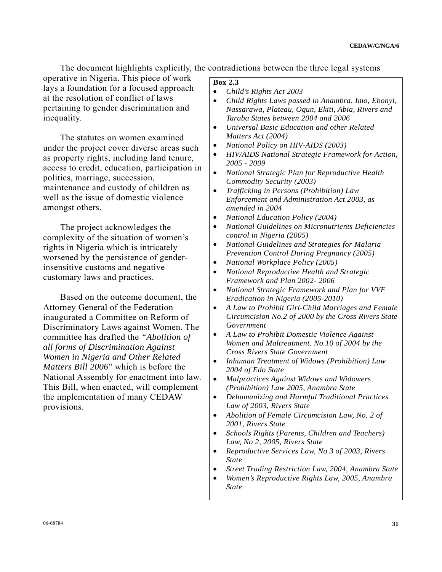The document highlights explicitly, the contradictions between the three legal systems

operative in Nigeria. This piece of work lays a foundation for a focused approach at the resolution of conflict of laws pertaining to gender discrimination and inequality.

 The statutes on women examined under the project cover diverse areas such as property rights, including land tenure, access to credit, education, participation in politics, marriage, succession, maintenance and custody of children as well as the issue of domestic violence amongst others.

 The project acknowledges the complexity of the situation of women's rights in Nigeria which is intricately worsened by the persistence of genderinsensitive customs and negative customary laws and practices.

 Based on the outcome document, the Attorney General of the Federation inaugurated a Committee on Reform of Discriminatory Laws against Women. The committee has drafted the *"Abolition of all forms of Discrimination Against Women in Nigeria and Other Related Matters Bill 2006*" which is before the National Assembly for enactment into law. This Bill, when enacted, will complement the implementation of many CEDAW provisions.

## **Box 2.3**

- *Child's Rights Act 2003*
- *Child Rights Laws passed in Anambra, Imo, Ebonyi, Nassarawa, Plateau, Ogun, Ekiti, Abia, Rivers and Taraba States between 2004 and 2006*
- *Universal Basic Education and other Related Matters Act (2004)*
- *National Policy on HIV-AIDS (2003)*
- *HIV/AIDS National Strategic Framework for Action, 2005 - 2009*
- *National Strategic Plan for Reproductive Health Commodity Security (2003)*
- *Trafficking in Persons (Prohibition) Law Enforcement and Administration Act 2003, as amended in 2004*
- *National Education Policy (2004)*
- *National Guidelines on Micronutrients Deficiencies control in Nigeria (2005)*
- *National Guidelines and Strategies for Malaria Prevention Control During Pregnancy (2005)*
- *National Workplace Policy (2005)*
- *National Reproductive Health and Strategic Framework and Plan 2002- 2006*
- *National Strategic Framework and Plan for VVF Eradication in Nigeria (2005-2010)*
- *A Law to Prohibit Girl-Child Marriages and Female Circumcision No.2 of 2000 by the Cross Rivers State Government*
- *A Law to Prohibit Domestic Violence Against Women and Maltreatment. No.10 of 2004 by the Cross Rivers State Government*
- *Inhuman Treatment of Widows (Prohibition) Law 2004 of Edo State*
- *Malpractices Against Widows and Widowers (Prohibition) Law 2005, Anambra State*
- *Dehumanizing and Harmful Traditional Practices Law of 2003, Rivers State*
- *Abolition of Female Circumcision Law, No. 2 of 2001, Rivers State*
- *Schools Rights (Parents, Children and Teachers) Law, No 2, 2005, Rivers State*
- *Reproductive Services Law, No 3 of 2003, Rivers State*
- *Street Trading Restriction Law, 2004, Anambra State*
- *Women's Reproductive Rights Law, 2005, Anambra State*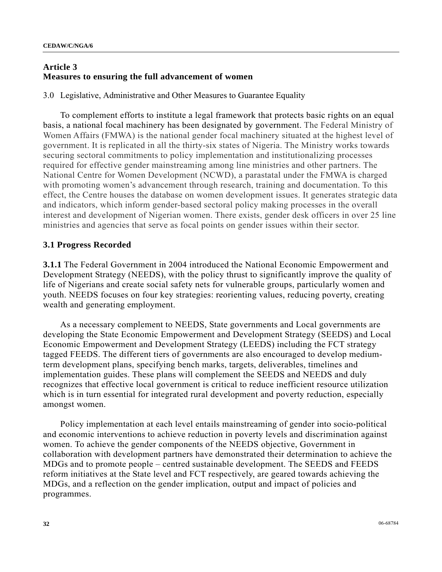#### **Article 3 Measures to ensuring the full advancement of women**

3.0 Legislative, Administrative and Other Measures to Guarantee Equality

 To complement efforts to institute a legal framework that protects basic rights on an equal basis, a national focal machinery has been designated by government. The Federal Ministry of Women Affairs (FMWA) is the national gender focal machinery situated at the highest level of government. It is replicated in all the thirty-six states of Nigeria. The Ministry works towards securing sectoral commitments to policy implementation and institutionalizing processes required for effective gender mainstreaming among line ministries and other partners. The National Centre for Women Development (NCWD), a parastatal under the FMWA is charged with promoting women's advancement through research, training and documentation. To this effect, the Centre houses the database on women development issues. It generates strategic data and indicators, which inform gender-based sectoral policy making processes in the overall interest and development of Nigerian women. There exists, gender desk officers in over 25 line ministries and agencies that serve as focal points on gender issues within their sector.

#### **3.1 Progress Recorded**

**3.1.1** The Federal Government in 2004 introduced the National Economic Empowerment and Development Strategy (NEEDS), with the policy thrust to significantly improve the quality of life of Nigerians and create social safety nets for vulnerable groups, particularly women and youth. NEEDS focuses on four key strategies: reorienting values, reducing poverty, creating wealth and generating employment.

 As a necessary complement to NEEDS, State governments and Local governments are developing the State Economic Empowerment and Development Strategy (SEEDS) and Local Economic Empowerment and Development Strategy (LEEDS) including the FCT strategy tagged FEEDS. The different tiers of governments are also encouraged to develop mediumterm development plans, specifying bench marks, targets, deliverables, timelines and implementation guides. These plans will complement the SEEDS and NEEDS and duly recognizes that effective local government is critical to reduce inefficient resource utilization which is in turn essential for integrated rural development and poverty reduction, especially amongst women.

 Policy implementation at each level entails mainstreaming of gender into socio-political and economic interventions to achieve reduction in poverty levels and discrimination against women. To achieve the gender components of the NEEDS objective, Government in collaboration with development partners have demonstrated their determination to achieve the MDGs and to promote people – centred sustainable development. The SEEDS and FEEDS reform initiatives at the State level and FCT respectively, are geared towards achieving the MDGs, and a reflection on the gender implication, output and impact of policies and programmes.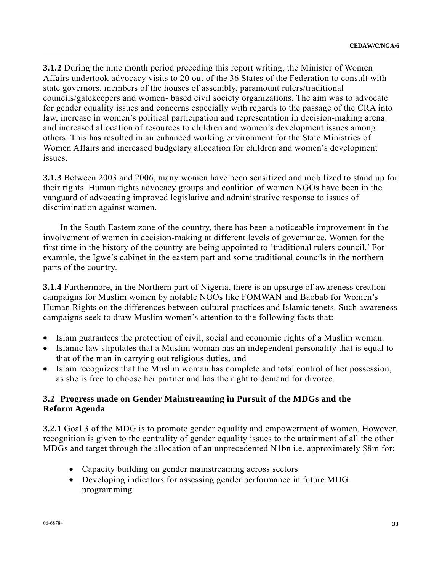**3.1.2** During the nine month period preceding this report writing, the Minister of Women Affairs undertook advocacy visits to 20 out of the 36 States of the Federation to consult with state governors, members of the houses of assembly, paramount rulers/traditional councils/gatekeepers and women- based civil society organizations. The aim was to advocate for gender equality issues and concerns especially with regards to the passage of the CRA into law, increase in women's political participation and representation in decision-making arena and increased allocation of resources to children and women's development issues among others. This has resulted in an enhanced working environment for the State Ministries of Women Affairs and increased budgetary allocation for children and women's development issues.

**3.1.3** Between 2003 and 2006, many women have been sensitized and mobilized to stand up for their rights. Human rights advocacy groups and coalition of women NGOs have been in the vanguard of advocating improved legislative and administrative response to issues of discrimination against women.

 In the South Eastern zone of the country, there has been a noticeable improvement in the involvement of women in decision-making at different levels of governance. Women for the first time in the history of the country are being appointed to 'traditional rulers council.' For example, the Igwe's cabinet in the eastern part and some traditional councils in the northern parts of the country.

**3.1.4** Furthermore, in the Northern part of Nigeria, there is an upsurge of awareness creation campaigns for Muslim women by notable NGOs like FOMWAN and Baobab for Women's Human Rights on the differences between cultural practices and Islamic tenets. Such awareness campaigns seek to draw Muslim women's attention to the following facts that:

- Islam guarantees the protection of civil, social and economic rights of a Muslim woman.
- Islamic law stipulates that a Muslim woman has an independent personality that is equal to that of the man in carrying out religious duties, and
- Islam recognizes that the Muslim woman has complete and total control of her possession, as she is free to choose her partner and has the right to demand for divorce.

## **3.2 Progress made on Gender Mainstreaming in Pursuit of the MDGs and the Reform Agenda**

**3.2.1** Goal 3 of the MDG is to promote gender equality and empowerment of women. However, recognition is given to the centrality of gender equality issues to the attainment of all the other MDGs and target through the allocation of an unprecedented N1bn i.e. approximately \$8m for:

- Capacity building on gender mainstreaming across sectors
- Developing indicators for assessing gender performance in future MDG programming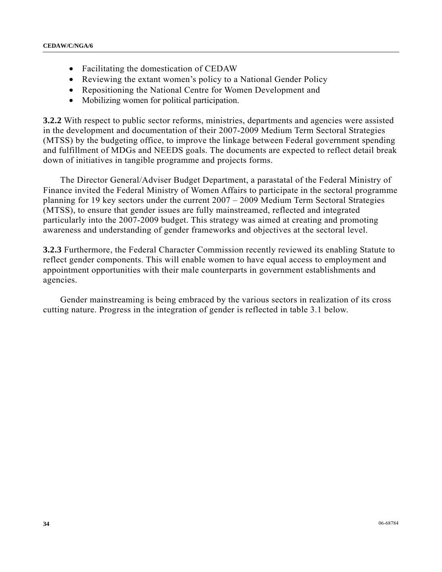- Facilitating the domestication of CEDAW
- Reviewing the extant women's policy to a National Gender Policy
- Repositioning the National Centre for Women Development and
- Mobilizing women for political participation.

**3.2.2** With respect to public sector reforms, ministries, departments and agencies were assisted in the development and documentation of their 2007-2009 Medium Term Sectoral Strategies (MTSS) by the budgeting office, to improve the linkage between Federal government spending and fulfillment of MDGs and NEEDS goals. The documents are expected to reflect detail break down of initiatives in tangible programme and projects forms.

 The Director General/Adviser Budget Department, a parastatal of the Federal Ministry of Finance invited the Federal Ministry of Women Affairs to participate in the sectoral programme planning for 19 key sectors under the current 2007 – 2009 Medium Term Sectoral Strategies (MTSS), to ensure that gender issues are fully mainstreamed, reflected and integrated particularly into the 2007-2009 budget. This strategy was aimed at creating and promoting awareness and understanding of gender frameworks and objectives at the sectoral level.

**3.2.3** Furthermore, the Federal Character Commission recently reviewed its enabling Statute to reflect gender components. This will enable women to have equal access to employment and appointment opportunities with their male counterparts in government establishments and agencies.

 Gender mainstreaming is being embraced by the various sectors in realization of its cross cutting nature. Progress in the integration of gender is reflected in table 3.1 below.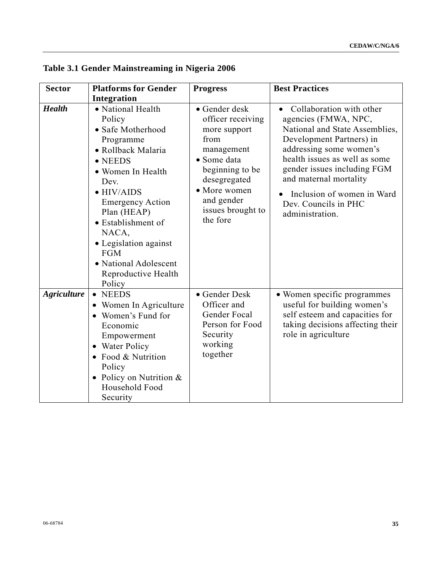| <b>Sector</b>      | <b>Platforms for Gender</b>                                                                                                                                                                                                                                                                                                         | <b>Progress</b>                                                                                                                                                                           | <b>Best Practices</b>                                                                                                                                                                                                                                                                                        |
|--------------------|-------------------------------------------------------------------------------------------------------------------------------------------------------------------------------------------------------------------------------------------------------------------------------------------------------------------------------------|-------------------------------------------------------------------------------------------------------------------------------------------------------------------------------------------|--------------------------------------------------------------------------------------------------------------------------------------------------------------------------------------------------------------------------------------------------------------------------------------------------------------|
|                    | Integration                                                                                                                                                                                                                                                                                                                         |                                                                                                                                                                                           |                                                                                                                                                                                                                                                                                                              |
| <b>Health</b>      | • National Health<br>Policy<br>• Safe Motherhood<br>Programme<br>• Rollback Malaria<br>$\bullet$ NEEDS<br>• Women In Health<br>Dev.<br>$\bullet$ HIV/AIDS<br><b>Emergency Action</b><br>Plan (HEAP)<br>• Establishment of<br>NACA,<br>• Legislation against<br><b>FGM</b><br>• National Adolescent<br>Reproductive Health<br>Policy | • Gender desk<br>officer receiving<br>more support<br>from<br>management<br>• Some data<br>beginning to be<br>desegregated<br>• More women<br>and gender<br>issues brought to<br>the fore | Collaboration with other<br>agencies (FMWA, NPC,<br>National and State Assemblies,<br>Development Partners) in<br>addressing some women's<br>health issues as well as some<br>gender issues including FGM<br>and maternal mortality<br>Inclusion of women in Ward<br>Dev. Councils in PHC<br>administration. |
| <b>Agriculture</b> | <b>NEEDS</b><br>$\bullet$<br>Women In Agriculture<br>$\bullet$<br>Women's Fund for<br>$\bullet$<br>Economic<br>Empowerment<br>• Water Policy<br>Food & Nutrition<br>$\bullet$<br>Policy<br>• Policy on Nutrition &<br>Household Food<br>Security                                                                                    | • Gender Desk<br>Officer and<br>Gender Focal<br>Person for Food<br>Security<br>working<br>together                                                                                        | • Women specific programmes<br>useful for building women's<br>self esteem and capacities for<br>taking decisions affecting their<br>role in agriculture                                                                                                                                                      |

**Table 3.1 Gender Mainstreaming in Nigeria 2006**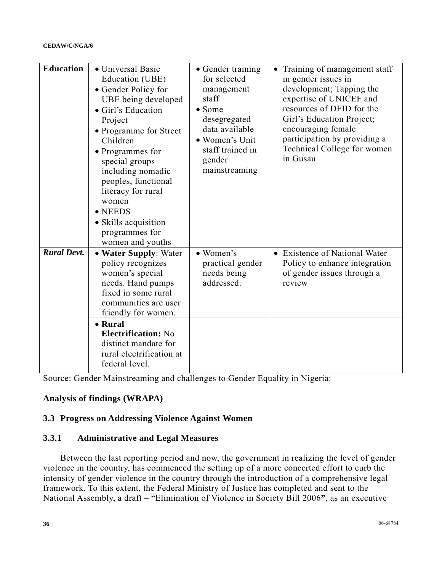| <b>Education</b>   | • Universal Basic<br>Education (UBE)<br>• Gender Policy for<br>UBE being developed<br>• Girl's Education<br>Project<br>• Programme for Street<br>Children<br>• Programmes for<br>special groups<br>including nomadic<br>peoples, functional<br>literacy for rural<br>women<br>$\bullet$ NEEDS<br>• Skills acquisition<br>programmes for<br>women and youths | • Gender training<br>for selected<br>management<br>staff<br>$\bullet$ Some<br>desegregated<br>data available<br>• Women's Unit<br>staff trained in<br>gender<br>mainstreaming | Training of management staff<br>in gender issues in<br>development; Tapping the<br>expertise of UNICEF and<br>resources of DFID for the<br>Girl's Education Project;<br>encouraging female<br>participation by providing a<br>Technical College for women<br>in Gusau |
|--------------------|-------------------------------------------------------------------------------------------------------------------------------------------------------------------------------------------------------------------------------------------------------------------------------------------------------------------------------------------------------------|-------------------------------------------------------------------------------------------------------------------------------------------------------------------------------|-----------------------------------------------------------------------------------------------------------------------------------------------------------------------------------------------------------------------------------------------------------------------|
| <b>Rural Devt.</b> | • Water Supply: Water<br>policy recognizes<br>women's special<br>needs. Hand pumps<br>fixed in some rural<br>communities are user<br>friendly for women.<br>• Rural<br><b>Electrification:</b> No<br>distinct mandate for<br>rural electrification at<br>federal level.                                                                                     | • Women's<br>practical gender<br>needs being<br>addressed.                                                                                                                    | • Existence of National Water<br>Policy to enhance integration<br>of gender issues through a<br>review                                                                                                                                                                |

Source: Gender Mainstreaming and challenges to Gender Equality in Nigeria:

## **Analysis of findings (WRAPA)**

## **3.3 Progress on Addressing Violence Against Women**

## **3.3.1 Administrative and Legal Measures**

 Between the last reporting period and now, the government in realizing the level of gender violence in the country, has commenced the setting up of a more concerted effort to curb the intensity of gender violence in the country through the introduction of a comprehensive legal framework. To this extent, the Federal Ministry of Justice has completed and sent to the National Assembly, a draft – "Elimination of Violence in Society Bill 2006**"**, as an executive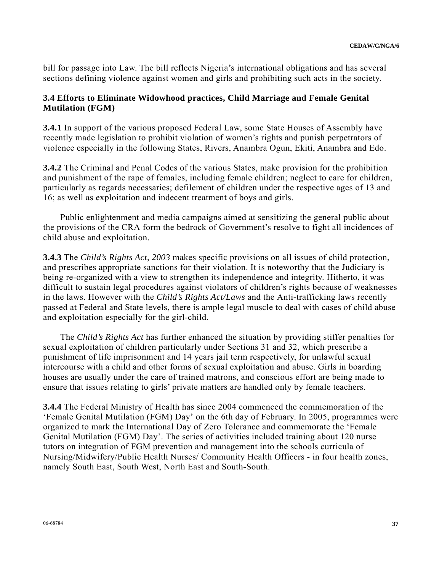bill for passage into Law. The bill reflects Nigeria's international obligations and has several sections defining violence against women and girls and prohibiting such acts in the society.

## **3.4 Efforts to Eliminate Widowhood practices, Child Marriage and Female Genital Mutilation (FGM)**

**3.4.1** In support of the various proposed Federal Law, some State Houses of Assembly have recently made legislation to prohibit violation of women's rights and punish perpetrators of violence especially in the following States, Rivers, Anambra Ogun, Ekiti, Anambra and Edo.

**3.4.2** The Criminal and Penal Codes of the various States, make provision for the prohibition and punishment of the rape of females, including female children; neglect to care for children, particularly as regards necessaries; defilement of children under the respective ages of 13 and 16; as well as exploitation and indecent treatment of boys and girls.

 Public enlightenment and media campaigns aimed at sensitizing the general public about the provisions of the CRA form the bedrock of Government's resolve to fight all incidences of child abuse and exploitation.

**3.4.3** The *Child's Rights Act, 2003* makes specific provisions on all issues of child protection, and prescribes appropriate sanctions for their violation. It is noteworthy that the Judiciary is being re-organized with a view to strengthen its independence and integrity. Hitherto, it was difficult to sustain legal procedures against violators of children's rights because of weaknesses in the laws. However with the *Child's Rights Act/Laws* and the Anti-trafficking laws recently passed at Federal and State levels, there is ample legal muscle to deal with cases of child abuse and exploitation especially for the girl-child.

 The *Child's Rights Act* has further enhanced the situation by providing stiffer penalties for sexual exploitation of children particularly under Sections 31 and 32, which prescribe a punishment of life imprisonment and 14 years jail term respectively, for unlawful sexual intercourse with a child and other forms of sexual exploitation and abuse. Girls in boarding houses are usually under the care of trained matrons, and conscious effort are being made to ensure that issues relating to girls' private matters are handled only by female teachers.

**3.4.4** The Federal Ministry of Health has since 2004 commenced the commemoration of the 'Female Genital Mutilation (FGM) Day' on the 6th day of February. In 2005, programmes were organized to mark the International Day of Zero Tolerance and commemorate the 'Female Genital Mutilation (FGM) Day'. The series of activities included training about 120 nurse tutors on integration of FGM prevention and management into the schools curricula of Nursing/Midwifery/Public Health Nurses/ Community Health Officers - in four health zones, namely South East, South West, North East and South-South.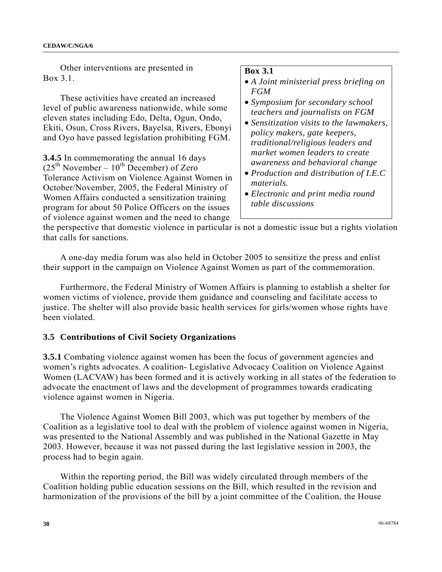Other interventions are presented in Box 3.1.

 These activities have created an increased level of public awareness nationwide, while some eleven states including Edo, Delta, Ogun, Ondo, Ekiti, Osun, Cross Rivers, Bayelsa, Rivers, Ebonyi and Oyo have passed legislation prohibiting FGM.

**3.4.5** In commemorating the annual 16 days  $(25<sup>th</sup> November - 10<sup>th</sup> December) of Zero$ Tolerance Activism on Violence Against Women in October/November, 2005, the Federal Ministry of Women Affairs conducted a sensitization training program for about 50 Police Officers on the issues of violence against women and the need to change

#### **Box 3.1**

- *A Joint ministerial press briefing on FGM*
- *Symposium for secondary school teachers and journalists on FGM*
- *Sensitization visits to the lawmakers, policy makers, gate keepers, traditional/religious leaders and market women leaders to create awareness and behavioral change*
- *Production and distribution of I.E.C materials.*
- *Electronic and print media round table discussions*

the perspective that domestic violence in particular is not a domestic issue but a rights violation that calls for sanctions.

 A one-day media forum was also held in October 2005 to sensitize the press and enlist their support in the campaign on Violence Against Women as part of the commemoration.

 Furthermore, the Federal Ministry of Women Affairs is planning to establish a shelter for women victims of violence, provide them guidance and counseling and facilitate access to justice. The shelter will also provide basic health services for girls/women whose rights have been violated.

## **3.5 Contributions of Civil Society Organizations**

**3.5.1** Combating violence against women has been the focus of government agencies and women's rights advocates. A coalition- Legislative Advocacy Coalition on Violence Against Women (LACVAW) has been formed and it is actively working in all states of the federation to advocate the enactment of laws and the development of programmes towards eradicating violence against women in Nigeria.

 The Violence Against Women Bill 2003, which was put together by members of the Coalition as a legislative tool to deal with the problem of violence against women in Nigeria, was presented to the National Assembly and was published in the National Gazette in May 2003. However, because it was not passed during the last legislative session in 2003, the process had to begin again.

 Within the reporting period, the Bill was widely circulated through members of the Coalition holding public education sessions on the Bill, which resulted in the revision and harmonization of the provisions of the bill by a joint committee of the Coalition, the House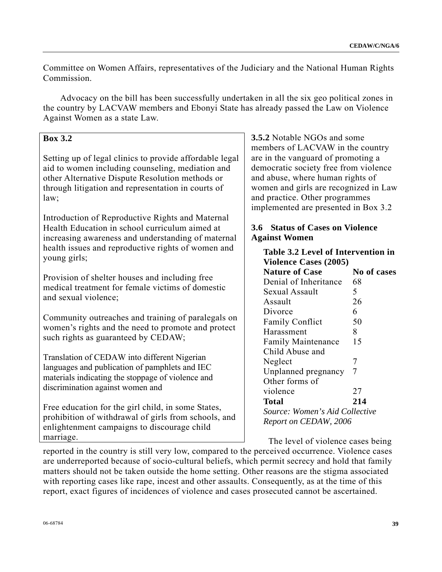Committee on Women Affairs, representatives of the Judiciary and the National Human Rights Commission.

 Advocacy on the bill has been successfully undertaken in all the six geo political zones in the country by LACVAW members and Ebonyi State has already passed the Law on Violence Against Women as a state Law.

# **Box 3.2**

Setting up of legal clinics to provide affordable legal aid to women including counseling, mediation and other Alternative Dispute Resolution methods or through litigation and representation in courts of law;

Introduction of Reproductive Rights and Maternal Health Education in school curriculum aimed at increasing awareness and understanding of maternal health issues and reproductive rights of women and young girls;

Provision of shelter houses and including free medical treatment for female victims of domestic and sexual violence;

Community outreaches and training of paralegals on women's rights and the need to promote and protect such rights as guaranteed by CEDAW;

Translation of CEDAW into different Nigerian languages and publication of pamphlets and IEC materials indicating the stoppage of violence and discrimination against women and

Free education for the girl child, in some States, prohibition of withdrawal of girls from schools, and enlightenment campaigns to discourage child marriage.

**3.5.2** Notable NGOs and some members of LACVAW in the country are in the vanguard of promoting a democratic society free from violence and abuse, where human rights of women and girls are recognized in Law and practice. Other programmes implemented are presented in Box 3.2

# **3.6 Status of Cases on Violence Against Women**

| <b>Table 3.2 Level of Intervention in</b> |                    |  |  |  |  |  |
|-------------------------------------------|--------------------|--|--|--|--|--|
| <b>Violence Cases (2005)</b>              |                    |  |  |  |  |  |
| <b>Nature of Case</b>                     | <b>No of cases</b> |  |  |  |  |  |
| Denial of Inheritance                     | 68                 |  |  |  |  |  |
| Sexual Assault                            | 5                  |  |  |  |  |  |
| Assault                                   | 26                 |  |  |  |  |  |
| Divorce                                   | 6                  |  |  |  |  |  |
| <b>Family Conflict</b>                    | 50                 |  |  |  |  |  |
| Harassment                                | 8                  |  |  |  |  |  |
| <b>Family Maintenance</b>                 | 15                 |  |  |  |  |  |
| Child Abuse and                           |                    |  |  |  |  |  |
| Neglect                                   | 7                  |  |  |  |  |  |
| Unplanned pregnancy                       | 7                  |  |  |  |  |  |
| Other forms of                            |                    |  |  |  |  |  |
| violence                                  | 27                 |  |  |  |  |  |
| Total                                     | 214                |  |  |  |  |  |
| Source: Women's Aid Collective            |                    |  |  |  |  |  |
| Report on CEDAW, 2006                     |                    |  |  |  |  |  |

The level of violence cases being

reported in the country is still very low, compared to the perceived occurrence. Violence cases are underreported because of socio-cultural beliefs, which permit secrecy and hold that family matters should not be taken outside the home setting. Other reasons are the stigma associated with reporting cases like rape, incest and other assaults. Consequently, as at the time of this report, exact figures of incidences of violence and cases prosecuted cannot be ascertained.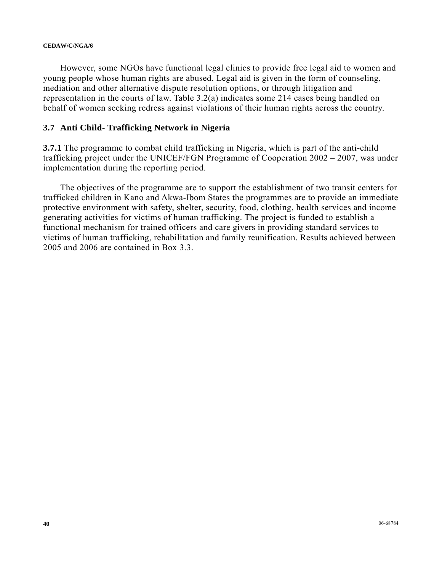However, some NGOs have functional legal clinics to provide free legal aid to women and young people whose human rights are abused. Legal aid is given in the form of counseling, mediation and other alternative dispute resolution options, or through litigation and representation in the courts of law. Table 3.2(a) indicates some 214 cases being handled on behalf of women seeking redress against violations of their human rights across the country.

## **3.7 Anti Child- Trafficking Network in Nigeria**

**3.7.1** The programme to combat child trafficking in Nigeria, which is part of the anti-child trafficking project under the UNICEF/FGN Programme of Cooperation 2002 – 2007, was under implementation during the reporting period.

 The objectives of the programme are to support the establishment of two transit centers for trafficked children in Kano and Akwa-Ibom States the programmes are to provide an immediate protective environment with safety, shelter, security, food, clothing, health services and income generating activities for victims of human trafficking. The project is funded to establish a functional mechanism for trained officers and care givers in providing standard services to victims of human trafficking, rehabilitation and family reunification. Results achieved between 2005 and 2006 are contained in Box 3.3.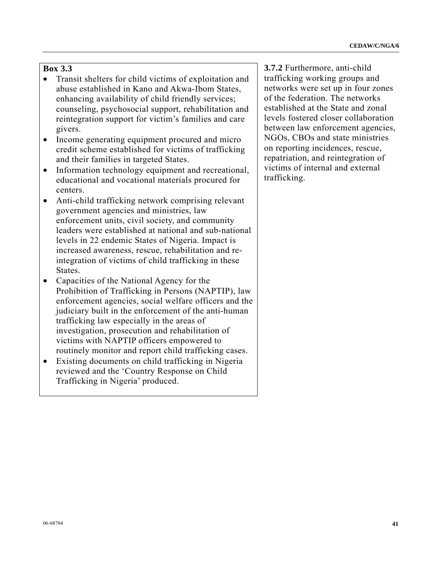# **Box 3.3**

- Transit shelters for child victims of exploitation and abuse established in Kano and Akwa-Ibom States, enhancing availability of child friendly services; counseling, psychosocial support, rehabilitation and reintegration support for victim's families and care givers.
- Income generating equipment procured and micro credit scheme established for victims of trafficking and their families in targeted States.
- Information technology equipment and recreational, educational and vocational materials procured for centers.
- Anti-child trafficking network comprising relevant government agencies and ministries, law enforcement units, civil society, and community leaders were established at national and sub-national levels in 22 endemic States of Nigeria. Impact is increased awareness, rescue, rehabilitation and reintegration of victims of child trafficking in these States.
- Capacities of the National Agency for the Prohibition of Trafficking in Persons (NAPTIP), law enforcement agencies, social welfare officers and the judiciary built in the enforcement of the anti-human trafficking law especially in the areas of investigation, prosecution and rehabilitation of victims with NAPTIP officers empowered to routinely monitor and report child trafficking cases.
- Existing documents on child trafficking in Nigeria reviewed and the 'Country Response on Child Trafficking in Nigeria' produced.

**3.7.2** Furthermore, anti-child trafficking working groups and networks were set up in four zones of the federation. The networks established at the State and zonal levels fostered closer collaboration between law enforcement agencies, NGOs, CBOs and state ministries on reporting incidences, rescue, repatriation, and reintegration of victims of internal and external trafficking.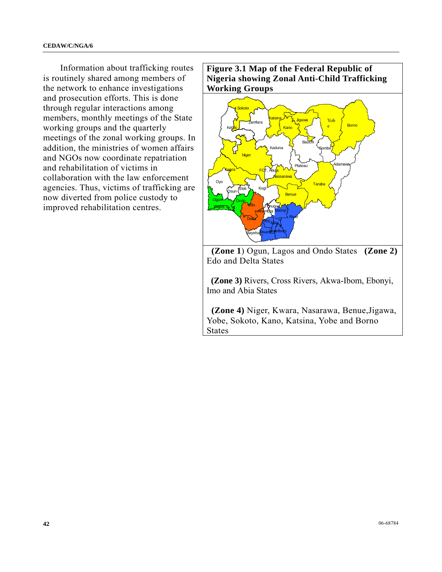Information about trafficking routes is routinely shared among members of the network to enhance investigations and prosecution efforts. This is done through regular interactions among members, monthly meetings of the State working groups and the quarterly meetings of the zonal working groups. In addition, the ministries of women affairs and NGOs now coordinate repatriation and rehabilitation of victims in collaboration with the law enforcement agencies. Thus, victims of trafficking are now diverted from police custody to improved rehabilitation centres.

**Figure 3.1 Map of the Federal Republic of Nigeria showing Zonal Anti-Child Trafficking Working Groups**



 **(Zone 1**) Ogun, Lagos and Ondo States **(Zone 2)** Edo and Delta States

 **(Zone 3)** Rivers, Cross Rivers, Akwa-Ibom, Ebonyi, Imo and Abia States

 **(Zone 4)** Niger, Kwara, Nasarawa, Benue,Jigawa, Yobe, Sokoto, Kano, Katsina, Yobe and Borno States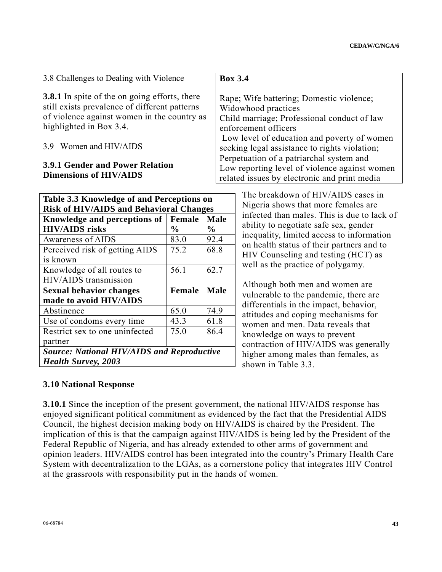3.8 Challenges to Dealing with Violence

**3.8.1** In spite of the on going efforts, there still exists prevalence of different patterns of violence against women in the country as highlighted in Box 3.4.

## 3.9 Women and HIV/AIDS

# **3.9.1 Gender and Power Relation Dimensions of HIV/AIDS**

| Table 3.3 Knowledge of and Perceptions on         |                |               |  |  |  |
|---------------------------------------------------|----------------|---------------|--|--|--|
| <b>Risk of HIV/AIDS and Behavioral Changes</b>    |                |               |  |  |  |
| Knowledge and perceptions of                      | Female         | <b>Male</b>   |  |  |  |
| <b>HIV/AIDS</b> risks                             | $\frac{6}{10}$ | $\frac{0}{0}$ |  |  |  |
| Awareness of AIDS                                 | 83.0           | 92.4          |  |  |  |
| Perceived risk of getting AIDS                    | 75.2           | 68.8          |  |  |  |
| is known                                          |                |               |  |  |  |
| Knowledge of all routes to                        | 56.1           | 62.7          |  |  |  |
| HIV/AIDS transmission                             |                |               |  |  |  |
| <b>Sexual behavior changes</b>                    | Female         | <b>Male</b>   |  |  |  |
| made to avoid HIV/AIDS                            |                |               |  |  |  |
| Abstinence                                        | 65.0           | 74.9          |  |  |  |
| Use of condoms every time                         | 43.3           | 61.8          |  |  |  |
| Restrict sex to one uninfected                    | 75.0           | 86.4          |  |  |  |
| partner                                           |                |               |  |  |  |
| <b>Source: National HIV/AIDS and Reproductive</b> |                |               |  |  |  |
| <b>Health Survey, 2003</b>                        |                |               |  |  |  |

## **Box 3.4**

Rape; Wife battering; Domestic violence; Widowhood practices Child marriage; Professional conduct of law enforcement officers Low level of education and poverty of women seeking legal assistance to rights violation; Perpetuation of a patriarchal system and Low reporting level of violence against women related issues by electronic and print media

> The breakdown of HIV/AIDS cases in Nigeria shows that more females are infected than males. This is due to lack of ability to negotiate safe sex, gender inequality, limited access to information on health status of their partners and to HIV Counseling and testing (HCT) as well as the practice of polygamy.

Although both men and women are vulnerable to the pandemic, there are differentials in the impact, behavior, attitudes and coping mechanisms for women and men. Data reveals that knowledge on ways to prevent contraction of HIV/AIDS was generally higher among males than females, as shown in Table 3.3.

## **3.10 National Response**

**3.10.1** Since the inception of the present government, the national HIV/AIDS response has enjoyed significant political commitment as evidenced by the fact that the Presidential AIDS Council, the highest decision making body on HIV/AIDS is chaired by the President. The implication of this is that the campaign against HIV/AIDS is being led by the President of the Federal Republic of Nigeria, and has already extended to other arms of government and opinion leaders. HIV/AIDS control has been integrated into the country's Primary Health Care System with decentralization to the LGAs, as a cornerstone policy that integrates HIV Control at the grassroots with responsibility put in the hands of women.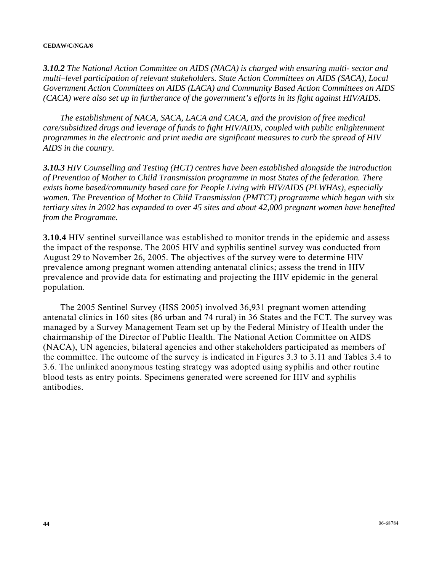*3.10.2 The National Action Committee on AIDS (NACA) is charged with ensuring multi- sector and multi–level participation of relevant stakeholders. State Action Committees on AIDS (SACA), Local Government Action Committees on AIDS (LACA) and Community Based Action Committees on AIDS (CACA) were also set up in furtherance of the government's efforts in its fight against HIV/AIDS.* 

 *The establishment of NACA, SACA, LACA and CACA, and the provision of free medical care/subsidized drugs and leverage of funds to fight HIV/AIDS, coupled with public enlightenment programmes in the electronic and print media are significant measures to curb the spread of HIV AIDS in the country.* 

*3.10.3 HIV Counselling and Testing (HCT) centres have been established alongside the introduction of Prevention of Mother to Child Transmission programme in most States of the federation. There exists home based/community based care for People Living with HIV/AIDS (PLWHAs), especially women. The Prevention of Mother to Child Transmission (PMTCT) programme which began with six tertiary sites in 2002 has expanded to over 45 sites and about 42,000 pregnant women have benefited from the Programme.* 

**3.10.4** HIV sentinel surveillance was established to monitor trends in the epidemic and assess the impact of the response. The 2005 HIV and syphilis sentinel survey was conducted from August 29 to November 26, 2005. The objectives of the survey were to determine HIV prevalence among pregnant women attending antenatal clinics; assess the trend in HIV prevalence and provide data for estimating and projecting the HIV epidemic in the general population.

 The 2005 Sentinel Survey (HSS 2005) involved 36,931 pregnant women attending antenatal clinics in 160 sites (86 urban and 74 rural) in 36 States and the FCT. The survey was managed by a Survey Management Team set up by the Federal Ministry of Health under the chairmanship of the Director of Public Health. The National Action Committee on AIDS (NACA), UN agencies, bilateral agencies and other stakeholders participated as members of the committee. The outcome of the survey is indicated in Figures 3.3 to 3.11 and Tables 3.4 to 3.6. The unlinked anonymous testing strategy was adopted using syphilis and other routine blood tests as entry points. Specimens generated were screened for HIV and syphilis antibodies.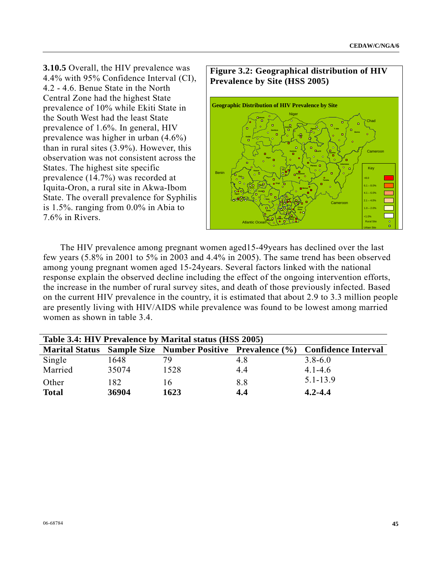**3.10.5** Overall, the HIV prevalence was 4.4% with 95% Confidence Interval (CI), 4.2 - 4.6. Benue State in the North Central Zone had the highest State prevalence of 10% while Ekiti State in the South West had the least State prevalence of 1.6%. In general, HIV prevalence was higher in urban (4.6%) than in rural sites (3.9%). However, this observation was not consistent across the States. The highest site specific prevalence (14.7%) was recorded at Iquita-Oron, a rural site in Akwa-Ibom State. The overall prevalence for Syphilis is 1.5%. ranging from 0.0% in Abia to 7.6% in Rivers.



 The HIV prevalence among pregnant women aged15-49years has declined over the last few years (5.8% in 2001 to 5% in 2003 and 4.4% in 2005). The same trend has been observed among young pregnant women aged 15-24years. Several factors linked with the national response explain the observed decline including the effect of the ongoing intervention efforts, the increase in the number of rural survey sites, and death of those previously infected. Based on the current HIV prevalence in the country, it is estimated that about 2.9 to 3.3 million people are presently living with HIV/AIDS while prevalence was found to be lowest among married women as shown in table 3.4.

| Table 3.4: HIV Prevalence by Marital status (HSS 2005) |       |      |     |                                                                               |  |  |
|--------------------------------------------------------|-------|------|-----|-------------------------------------------------------------------------------|--|--|
|                                                        |       |      |     | Marital Status Sample Size Number Positive Prevalence (%) Confidence Interval |  |  |
| Single                                                 | 1648  | 79.  | 4.8 | $3.8 - 6.0$                                                                   |  |  |
| Married                                                | 35074 | 1528 | 4.4 | $4.1 - 4.6$                                                                   |  |  |
| Other                                                  | 182   | 16   | 8.8 | $5.1 - 13.9$                                                                  |  |  |
| <b>Total</b>                                           | 36904 | 1623 | 4.4 | $4.2 - 4.4$                                                                   |  |  |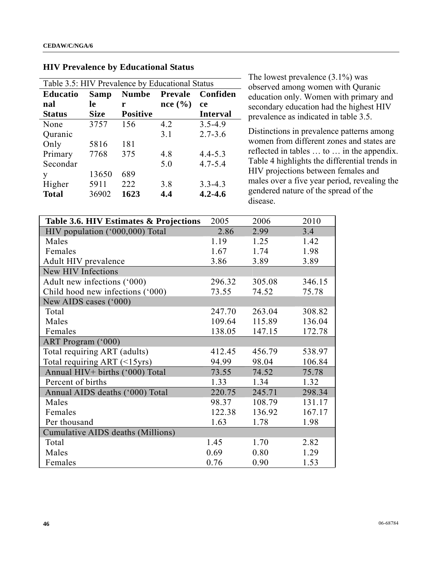| Table 3.5: HIV Prevalence by Educational Status |             |                 |                |                 |  |  |
|-------------------------------------------------|-------------|-----------------|----------------|-----------------|--|--|
| <b>Educatio</b>                                 | <b>Samp</b> | <b>Numbe</b>    | <b>Prevale</b> | Confiden        |  |  |
| nal                                             | 1e          | r               | nce(%)         | ce              |  |  |
| <b>Status</b>                                   | <b>Size</b> | <b>Positive</b> |                | <b>Interval</b> |  |  |
| None                                            | 3757        | 156             | 4.2            | $3.5 - 4.9$     |  |  |
| Quranic                                         |             |                 | 3.1            | $2.7 - 3.6$     |  |  |
| Only                                            | 5816        | 181             |                |                 |  |  |
| Primary                                         | 7768        | 375             | 4.8            | $4.4 - 5.3$     |  |  |
| Secondar                                        |             |                 | 5.0            | $4.7 - 5.4$     |  |  |
| У                                               | 13650       | 689             |                |                 |  |  |
| Higher                                          | 5911        | 222             | 3.8            | $3.3 - 4.3$     |  |  |
| <b>Total</b>                                    | 36902       | 1623            | 4.4            | $4.2 - 4.6$     |  |  |

#### **HIV Prevalence by Educational Status**

The lowest prevalence (3.1%) was observed among women with Quranic education only. Women with primary and secondary education had the highest HIV prevalence as indicated in table 3.5.

Distinctions in prevalence patterns among women from different zones and states are reflected in tables … to … in the appendix. Table 4 highlights the differential trends in HIV projections between females and males over a five year period, revealing the gendered nature of the spread of the disease.

| Table 3.6. HIV Estimates & Projections | 2005   | 2006   | 2010   |
|----------------------------------------|--------|--------|--------|
| HIV population ('000,000) Total        | 2.86   | 2.99   | 3.4    |
| Males                                  | 1.19   | 1.25   | 1.42   |
| Females                                | 1.67   | 1.74   | 1.98   |
| Adult HIV prevalence                   | 3.86   | 3.89   | 3.89   |
| New HIV Infections                     |        |        |        |
| Adult new infections ('000)            | 296.32 | 305.08 | 346.15 |
| Child hood new infections ('000)       | 73.55  | 74.52  | 75.78  |
| New AIDS cases ('000)                  |        |        |        |
| Total                                  | 247.70 | 263.04 | 308.82 |
| Males                                  | 109.64 | 115.89 | 136.04 |
| Females                                | 138.05 | 147.15 | 172.78 |
| ART Program ('000)                     |        |        |        |
| Total requiring ART (adults)           | 412.45 | 456.79 | 538.97 |
| Total requiring ART (<15yrs)           | 94.99  | 98.04  | 106.84 |
| Annual HIV+ births ('000) Total        | 73.55  | 74.52  | 75.78  |
| Percent of births                      | 1.33   | 1.34   | 1.32   |
| Annual AIDS deaths ('000) Total        | 220.75 | 245.71 | 298.34 |
| Males                                  | 98.37  | 108.79 | 131.17 |
| Females                                | 122.38 | 136.92 | 167.17 |
| Per thousand                           | 1.63   | 1.78   | 1.98   |
| Cumulative AIDS deaths (Millions)      |        |        |        |
| Total                                  | 1.45   | 1.70   | 2.82   |
| Males                                  | 0.69   | 0.80   | 1.29   |
| Females                                | 0.76   | 0.90   | 1.53   |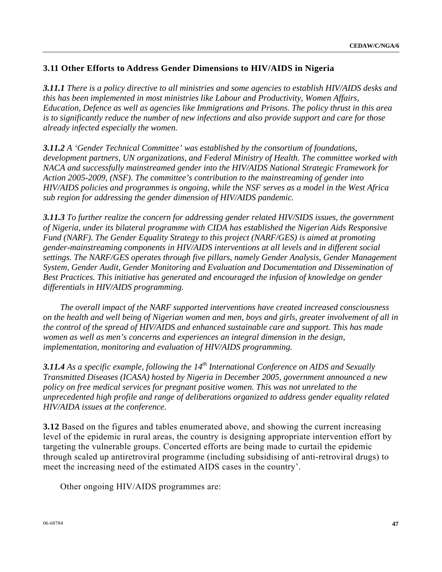# **3.11 Other Efforts to Address Gender Dimensions to HIV/AIDS in Nigeria**

*3.11.1 There is a policy directive to all ministries and some agencies to establish HIV/AIDS desks and this has been implemented in most ministries like Labour and Productivity, Women Affairs, Education, Defence as well as agencies like Immigrations and Prisons. The policy thrust in this area is to significantly reduce the number of new infections and also provide support and care for those already infected especially the women.* 

*3.11.2 A 'Gender Technical Committee' was established by the consortium of foundations, development partners, UN organizations, and Federal Ministry of Health. The committee worked with NACA and successfully mainstreamed gender into the HIV/AIDS National Strategic Framework for Action 2005-2009, (NSF). The committee's contribution to the mainstreaming of gender into HIV/AIDS policies and programmes is ongoing, while the NSF serves as a model in the West Africa sub region for addressing the gender dimension of HIV/AIDS pandemic.* 

*3.11.3 To further realize the concern for addressing gender related HIV/SIDS issues, the government of Nigeria, under its bilateral programme with CIDA has established the Nigerian Aids Responsive Fund (NARF). The Gender Equality Strategy to this project (NARF/GES) is aimed at promoting gender-mainstreaming components in HIV/AIDS interventions at all levels and in different social settings. The NARF/GES operates through five pillars, namely Gender Analysis, Gender Management System, Gender Audit, Gender Monitoring and Evaluation and Documentation and Dissemination of Best Practices. This initiative has generated and encouraged the infusion of knowledge on gender differentials in HIV/AIDS programming.* 

 *The overall impact of the NARF supported interventions have created increased consciousness on the health and well being of Nigerian women and men, boys and girls, greater involvement of all in the control of the spread of HIV/AIDS and enhanced sustainable care and support. This has made women as well as men's concerns and experiences an integral dimension in the design, implementation, monitoring and evaluation of HIV/AIDS programming.* 

**3.11.4** As a specific example, following the 14<sup>th</sup> International Conference on AIDS and Sexually *Transmitted Diseases (ICASA) hosted by Nigeria in December 2005, government announced a new policy on free medical services for pregnant positive women. This was not unrelated to the unprecedented high profile and range of deliberations organized to address gender equality related HIV/AIDA issues at the conference.* 

**3.12** Based on the figures and tables enumerated above, and showing the current increasing level of the epidemic in rural areas, the country is designing appropriate intervention effort by targeting the vulnerable groups. Concerted efforts are being made to curtail the epidemic through scaled up antiretroviral programme (including subsidising of anti-retroviral drugs) to meet the increasing need of the estimated AIDS cases in the country'.

Other ongoing HIV/AIDS programmes are: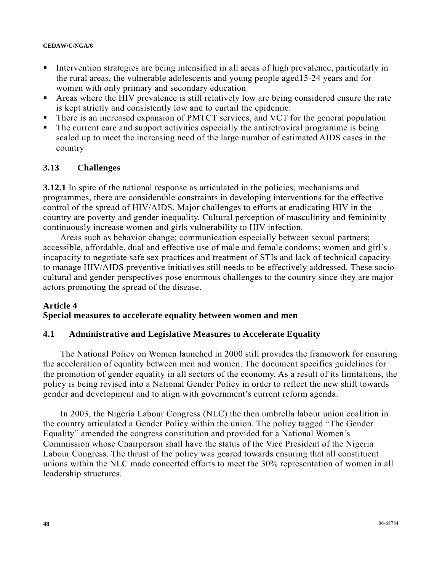- Intervention strategies are being intensified in all areas of high prevalence, particularly in the rural areas, the vulnerable adolescents and young people aged15-24 years and for women with only primary and secondary education
- Areas where the HIV prevalence is still relatively low are being considered ensure the rate is kept strictly and consistently low and to curtail the epidemic.
- There is an increased expansion of PMTCT services, and VCT for the general population
- The current care and support activities especially the antiretroviral programme is being scaled up to meet the increasing need of the large number of estimated AIDS cases in the country

# **3.13 Challenges**

**3.12.1** In spite of the national response as articulated in the policies, mechanisms and programmes, there are considerable constraints in developing interventions for the effective control of the spread of HIV/AIDS. Major challenges to efforts at eradicating HIV in the country are poverty and gender inequality. Cultural perception of masculinity and femininity continuously increase women and girls vulnerability to HIV infection.

 Areas such as behavior change; communication especially between sexual partners; accessible, affordable, dual and effective use of male and female condoms; women and girl's incapacity to negotiate safe sex practices and treatment of STIs and lack of technical capacity to manage HIV/AIDS preventive initiatives still needs to be effectively addressed. These sociocultural and gender perspectives pose enormous challenges to the country since they are major actors promoting the spread of the disease.

## **Article 4 Special measures to accelerate equality between women and men**

# **4.1 Administrative and Legislative Measures to Accelerate Equality**

 The National Policy on Women launched in 2000 still provides the framework for ensuring the acceleration of equality between men and women. The document specifies guidelines for the promotion of gender equality in all sectors of the economy. As a result of its limitations, the policy is being revised into a National Gender Policy in order to reflect the new shift towards gender and development and to align with government's current reform agenda.

 In 2003, the Nigeria Labour Congress (NLC) the then umbrella labour union coalition in the country articulated a Gender Policy within the union. The policy tagged "The Gender Equality" amended the congress constitution and provided for a National Women's Commission whose Chairperson shall have the status of the Vice President of the Nigeria Labour Congress. The thrust of the policy was geared towards ensuring that all constituent unions within the NLC made concerted efforts to meet the 30% representation of women in all leadership structures.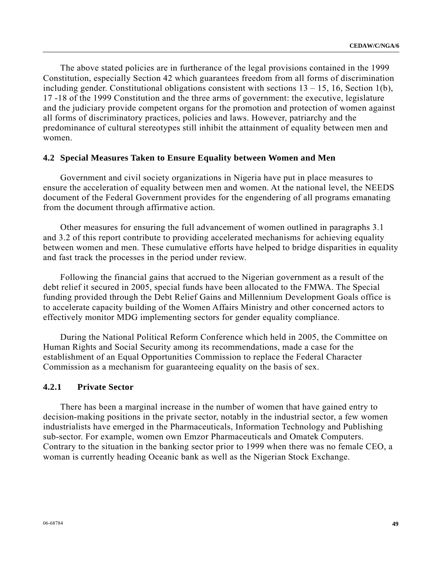The above stated policies are in furtherance of the legal provisions contained in the 1999 Constitution, especially Section 42 which guarantees freedom from all forms of discrimination including gender. Constitutional obligations consistent with sections  $13 - 15$ , 16, Section 1(b), 17 -18 of the 1999 Constitution and the three arms of government: the executive, legislature and the judiciary provide competent organs for the promotion and protection of women against all forms of discriminatory practices, policies and laws. However, patriarchy and the predominance of cultural stereotypes still inhibit the attainment of equality between men and women.

#### **4.2 Special Measures Taken to Ensure Equality between Women and Men**

 Government and civil society organizations in Nigeria have put in place measures to ensure the acceleration of equality between men and women. At the national level, the NEEDS document of the Federal Government provides for the engendering of all programs emanating from the document through affirmative action.

 Other measures for ensuring the full advancement of women outlined in paragraphs 3.1 and 3.2 of this report contribute to providing accelerated mechanisms for achieving equality between women and men. These cumulative efforts have helped to bridge disparities in equality and fast track the processes in the period under review.

 Following the financial gains that accrued to the Nigerian government as a result of the debt relief it secured in 2005, special funds have been allocated to the FMWA. The Special funding provided through the Debt Relief Gains and Millennium Development Goals office is to accelerate capacity building of the Women Affairs Ministry and other concerned actors to effectively monitor MDG implementing sectors for gender equality compliance.

 During the National Political Reform Conference which held in 2005, the Committee on Human Rights and Social Security among its recommendations, made a case for the establishment of an Equal Opportunities Commission to replace the Federal Character Commission as a mechanism for guaranteeing equality on the basis of sex.

#### **4.2.1 Private Sector**

 There has been a marginal increase in the number of women that have gained entry to decision-making positions in the private sector, notably in the industrial sector, a few women industrialists have emerged in the Pharmaceuticals, Information Technology and Publishing sub-sector. For example, women own Emzor Pharmaceuticals and Omatek Computers. Contrary to the situation in the banking sector prior to 1999 when there was no female CEO, a woman is currently heading Oceanic bank as well as the Nigerian Stock Exchange.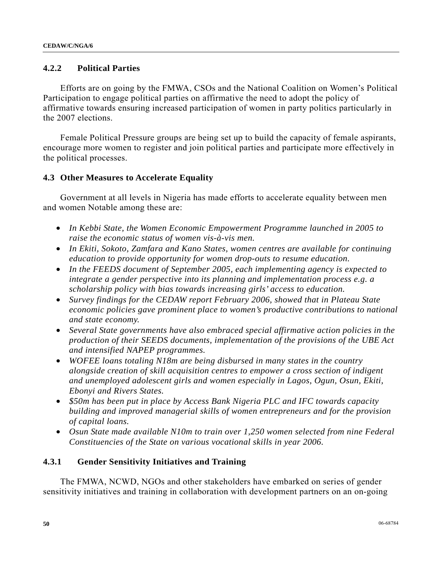## **4.2.2 Political Parties**

 Efforts are on going by the FMWA, CSOs and the National Coalition on Women's Political Participation to engage political parties on affirmative the need to adopt the policy of affirmative towards ensuring increased participation of women in party politics particularly in the 2007 elections.

 Female Political Pressure groups are being set up to build the capacity of female aspirants, encourage more women to register and join political parties and participate more effectively in the political processes.

## **4.3 Other Measures to Accelerate Equality**

 Government at all levels in Nigeria has made efforts to accelerate equality between men and women Notable among these are:

- *In Kebbi State, the Women Economic Empowerment Programme launched in 2005 to raise the economic status of women vis-à-vis men.*
- *In Ekiti, Sokoto, Zamfara and Kano States, women centres are available for continuing education to provide opportunity for women drop-outs to resume education.*
- *In the FEEDS document of September 2005, each implementing agency is expected to integrate a gender perspective into its planning and implementation process e.g. a scholarship policy with bias towards increasing girls' access to education.*
- *Survey findings for the CEDAW report February 2006, showed that in Plateau State economic policies gave prominent place to women's productive contributions to national and state economy.*
- *Several State governments have also embraced special affirmative action policies in the production of their SEEDS documents, implementation of the provisions of the UBE Act and intensified NAPEP programmes.*
- *WOFEE loans totaling N18m are being disbursed in many states in the country alongside creation of skill acquisition centres to empower a cross section of indigent and unemployed adolescent girls and women especially in Lagos, Ogun, Osun, Ekiti, Ebonyi and Rivers States.*
- *\$50m has been put in place by Access Bank Nigeria PLC and IFC towards capacity building and improved managerial skills of women entrepreneurs and for the provision of capital loans.*
- *Osun State made available N10m to train over 1,250 women selected from nine Federal Constituencies of the State on various vocational skills in year 2006.*

## **4.3.1 Gender Sensitivity Initiatives and Training**

 The FMWA, NCWD, NGOs and other stakeholders have embarked on series of gender sensitivity initiatives and training in collaboration with development partners on an on-going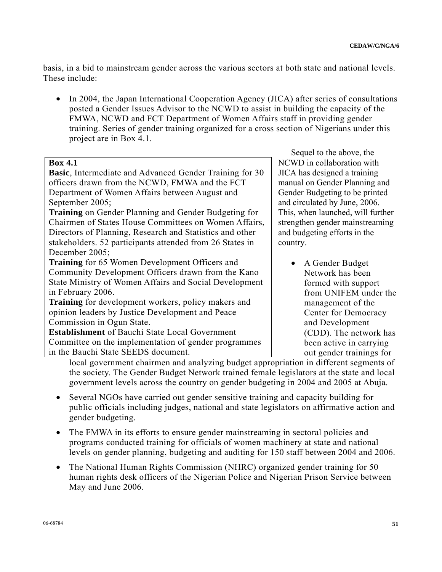basis, in a bid to mainstream gender across the various sectors at both state and national levels. These include:

• In 2004, the Japan International Cooperation Agency (JICA) after series of consultations posted a Gender Issues Advisor to the NCWD to assist in building the capacity of the FMWA, NCWD and FCT Department of Women Affairs staff in providing gender training. Series of gender training organized for a cross section of Nigerians under this project are in Box 4.1.

## **Box 4.1**

**Basic**, Intermediate and Advanced Gender Training for 30 officers drawn from the NCWD, FMWA and the FCT Department of Women Affairs between August and September 2005;

**Training** on Gender Planning and Gender Budgeting for Chairmen of States House Committees on Women Affairs, Directors of Planning, Research and Statistics and other stakeholders. 52 participants attended from 26 States in December 2005;

**Training** for 65 Women Development Officers and Community Development Officers drawn from the Kano State Ministry of Women Affairs and Social Development in February 2006.

**Training** for development workers, policy makers and opinion leaders by Justice Development and Peace Commission in Ogun State.

**Establishment** of Bauchi State Local Government Committee on the implementation of gender programmes in the Bauchi State SEEDS document.

 Sequel to the above, the NCWD in collaboration with JICA has designed a training manual on Gender Planning and Gender Budgeting to be printed and circulated by June, 2006. This, when launched, will further strengthen gender mainstreaming and budgeting efforts in the country.

> • A Gender Budget Network has been formed with support from UNIFEM under the management of the Center for Democracy and Development (CDD). The network has been active in carrying out gender trainings for

local government chairmen and analyzing budget appropriation in different segments of the society. The Gender Budget Network trained female legislators at the state and local government levels across the country on gender budgeting in 2004 and 2005 at Abuja.

- Several NGOs have carried out gender sensitive training and capacity building for public officials including judges, national and state legislators on affirmative action and gender budgeting.
- The FMWA in its efforts to ensure gender mainstreaming in sectoral policies and programs conducted training for officials of women machinery at state and national levels on gender planning, budgeting and auditing for 150 staff between 2004 and 2006.
- The National Human Rights Commission (NHRC) organized gender training for 50 human rights desk officers of the Nigerian Police and Nigerian Prison Service between May and June 2006.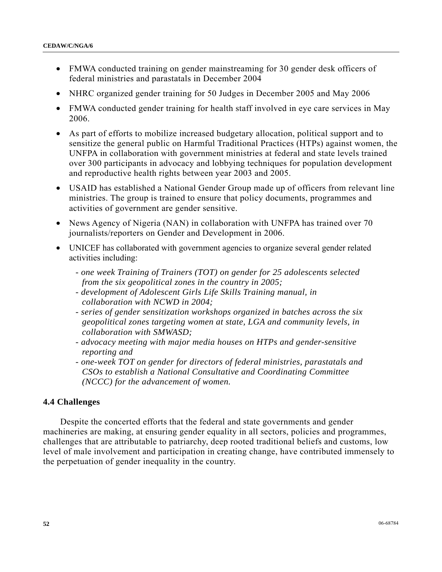- FMWA conducted training on gender mainstreaming for 30 gender desk officers of federal ministries and parastatals in December 2004
- NHRC organized gender training for 50 Judges in December 2005 and May 2006
- FMWA conducted gender training for health staff involved in eye care services in May 2006.
- As part of efforts to mobilize increased budgetary allocation, political support and to sensitize the general public on Harmful Traditional Practices (HTPs) against women, the UNFPA in collaboration with government ministries at federal and state levels trained over 300 participants in advocacy and lobbying techniques for population development and reproductive health rights between year 2003 and 2005.
- USAID has established a National Gender Group made up of officers from relevant line ministries. The group is trained to ensure that policy documents, programmes and activities of government are gender sensitive.
- News Agency of Nigeria (NAN) in collaboration with UNFPA has trained over 70 journalists/reporters on Gender and Development in 2006.
- UNICEF has collaborated with government agencies to organize several gender related activities including:
	- *one week Training of Trainers (TOT) on gender for 25 adolescents selected from the six geopolitical zones in the country in 2005;*
	- *development of Adolescent Girls Life Skills Training manual, in collaboration with NCWD in 2004;*
	- *series of gender sensitization workshops organized in batches across the six geopolitical zones targeting women at state, LGA and community levels, in collaboration with SMWASD;*
	- *advocacy meeting with major media houses on HTPs and gender-sensitive reporting and*
	- *one-week TOT on gender for directors of federal ministries, parastatals and CSOs to establish a National Consultative and Coordinating Committee (NCCC) for the advancement of women.*

# **4.4 Challenges**

 Despite the concerted efforts that the federal and state governments and gender machineries are making, at ensuring gender equality in all sectors, policies and programmes, challenges that are attributable to patriarchy, deep rooted traditional beliefs and customs, low level of male involvement and participation in creating change, have contributed immensely to the perpetuation of gender inequality in the country.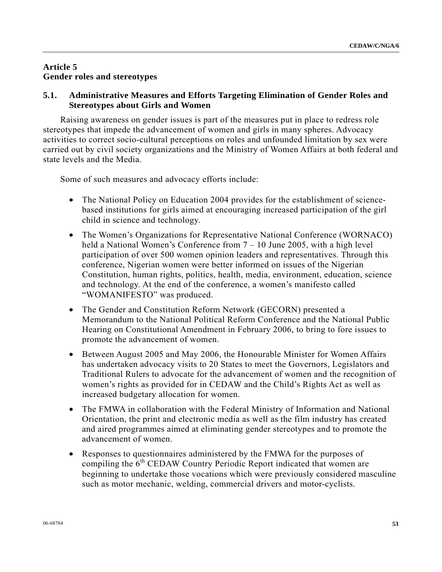# **Article 5 Gender roles and stereotypes**

# **5.1. Administrative Measures and Efforts Targeting Elimination of Gender Roles and Stereotypes about Girls and Women**

 Raising awareness on gender issues is part of the measures put in place to redress role stereotypes that impede the advancement of women and girls in many spheres. Advocacy activities to correct socio-cultural perceptions on roles and unfounded limitation by sex were carried out by civil society organizations and the Ministry of Women Affairs at both federal and state levels and the Media.

Some of such measures and advocacy efforts include:

- The National Policy on Education 2004 provides for the establishment of sciencebased institutions for girls aimed at encouraging increased participation of the girl child in science and technology.
- The Women's Organizations for Representative National Conference (WORNACO) held a National Women's Conference from  $7 - 10$  June 2005, with a high level participation of over 500 women opinion leaders and representatives. Through this conference, Nigerian women were better informed on issues of the Nigerian Constitution, human rights, politics, health, media, environment, education, science and technology. At the end of the conference, a women's manifesto called "WOMANIFESTO" was produced.
- The Gender and Constitution Reform Network (GECORN) presented a Memorandum to the National Political Reform Conference and the National Public Hearing on Constitutional Amendment in February 2006, to bring to fore issues to promote the advancement of women.
- Between August 2005 and May 2006, the Honourable Minister for Women Affairs has undertaken advocacy visits to 20 States to meet the Governors, Legislators and Traditional Rulers to advocate for the advancement of women and the recognition of women's rights as provided for in CEDAW and the Child's Rights Act as well as increased budgetary allocation for women.
- The FMWA in collaboration with the Federal Ministry of Information and National Orientation, the print and electronic media as well as the film industry has created and aired programmes aimed at eliminating gender stereotypes and to promote the advancement of women.
- Responses to questionnaires administered by the FMWA for the purposes of compiling the  $6<sup>th</sup>$  CEDAW Country Periodic Report indicated that women are beginning to undertake those vocations which were previously considered masculine such as motor mechanic, welding, commercial drivers and motor-cyclists.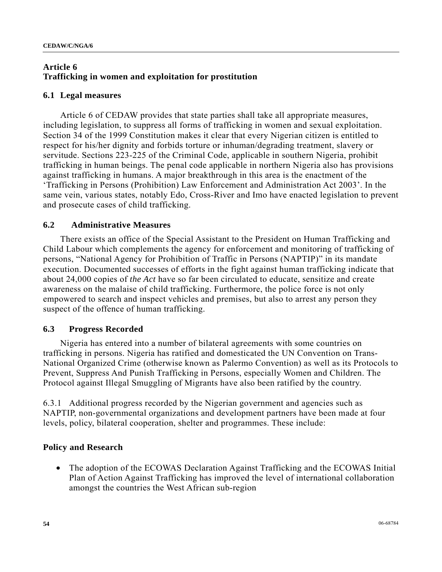# **Article 6 Trafficking in women and exploitation for prostitution**

## **6.1 Legal measures**

 Article 6 of CEDAW provides that state parties shall take all appropriate measures, including legislation, to suppress all forms of trafficking in women and sexual exploitation. Section 34 of the 1999 Constitution makes it clear that every Nigerian citizen is entitled to respect for his/her dignity and forbids torture or inhuman/degrading treatment, slavery or servitude. Sections 223-225 of the Criminal Code, applicable in southern Nigeria, prohibit trafficking in human beings. The penal code applicable in northern Nigeria also has provisions against trafficking in humans. A major breakthrough in this area is the enactment of the 'Trafficking in Persons (Prohibition) Law Enforcement and Administration Act 2003'. In the same vein, various states, notably Edo, Cross-River and Imo have enacted legislation to prevent and prosecute cases of child trafficking.

# **6.2 Administrative Measures**

 There exists an office of the Special Assistant to the President on Human Trafficking and Child Labour which complements the agency for enforcement and monitoring of trafficking of persons, "National Agency for Prohibition of Traffic in Persons (NAPTIP)" in its mandate execution. Documented successes of efforts in the fight against human trafficking indicate that about 24,000 copies of *the Act* have so far been circulated to educate, sensitize and create awareness on the malaise of child trafficking. Furthermore, the police force is not only empowered to search and inspect vehicles and premises, but also to arrest any person they suspect of the offence of human trafficking.

# **6.3 Progress Recorded**

 Nigeria has entered into a number of bilateral agreements with some countries on trafficking in persons. Nigeria has ratified and domesticated the UN Convention on Trans-National Organized Crime (otherwise known as Palermo Convention) as well as its Protocols to Prevent, Suppress And Punish Trafficking in Persons, especially Women and Children. The Protocol against Illegal Smuggling of Migrants have also been ratified by the country.

6.3.1 Additional progress recorded by the Nigerian government and agencies such as NAPTIP, non-governmental organizations and development partners have been made at four levels, policy, bilateral cooperation, shelter and programmes. These include:

# **Policy and Research**

• The adoption of the ECOWAS Declaration Against Trafficking and the ECOWAS Initial Plan of Action Against Trafficking has improved the level of international collaboration amongst the countries the West African sub-region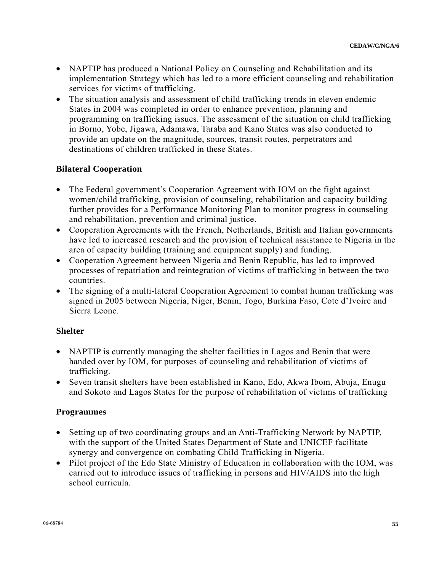- NAPTIP has produced a National Policy on Counseling and Rehabilitation and its implementation Strategy which has led to a more efficient counseling and rehabilitation services for victims of trafficking.
- The situation analysis and assessment of child trafficking trends in eleven endemic States in 2004 was completed in order to enhance prevention, planning and programming on trafficking issues. The assessment of the situation on child trafficking in Borno, Yobe, Jigawa, Adamawa, Taraba and Kano States was also conducted to provide an update on the magnitude, sources, transit routes, perpetrators and destinations of children trafficked in these States.

# **Bilateral Cooperation**

- The Federal government's Cooperation Agreement with IOM on the fight against women/child trafficking, provision of counseling, rehabilitation and capacity building further provides for a Performance Monitoring Plan to monitor progress in counseling and rehabilitation, prevention and criminal justice.
- Cooperation Agreements with the French, Netherlands, British and Italian governments have led to increased research and the provision of technical assistance to Nigeria in the area of capacity building (training and equipment supply) and funding.
- Cooperation Agreement between Nigeria and Benin Republic, has led to improved processes of repatriation and reintegration of victims of trafficking in between the two countries.
- The signing of a multi-lateral Cooperation Agreement to combat human trafficking was signed in 2005 between Nigeria, Niger, Benin, Togo, Burkina Faso, Cote d'Ivoire and Sierra Leone.

## **Shelter**

- NAPTIP is currently managing the shelter facilities in Lagos and Benin that were handed over by IOM, for purposes of counseling and rehabilitation of victims of trafficking.
- Seven transit shelters have been established in Kano, Edo, Akwa Ibom, Abuja, Enugu and Sokoto and Lagos States for the purpose of rehabilitation of victims of trafficking

## **Programmes**

- Setting up of two coordinating groups and an Anti-Trafficking Network by NAPTIP, with the support of the United States Department of State and UNICEF facilitate synergy and convergence on combating Child Trafficking in Nigeria.
- Pilot project of the Edo State Ministry of Education in collaboration with the IOM, was carried out to introduce issues of trafficking in persons and HIV/AIDS into the high school curricula.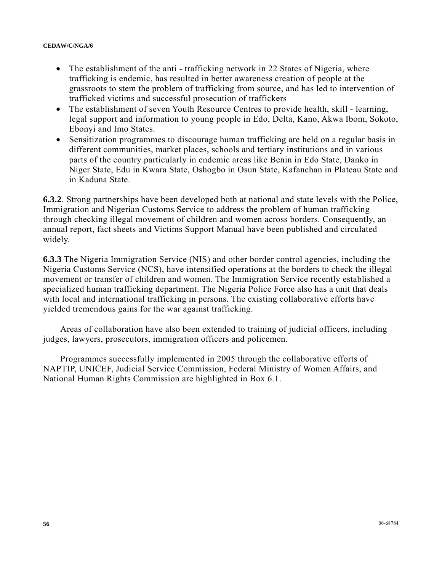- The establishment of the anti trafficking network in 22 States of Nigeria, where trafficking is endemic, has resulted in better awareness creation of people at the grassroots to stem the problem of trafficking from source, and has led to intervention of trafficked victims and successful prosecution of traffickers
- The establishment of seven Youth Resource Centres to provide health, skill learning, legal support and information to young people in Edo, Delta, Kano, Akwa Ibom, Sokoto, Ebonyi and Imo States.
- Sensitization programmes to discourage human trafficking are held on a regular basis in different communities, market places, schools and tertiary institutions and in various parts of the country particularly in endemic areas like Benin in Edo State, Danko in Niger State, Edu in Kwara State, Oshogbo in Osun State, Kafanchan in Plateau State and in Kaduna State.

**6.3.2**. Strong partnerships have been developed both at national and state levels with the Police, Immigration and Nigerian Customs Service to address the problem of human trafficking through checking illegal movement of children and women across borders. Consequently, an annual report, fact sheets and Victims Support Manual have been published and circulated widely.

**6.3.3** The Nigeria Immigration Service (NIS) and other border control agencies, including the Nigeria Customs Service (NCS), have intensified operations at the borders to check the illegal movement or transfer of children and women. The Immigration Service recently established a specialized human trafficking department. The Nigeria Police Force also has a unit that deals with local and international trafficking in persons. The existing collaborative efforts have yielded tremendous gains for the war against trafficking.

 Areas of collaboration have also been extended to training of judicial officers, including judges, lawyers, prosecutors, immigration officers and policemen.

 Programmes successfully implemented in 2005 through the collaborative efforts of NAPTIP, UNICEF, Judicial Service Commission, Federal Ministry of Women Affairs, and National Human Rights Commission are highlighted in Box 6.1.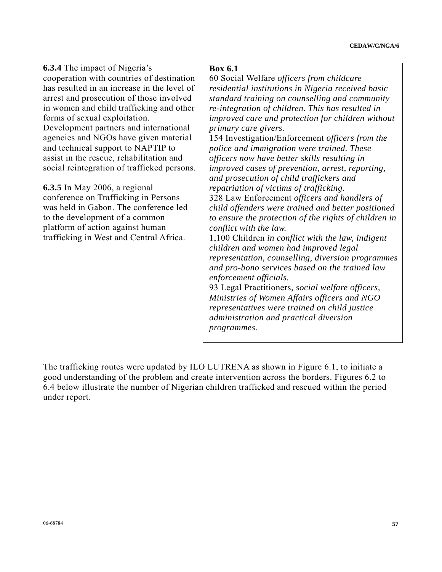**6.3.4** The impact of Nigeria's cooperation with countries of destination has resulted in an increase in the level of arrest and prosecution of those involved in women and child trafficking and other forms of sexual exploitation. Development partners and international agencies and NGOs have given material and technical support to NAPTIP to assist in the rescue, rehabilitation and social reintegration of trafficked persons.

**6.3.5** In May 2006, a regional conference on Trafficking in Persons was held in Gabon. The conference led to the development of a common platform of action against human trafficking in West and Central Africa.

#### **Box 6.1**

60 Social Welfare *officers from childcare residential institutions in Nigeria received basic standard training on counselling and community re-integration of children. This has resulted in improved care and protection for children without primary care givers.* 

154 Investigation/Enforcement *officers from the police and immigration were trained. These officers now have better skills resulting in improved cases of prevention, arrest, reporting, and prosecution of child traffickers and repatriation of victims of trafficking.* 

328 Law Enforcement *officers and handlers of child offenders were trained and better positioned to ensure the protection of the rights of children in conflict with the law.* 

1,100 Children *in conflict with the law, indigent children and women had improved legal representation, counselling, diversion programmes and pro-bono services based on the trained law enforcement officials.* 

93 Legal Practitioners*, social welfare officers, Ministries of Women Affairs officers and NGO representatives were trained on child justice administration and practical diversion programmes.*

The trafficking routes were updated by ILO LUTRENA as shown in Figure 6.1, to initiate a good understanding of the problem and create intervention across the borders. Figures 6.2 to 6.4 below illustrate the number of Nigerian children trafficked and rescued within the period under report.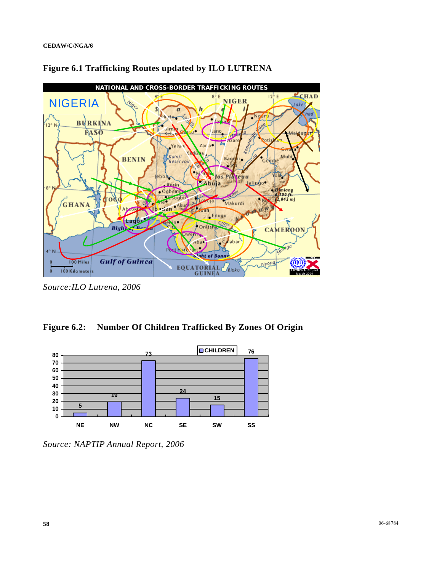



*Source:ILO Lutrena, 2006* 





*Source: NAPTIP Annual Report, 2006*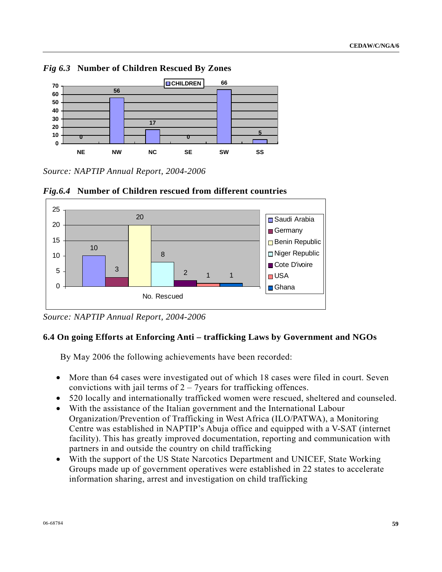

*Fig 6.3* **Number of Children Rescued By Zones** 

*Source: NAPTIP Annual Report, 2004-2006* 



*Fig.6.4* **Number of Children rescued from different countries**

# **6.4 On going Efforts at Enforcing Anti – trafficking Laws by Government and NGOs**

By May 2006 the following achievements have been recorded:

- More than 64 cases were investigated out of which 18 cases were filed in court. Seven convictions with jail terms of  $2 - 7$ years for trafficking offences.
- 520 locally and internationally trafficked women were rescued, sheltered and counseled.
- With the assistance of the Italian government and the International Labour Organization/Prevention of Trafficking in West Africa (ILO/PATWA), a Monitoring Centre was established in NAPTIP's Abuja office and equipped with a V-SAT (internet facility). This has greatly improved documentation, reporting and communication with partners in and outside the country on child trafficking
- With the support of the US State Narcotics Department and UNICEF, State Working Groups made up of government operatives were established in 22 states to accelerate information sharing, arrest and investigation on child trafficking

*Source: NAPTIP Annual Report, 2004-2006*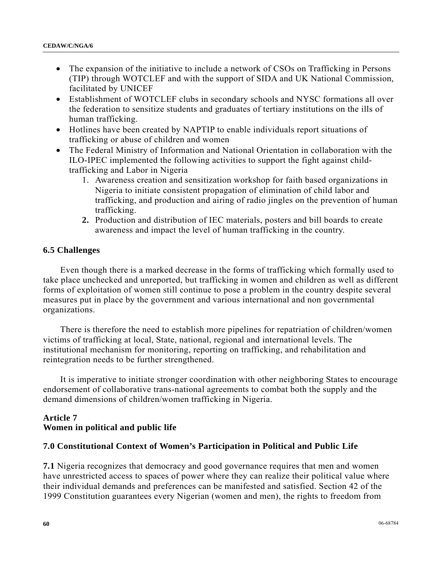- The expansion of the initiative to include a network of CSOs on Trafficking in Persons (TIP) through WOTCLEF and with the support of SIDA and UK National Commission, facilitated by UNICEF
- Establishment of WOTCLEF clubs in secondary schools and NYSC formations all over the federation to sensitize students and graduates of tertiary institutions on the ills of human trafficking.
- Hotlines have been created by NAPTIP to enable individuals report situations of trafficking or abuse of children and women
- The Federal Ministry of Information and National Orientation in collaboration with the ILO-IPEC implemented the following activities to support the fight against childtrafficking and Labor in Nigeria
	- 1. Awareness creation and sensitization workshop for faith based organizations in Nigeria to initiate consistent propagation of elimination of child labor and trafficking, and production and airing of radio jingles on the prevention of human trafficking.
	- **2.** Production and distribution of IEC materials, posters and bill boards to create awareness and impact the level of human trafficking in the country.

## **6.5 Challenges**

 Even though there is a marked decrease in the forms of trafficking which formally used to take place unchecked and unreported, but trafficking in women and children as well as different forms of exploitation of women still continue to pose a problem in the country despite several measures put in place by the government and various international and non governmental organizations.

 There is therefore the need to establish more pipelines for repatriation of children/women victims of trafficking at local, State, national, regional and international levels. The institutional mechanism for monitoring, reporting on trafficking, and rehabilitation and reintegration needs to be further strengthened.

 It is imperative to initiate stronger coordination with other neighboring States to encourage endorsement of collaborative trans-national agreements to combat both the supply and the demand dimensions of children/women trafficking in Nigeria.

# **Article 7 Women in political and public life**

## **7.0 Constitutional Context of Women's Participation in Political and Public Life**

**7.1** Nigeria recognizes that democracy and good governance requires that men and women have unrestricted access to spaces of power where they can realize their political value where their individual demands and preferences can be manifested and satisfied. Section 42 of the 1999 Constitution guarantees every Nigerian (women and men), the rights to freedom from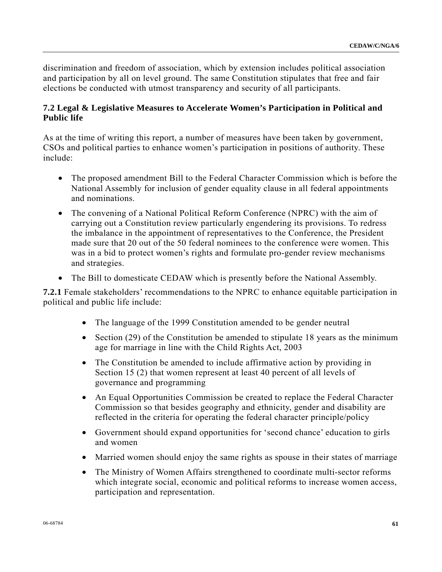discrimination and freedom of association, which by extension includes political association and participation by all on level ground. The same Constitution stipulates that free and fair elections be conducted with utmost transparency and security of all participants.

# **7.2 Legal & Legislative Measures to Accelerate Women's Participation in Political and Public life**

As at the time of writing this report, a number of measures have been taken by government, CSOs and political parties to enhance women's participation in positions of authority. These include:

- The proposed amendment Bill to the Federal Character Commission which is before the National Assembly for inclusion of gender equality clause in all federal appointments and nominations.
- The convening of a National Political Reform Conference (NPRC) with the aim of carrying out a Constitution review particularly engendering its provisions. To redress the imbalance in the appointment of representatives to the Conference, the President made sure that 20 out of the 50 federal nominees to the conference were women. This was in a bid to protect women's rights and formulate pro-gender review mechanisms and strategies.
- The Bill to domesticate CEDAW which is presently before the National Assembly.

**7.2.1** Female stakeholders' recommendations to the NPRC to enhance equitable participation in political and public life include:

- The language of the 1999 Constitution amended to be gender neutral
- Section (29) of the Constitution be amended to stipulate 18 years as the minimum age for marriage in line with the Child Rights Act, 2003
- The Constitution be amended to include affirmative action by providing in Section 15 (2) that women represent at least 40 percent of all levels of governance and programming
- An Equal Opportunities Commission be created to replace the Federal Character Commission so that besides geography and ethnicity, gender and disability are reflected in the criteria for operating the federal character principle/policy
- Government should expand opportunities for 'second chance' education to girls and women
- Married women should enjoy the same rights as spouse in their states of marriage
- The Ministry of Women Affairs strengthened to coordinate multi-sector reforms which integrate social, economic and political reforms to increase women access, participation and representation.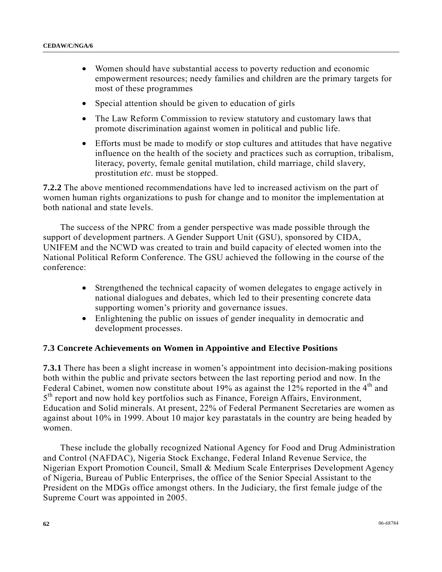- Women should have substantial access to poverty reduction and economic empowerment resources; needy families and children are the primary targets for most of these programmes
- Special attention should be given to education of girls
- The Law Reform Commission to review statutory and customary laws that promote discrimination against women in political and public life.
- Efforts must be made to modify or stop cultures and attitudes that have negative influence on the health of the society and practices such as corruption, tribalism, literacy, poverty, female genital mutilation, child marriage, child slavery, prostitution *etc.* must be stopped.

**7.2.2** The above mentioned recommendations have led to increased activism on the part of women human rights organizations to push for change and to monitor the implementation at both national and state levels.

 The success of the NPRC from a gender perspective was made possible through the support of development partners. A Gender Support Unit (GSU), sponsored by CIDA, UNIFEM and the NCWD was created to train and build capacity of elected women into the National Political Reform Conference. The GSU achieved the following in the course of the conference:

- Strengthened the technical capacity of women delegates to engage actively in national dialogues and debates, which led to their presenting concrete data supporting women's priority and governance issues.
- Enlightening the public on issues of gender inequality in democratic and development processes.

## **7.3 Concrete Achievements on Women in Appointive and Elective Positions**

**7.3.1** There has been a slight increase in women's appointment into decision-making positions both within the public and private sectors between the last reporting period and now. In the Federal Cabinet, women now constitute about 19% as against the 12% reported in the  $4<sup>th</sup>$  and  $5<sup>th</sup>$  report and now hold key portfolios such as Finance, Foreign Affairs, Environment, Education and Solid minerals. At present, 22% of Federal Permanent Secretaries are women as against about 10% in 1999. About 10 major key parastatals in the country are being headed by women.

 These include the globally recognized National Agency for Food and Drug Administration and Control (NAFDAC), Nigeria Stock Exchange, Federal Inland Revenue Service, the Nigerian Export Promotion Council, Small & Medium Scale Enterprises Development Agency of Nigeria, Bureau of Public Enterprises, the office of the Senior Special Assistant to the President on the MDGs office amongst others. In the Judiciary, the first female judge of the Supreme Court was appointed in 2005.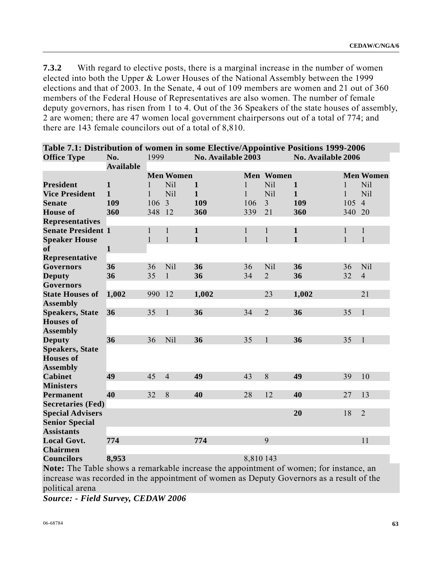**7.3.2** With regard to elective posts, there is a marginal increase in the number of women elected into both the Upper & Lower Houses of the National Assembly between the 1999 elections and that of 2003. In the Senate, 4 out of 109 members are women and 21 out of 360 members of the Federal House of Representatives are also women. The number of female deputy governors, has risen from 1 to 4. Out of the 36 Speakers of the state houses of assembly, 2 are women; there are 47 women local government chairpersons out of a total of 774; and there are 143 female councilors out of a total of 8,810.

|                           | Table 7.1: Distribution of women in some Elective/Appointive Positions 1999-2006 |              |                  |                    |              |                  |                    |              |                  |
|---------------------------|----------------------------------------------------------------------------------|--------------|------------------|--------------------|--------------|------------------|--------------------|--------------|------------------|
| <b>Office Type</b>        | No.                                                                              | 1999         |                  | No. Available 2003 |              |                  | No. Available 2006 |              |                  |
|                           | <b>Available</b>                                                                 |              |                  |                    |              |                  |                    |              |                  |
|                           |                                                                                  |              | <b>Men Women</b> |                    |              | <b>Men Women</b> |                    |              | <b>Men Women</b> |
| <b>President</b>          | $\mathbf{1}$                                                                     | 1            | <b>Nil</b>       | $\mathbf{1}$       | $\mathbf{1}$ | Nil              | $\mathbf{1}$       | $\mathbf{1}$ | Nil              |
| <b>Vice President</b>     | $\mathbf{1}$                                                                     | $\mathbf{1}$ | Nil              | $\mathbf{1}$       | $\mathbf{1}$ | Nil              | $\mathbf{1}$       | $\mathbf{1}$ | Nil              |
| <b>Senate</b>             | 109                                                                              | 106          | 3                | 109                | 106          | $\overline{3}$   | 109                | 105          | $\overline{4}$   |
| <b>House</b> of           | 360                                                                              | 348          | 12               | 360                | 339          | 21               | 360                | 340          | 20               |
| <b>Representatives</b>    |                                                                                  |              |                  |                    |              |                  |                    |              |                  |
| <b>Senate President 1</b> |                                                                                  | $\mathbf{1}$ | $\mathbf{1}$     | $\mathbf{1}$       | $\mathbf{1}$ | $\mathbf{1}$     | $\mathbf{1}$       | $\mathbf{1}$ | $\mathbf{1}$     |
| <b>Speaker House</b>      |                                                                                  | 1            | $\mathbf{1}$     | $\mathbf{1}$       | $\mathbf{1}$ | $\mathbf{1}$     | $\mathbf{1}$       | $\mathbf{1}$ | $\mathbf{1}$     |
| <sub>of</sub>             | $\mathbf{1}$                                                                     |              |                  |                    |              |                  |                    |              |                  |
| Representative            |                                                                                  |              |                  |                    |              |                  |                    |              |                  |
| <b>Governors</b>          | 36                                                                               | 36           | Nil              | 36                 | 36           | Nil              | 36                 | 36           | Nil              |
| <b>Deputy</b>             | 36                                                                               | 35           | $\mathbf{1}$     | 36                 | 34           | $\overline{2}$   | 36                 | 32           | $\overline{4}$   |
| <b>Governors</b>          |                                                                                  |              |                  |                    |              |                  |                    |              |                  |
| <b>State Houses of</b>    | 1,002                                                                            | 990          | 12               | 1,002              |              | 23               | 1,002              |              | 21               |
| <b>Assembly</b>           |                                                                                  |              |                  |                    |              |                  |                    |              |                  |
| <b>Speakers, State</b>    | 36                                                                               | 35           | $\mathbf{1}$     | 36                 | 34           | $\overline{2}$   | 36                 | 35           | $\mathbf{1}$     |
| <b>Houses of</b>          |                                                                                  |              |                  |                    |              |                  |                    |              |                  |
| <b>Assembly</b>           |                                                                                  |              |                  |                    |              |                  |                    |              |                  |
| <b>Deputy</b>             | 36                                                                               | 36           | Nil              | 36                 | 35           | $\mathbf{1}$     | 36                 | 35           | $\mathbf{1}$     |
| <b>Speakers, State</b>    |                                                                                  |              |                  |                    |              |                  |                    |              |                  |
| <b>Houses</b> of          |                                                                                  |              |                  |                    |              |                  |                    |              |                  |
| <b>Assembly</b>           |                                                                                  |              |                  |                    |              |                  |                    |              |                  |
| <b>Cabinet</b>            | 49                                                                               | 45           | $\overline{4}$   | 49                 | 43           | 8                | 49                 | 39           | 10               |
| <b>Ministers</b>          |                                                                                  |              |                  |                    |              |                  |                    |              |                  |
| <b>Permanent</b>          | 40                                                                               | 32           | 8                | 40                 | 28           | 12               | 40                 | 27           | 13               |
| <b>Secretaries (Fed)</b>  |                                                                                  |              |                  |                    |              |                  |                    |              |                  |
| <b>Special Advisers</b>   |                                                                                  |              |                  |                    |              |                  | 20                 | 18           | $\overline{2}$   |
| <b>Senior Special</b>     |                                                                                  |              |                  |                    |              |                  |                    |              |                  |
| <b>Assistants</b>         |                                                                                  |              |                  |                    |              |                  |                    |              |                  |
| <b>Local Govt.</b>        | 774                                                                              |              |                  | 774                |              | 9                |                    |              | 11               |
| <b>Chairmen</b>           |                                                                                  |              |                  |                    |              |                  |                    |              |                  |
| <b>Councilors</b>         | 8,953                                                                            |              |                  |                    | 8,810 143    |                  |                    |              |                  |

**Note:** The Table shows a remarkable increase the appointment of women; for instance, an increase was recorded in the appointment of women as Deputy Governors as a result of the

political arena

*Source: - Field Survey, CEDAW 2006*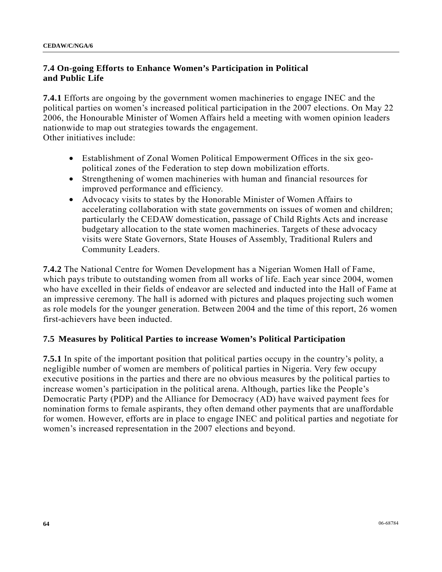# **7.4 On-going Efforts to Enhance Women's Participation in Political and Public Life**

**7.4.1** Efforts are ongoing by the government women machineries to engage INEC and the political parties on women's increased political participation in the 2007 elections. On May 22 2006, the Honourable Minister of Women Affairs held a meeting with women opinion leaders nationwide to map out strategies towards the engagement. Other initiatives include:

- Establishment of Zonal Women Political Empowerment Offices in the six geopolitical zones of the Federation to step down mobilization efforts.
- Strengthening of women machineries with human and financial resources for improved performance and efficiency.
- Advocacy visits to states by the Honorable Minister of Women Affairs to accelerating collaboration with state governments on issues of women and children; particularly the CEDAW domestication, passage of Child Rights Acts and increase budgetary allocation to the state women machineries. Targets of these advocacy visits were State Governors, State Houses of Assembly, Traditional Rulers and Community Leaders.

**7.4.2** The National Centre for Women Development has a Nigerian Women Hall of Fame, which pays tribute to outstanding women from all works of life. Each year since 2004, women who have excelled in their fields of endeavor are selected and inducted into the Hall of Fame at an impressive ceremony. The hall is adorned with pictures and plaques projecting such women as role models for the younger generation. Between 2004 and the time of this report, 26 women first-achievers have been inducted.

# **7.5 Measures by Political Parties to increase Women's Political Participation**

**7.5.1** In spite of the important position that political parties occupy in the country's polity, a negligible number of women are members of political parties in Nigeria. Very few occupy executive positions in the parties and there are no obvious measures by the political parties to increase women's participation in the political arena. Although, parties like the People's Democratic Party (PDP) and the Alliance for Democracy (AD) have waived payment fees for nomination forms to female aspirants, they often demand other payments that are unaffordable for women. However, efforts are in place to engage INEC and political parties and negotiate for women's increased representation in the 2007 elections and beyond.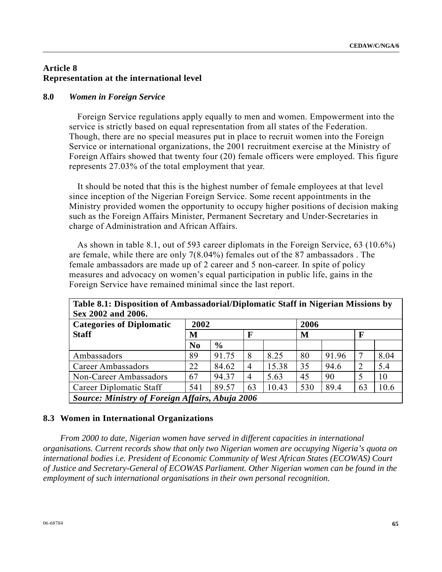# **Article 8 Representation at the international level**

## **8.0** *Women in Foreign Service*

 Foreign Service regulations apply equally to men and women. Empowerment into the service is strictly based on equal representation from all states of the Federation. Though, there are no special measures put in place to recruit women into the Foreign Service or international organizations, the 2001 recruitment exercise at the Ministry of Foreign Affairs showed that twenty four (20) female officers were employed. This figure represents 27.03% of the total employment that year.

 It should be noted that this is the highest number of female employees at that level since inception of the Nigerian Foreign Service. Some recent appointments in the Ministry provided women the opportunity to occupy higher positions of decision making such as the Foreign Affairs Minister, Permanent Secretary and Under-Secretaries in charge of Administration and African Affairs.

 As shown in table 8.1, out of 593 career diplomats in the Foreign Service, 63 (10.6%) are female, while there are only 7(8.04%) females out of the 87 ambassadors . The female ambassadors are made up of 2 career and 5 non-career. In spite of policy measures and advocacy on women's equal participation in public life, gains in the Foreign Service have remained minimal since the last report.

| Table 8.1: Disposition of Ambassadorial/Diplomatic Staff in Nigerian Missions by<br>Sex 2002 and 2006. |                |               |    |       |      |       |                |      |
|--------------------------------------------------------------------------------------------------------|----------------|---------------|----|-------|------|-------|----------------|------|
| <b>Categories of Diplomatic</b>                                                                        | 2002           |               |    |       | 2006 |       |                |      |
| <b>Staff</b>                                                                                           | M              |               | F  |       | M    |       | F              |      |
|                                                                                                        | N <sub>0</sub> | $\frac{0}{0}$ |    |       |      |       |                |      |
| Ambassadors                                                                                            | 89             | 91.75         | 8  | 8.25  | 80   | 91.96 |                | 8.04 |
| Career Ambassadors                                                                                     | 22             | 84.62         | 4  | 15.38 | 35   | 94.6  | $\overline{2}$ | 5.4  |
| Non-Career Ambassadors                                                                                 | 67             | 94.37         | 4  | 5.63  | 45   | 90    | 5              | 10   |
| Career Diplomatic Staff                                                                                | 541            | 89.57         | 63 | 10.43 | 530  | 89.4  | 63             | 10.6 |
| Source: Ministry of Foreign Affairs, Abuja 2006                                                        |                |               |    |       |      |       |                |      |

## **8.3 Women in International Organizations**

 *From 2000 to date, Nigerian women have served in different capacities in international organisations. Current records show that only two Nigerian women are occupying Nigeria's quota on international bodies i.e. President of Economic Community of West African States (ECOWAS) Court of Justice and Secretary-General of ECOWAS Parliament. Other Nigerian women can be found in the employment of such international organisations in their own personal recognition.*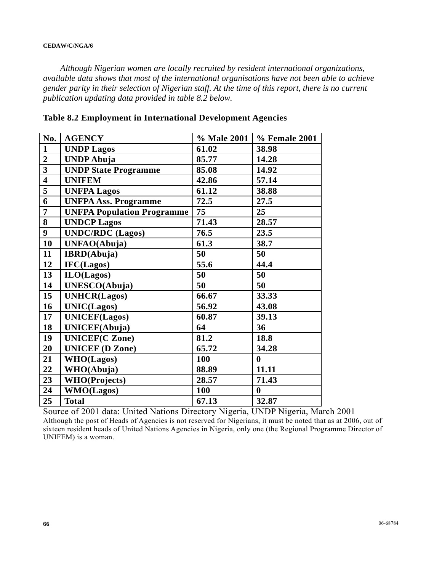*Although Nigerian women are locally recruited by resident international organizations, available data shows that most of the international organisations have not been able to achieve gender parity in their selection of Nigerian staff. At the time of this report, there is no current publication updating data provided in table 8.2 below.* 

| No.                     | <b>AGENCY</b>                     | % Male 2001 | % Female 2001    |
|-------------------------|-----------------------------------|-------------|------------------|
| $\mathbf{1}$            | <b>UNDP Lagos</b>                 | 61.02       | 38.98            |
| $\overline{2}$          | <b>UNDP</b> Abuja                 | 85.77       | 14.28            |
| $\overline{\mathbf{3}}$ | <b>UNDP State Programme</b>       | 85.08       | 14.92            |
| $\overline{\mathbf{4}}$ | <b>UNIFEM</b>                     | 42.86       | 57.14            |
| 5                       | <b>UNFPA Lagos</b>                | 61.12       | 38.88            |
| 6                       | <b>UNFPA Ass. Programme</b>       | 72.5        | 27.5             |
| 7                       | <b>UNFPA Population Programme</b> | 75          | 25               |
| 8                       | <b>UNDCP Lagos</b>                | 71.43       | 28.57            |
| 9                       | <b>UNDC/RDC</b> (Lagos)           | 76.5        | 23.5             |
| 10                      | UNFAO(Abuja)                      | 61.3        | 38.7             |
| 11                      | <b>IBRD</b> (Abuja)               | 50          | 50               |
| 12                      | IFC(Lagos)                        | 55.6        | 44.4             |
| 13                      | ILO(Lagos)                        | 50          | 50               |
| 14                      | UNESCO(Abuja)                     | 50          | 50               |
| 15                      | <b>UNHCR(Lagos)</b>               | 66.67       | 33.33            |
| 16                      | <b>UNIC(Lagos)</b>                | 56.92       | 43.08            |
| 17                      | <b>UNICEF(Lagos)</b>              | 60.87       | 39.13            |
| 18                      | <b>UNICEF(Abuja)</b>              | 64          | 36               |
| 19                      | <b>UNICEF(C Zone)</b>             | 81.2        | 18.8             |
| 20                      | <b>UNICEF</b> (D Zone)            | 65.72       | 34.28            |
| 21                      | <b>WHO(Lagos)</b>                 | 100         | $\bf{0}$         |
| 22                      | WHO(Abuja)                        | 88.89       | 11.11            |
| 23                      | <b>WHO(Projects)</b>              | 28.57       | 71.43            |
| 24                      | <b>WMO(Lagos)</b>                 | 100         | $\boldsymbol{0}$ |
| 25                      | <b>Total</b>                      | 67.13       | 32.87            |

**Table 8.2 Employment in International Development Agencies** 

Source of 2001 data: United Nations Directory Nigeria, UNDP Nigeria, March 2001 Although the post of Heads of Agencies is not reserved for Nigerians, it must be noted that as at 2006, out of sixteen resident heads of United Nations Agencies in Nigeria, only one (the Regional Programme Director of UNIFEM) is a woman.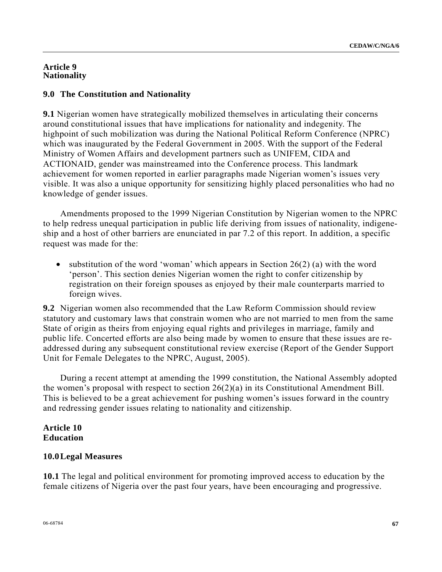## **Article 9 Nationality**

# **9.0 The Constitution and Nationality**

**9.1** Nigerian women have strategically mobilized themselves in articulating their concerns around constitutional issues that have implications for nationality and indegenity. The highpoint of such mobilization was during the National Political Reform Conference (NPRC) which was inaugurated by the Federal Government in 2005. With the support of the Federal Ministry of Women Affairs and development partners such as UNIFEM, CIDA and ACTIONAID, gender was mainstreamed into the Conference process. This landmark achievement for women reported in earlier paragraphs made Nigerian women's issues very visible. It was also a unique opportunity for sensitizing highly placed personalities who had no knowledge of gender issues.

 Amendments proposed to the 1999 Nigerian Constitution by Nigerian women to the NPRC to help redress unequal participation in public life deriving from issues of nationality, indigeneship and a host of other barriers are enunciated in par 7.2 of this report. In addition, a specific request was made for the:

• substitution of the word 'woman' which appears in Section  $26(2)$  (a) with the word 'person'. This section denies Nigerian women the right to confer citizenship by registration on their foreign spouses as enjoyed by their male counterparts married to foreign wives.

**9.2** Nigerian women also recommended that the Law Reform Commission should review statutory and customary laws that constrain women who are not married to men from the same State of origin as theirs from enjoying equal rights and privileges in marriage, family and public life. Concerted efforts are also being made by women to ensure that these issues are readdressed during any subsequent constitutional review exercise (Report of the Gender Support Unit for Female Delegates to the NPRC, August, 2005).

 During a recent attempt at amending the 1999 constitution, the National Assembly adopted the women's proposal with respect to section 26(2)(a) in its Constitutional Amendment Bill. This is believed to be a great achievement for pushing women's issues forward in the country and redressing gender issues relating to nationality and citizenship.

# **Article 10 Education**

## **10.0 Legal Measures**

**10.1** The legal and political environment for promoting improved access to education by the female citizens of Nigeria over the past four years, have been encouraging and progressive.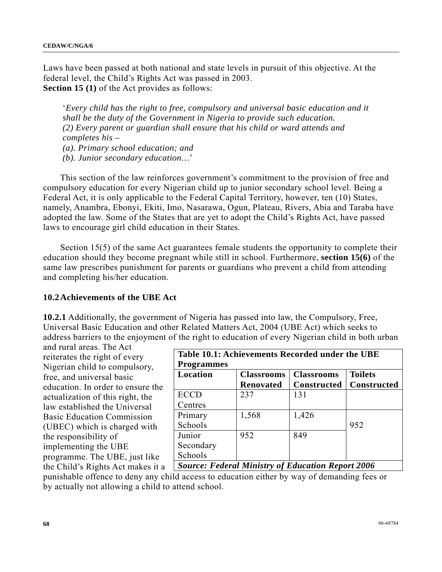Laws have been passed at both national and state levels in pursuit of this objective. At the federal level, the Child's Rights Act was passed in 2003. **Section 15 (1)** of the Act provides as follows:

'*Every child has the right to free, compulsory and universal basic education and it shall be the duty of the Government in Nigeria to provide such education. (2) Every parent or guardian shall ensure that his child or ward attends and completes his – (a). Primary school education; and (b). Junior secondary education…*'

 This section of the law reinforces government's commitment to the provision of free and compulsory education for every Nigerian child up to junior secondary school level. Being a Federal Act, it is only applicable to the Federal Capital Territory, however, ten (10) States, namely, Anambra, Ebonyi, Ekiti, Imo, Nasarawa, Ogun, Plateau, Rivers, Abia and Taraba have adopted the law. Some of the States that are yet to adopt the Child's Rights Act, have passed laws to encourage girl child education in their States.

Section 15(5) of the same Act guarantees female students the opportunity to complete their education should they become pregnant while still in school. Furthermore, **section 15(6)** of the same law prescribes punishment for parents or guardians who prevent a child from attending and completing his/her education.

## **10.2 Achievements of the UBE Act**

**10.2.1** Additionally, the government of Nigeria has passed into law, the Compulsory, Free, Universal Basic Education and other Related Matters Act, 2004 (UBE Act) which seeks to address barriers to the enjoyment of the right to education of every Nigerian child in both urban

and rural areas. The Act reiterates the right of every Nigerian child to compulsory, free, and universal basic education. In order to ensure the actualization of this right, the law established the Universal Basic Education Commission (UBEC) which is charged with the responsibility of implementing the UBE programme. The UBE, just like the Child's Rights Act makes it a

| Table 10.1: Achievements Recorded under the UBE |                   |                          |                      |  |  |  |  |
|-------------------------------------------------|-------------------|--------------------------|----------------------|--|--|--|--|
| <b>Programmes</b>                               |                   |                          |                      |  |  |  |  |
| Location                                        | <b>Classrooms</b> | <b>Classrooms</b>        | <b>Toilets</b>       |  |  |  |  |
|                                                 | <b>Renovated</b>  | <b>Constructed</b>       | <b>Constructed</b>   |  |  |  |  |
| <b>ECCD</b>                                     | 237               | 131                      |                      |  |  |  |  |
| Centres                                         |                   |                          |                      |  |  |  |  |
| Primary                                         | 1,568             | 1,426                    |                      |  |  |  |  |
| Schools                                         |                   |                          | 952                  |  |  |  |  |
| Junior                                          | 952               | 849                      |                      |  |  |  |  |
| Secondary                                       |                   |                          |                      |  |  |  |  |
| Schools                                         |                   |                          |                      |  |  |  |  |
| $\overline{\phantom{a}}$                        |                   | $\overline{\phantom{a}}$ | $\sim$ $\sim$ $\sim$ |  |  |  |  |

*Source: Federal Ministry of Education Report 2006* 

punishable offence to deny any child access to education either by way of demanding fees or by actually not allowing a child to attend school.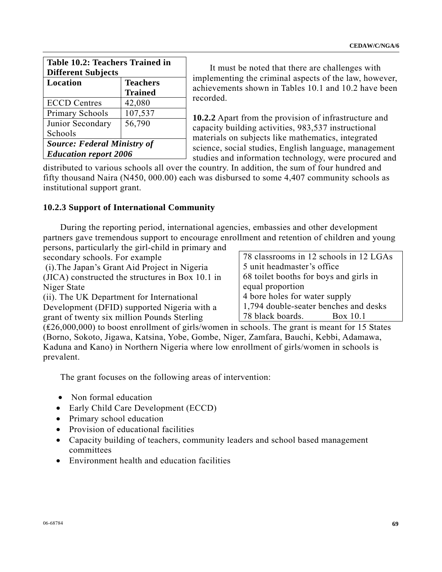| Table 10.2: Teachers Trained in<br><b>Different Subjects</b> |         |  |  |  |  |
|--------------------------------------------------------------|---------|--|--|--|--|
| Location<br><b>Teachers</b><br><b>Trained</b>                |         |  |  |  |  |
| <b>ECCD</b> Centres                                          | 42,080  |  |  |  |  |
| Primary Schools                                              | 107,537 |  |  |  |  |
| Junior Secondary                                             | 56,790  |  |  |  |  |
| Schools                                                      |         |  |  |  |  |
| <b>Source: Federal Ministry of</b>                           |         |  |  |  |  |
| <b>Education report 2006</b>                                 |         |  |  |  |  |

 It must be noted that there are challenges with implementing the criminal aspects of the law, however, achievements shown in Tables 10.1 and 10.2 have been recorded.

**10.2.2** Apart from the provision of infrastructure and capacity building activities, 983,537 instructional materials on subjects like mathematics, integrated science, social studies, English language, management studies and information technology, were procured and

distributed to various schools all over the country. In addition, the sum of four hundred and fifty thousand Naira (N450, 000.00) each was disbursed to some 4,407 community schools as institutional support grant.

# **10.2.3 Support of International Community**

 During the reporting period, international agencies, embassies and other development partners gave tremendous support to encourage enrollment and retention of children and young persons, particularly the girl-child in primary and

secondary schools. For example

 (i).The Japan's Grant Aid Project in Nigeria (JICA) constructed the structures in Box 10.1 in Niger State

(ii). The UK Department for International Development (DFID) supported Nigeria with a grant of twenty six million Pounds Sterling

78 classrooms in 12 schools in 12 LGAs 5 unit headmaster's office 68 toilet booths for boys and girls in equal proportion 4 bore holes for water supply 1,794 double-seater benches and desks 78 black boards. Box 10.1

(₤26,000,000) to boost enrollment of girls/women in schools. The grant is meant for 15 States (Borno, Sokoto, Jigawa, Katsina, Yobe, Gombe, Niger, Zamfara, Bauchi, Kebbi, Adamawa, Kaduna and Kano) in Northern Nigeria where low enrollment of girls/women in schools is prevalent.

The grant focuses on the following areas of intervention:

- Non formal education
- Early Child Care Development (ECCD)
- Primary school education
- Provision of educational facilities
- Capacity building of teachers, community leaders and school based management committees
- Environment health and education facilities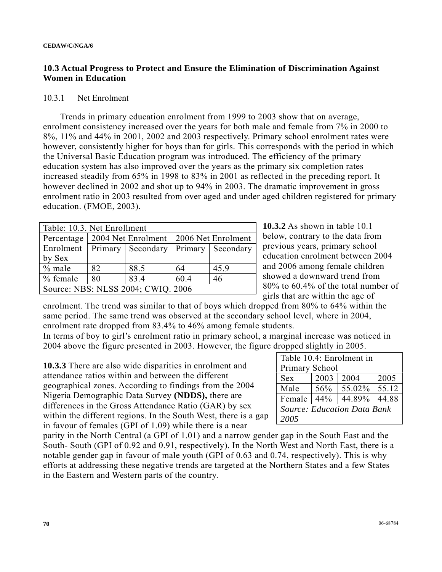# **10.3 Actual Progress to Protect and Ensure the Elimination of Discrimination Against Women in Education**

#### 10.3.1 Net Enrolment

 Trends in primary education enrolment from 1999 to 2003 show that on average, enrolment consistency increased over the years for both male and female from 7% in 2000 to 8%, 11% and 44% in 2001, 2002 and 2003 respectively. Primary school enrolment rates were however, consistently higher for boys than for girls. This corresponds with the period in which the Universal Basic Education program was introduced. The efficiency of the primary education system has also improved over the years as the primary six completion rates increased steadily from 65% in 1998 to 83% in 2001 as reflected in the preceding report. It however declined in 2002 and shot up to 94% in 2003. The dramatic improvement in gross enrolment ratio in 2003 resulted from over aged and under aged children registered for primary education. (FMOE, 2003).

| Table: 10.3. Net Enrollment        |    |                     |                    |                   |  |  |
|------------------------------------|----|---------------------|--------------------|-------------------|--|--|
| Percentage                         |    | 2004 Net Enrolment  | 2006 Net Enrolment |                   |  |  |
| Enrolment                          |    | Primary   Secondary |                    | Primary Secondary |  |  |
| by Sex                             |    |                     |                    |                   |  |  |
| $%$ male                           | 82 | 88.5                | 64                 | 45.9              |  |  |
| $%$ female                         | 80 | 83.4                | 60.4               | 46                |  |  |
| Source: NBS: NLSS 2004; CWIQ. 2006 |    |                     |                    |                   |  |  |

**10.3.2** As shown in table 10.1 below, contrary to the data from previous years, primary school education enrolment between 2004 and 2006 among female children showed a downward trend from 80% to 60.4% of the total number of girls that are within the age of

enrolment. The trend was similar to that of boys which dropped from 80% to 64% within the same period. The same trend was observed at the secondary school level, where in 2004, enrolment rate dropped from 83.4% to 46% among female students.

In terms of boy to girl's enrolment ratio in primary school, a marginal increase was noticed in 2004 above the figure presented in 2003. However, the figure dropped slightly in 2005.

**10.3.3** There are also wide disparities in enrolment and attendance ratios within and between the different geographical zones. According to findings from the 2004 Nigeria Demographic Data Survey **(NDDS),** there are differences in the Gross Attendance Ratio (GAR) by sex within the different regions. In the South West, there is a gap in favour of females (GPI of 1.09) while there is a near

| Table 10.4: Enrolment in           |      |        |       |  |  |  |
|------------------------------------|------|--------|-------|--|--|--|
| Primary School                     |      |        |       |  |  |  |
| <b>Sex</b>                         | 2003 | 2004   | 2005  |  |  |  |
| Male                               | 56%  | 55.02% | 55.12 |  |  |  |
| Female                             | 44%  | 44.89% | 44.88 |  |  |  |
| <b>Source: Education Data Bank</b> |      |        |       |  |  |  |
| 2005                               |      |        |       |  |  |  |

parity in the North Central (a GPI of 1.01) and a narrow gender gap in the South East and the South- South (GPI of 0.92 and 0.91, respectively). In the North West and North East, there is a notable gender gap in favour of male youth (GPI of 0.63 and 0.74, respectively). This is why efforts at addressing these negative trends are targeted at the Northern States and a few States in the Eastern and Western parts of the country.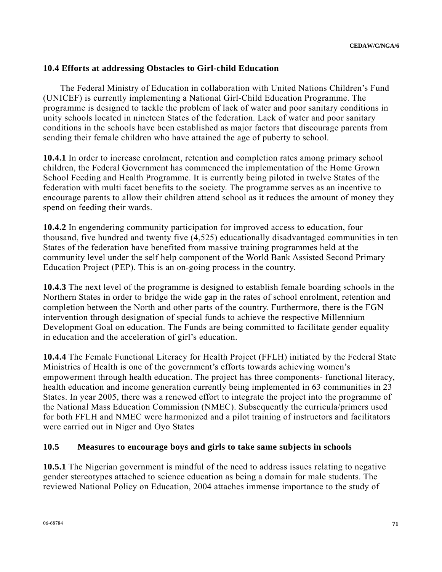# **10.4 Efforts at addressing Obstacles to Girl-child Education**

 The Federal Ministry of Education in collaboration with United Nations Children's Fund (UNICEF) is currently implementing a National Girl-Child Education Programme. The programme is designed to tackle the problem of lack of water and poor sanitary conditions in unity schools located in nineteen States of the federation. Lack of water and poor sanitary conditions in the schools have been established as major factors that discourage parents from sending their female children who have attained the age of puberty to school.

**10.4.1** In order to increase enrolment, retention and completion rates among primary school children, the Federal Government has commenced the implementation of the Home Grown School Feeding and Health Programme. It is currently being piloted in twelve States of the federation with multi facet benefits to the society. The programme serves as an incentive to encourage parents to allow their children attend school as it reduces the amount of money they spend on feeding their wards.

**10.4.2** In engendering community participation for improved access to education, four thousand, five hundred and twenty five (4,525) educationally disadvantaged communities in ten States of the federation have benefited from massive training programmes held at the community level under the self help component of the World Bank Assisted Second Primary Education Project (PEP). This is an on-going process in the country.

**10.4.3** The next level of the programme is designed to establish female boarding schools in the Northern States in order to bridge the wide gap in the rates of school enrolment, retention and completion between the North and other parts of the country. Furthermore, there is the FGN intervention through designation of special funds to achieve the respective Millennium Development Goal on education. The Funds are being committed to facilitate gender equality in education and the acceleration of girl's education.

**10.4.4** The Female Functional Literacy for Health Project (FFLH) initiated by the Federal State Ministries of Health is one of the government's efforts towards achieving women's empowerment through health education. The project has three components- functional literacy, health education and income generation currently being implemented in 63 communities in 23 States. In year 2005, there was a renewed effort to integrate the project into the programme of the National Mass Education Commission (NMEC). Subsequently the curricula/primers used for both FFLH and NMEC were harmonized and a pilot training of instructors and facilitators were carried out in Niger and Oyo States

# **10.5 Measures to encourage boys and girls to take same subjects in schools**

**10.5.1** The Nigerian government is mindful of the need to address issues relating to negative gender stereotypes attached to science education as being a domain for male students. The reviewed National Policy on Education, 2004 attaches immense importance to the study of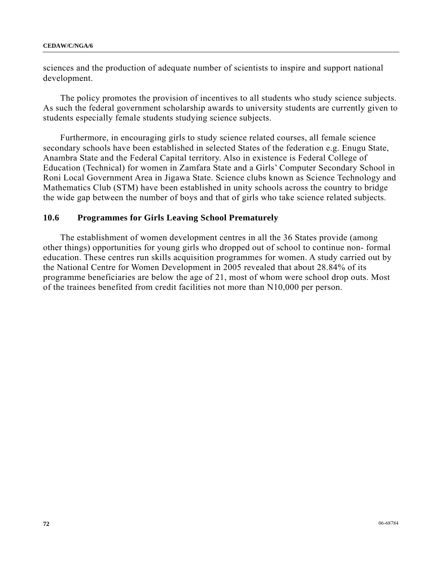sciences and the production of adequate number of scientists to inspire and support national development.

 The policy promotes the provision of incentives to all students who study science subjects. As such the federal government scholarship awards to university students are currently given to students especially female students studying science subjects.

 Furthermore, in encouraging girls to study science related courses, all female science secondary schools have been established in selected States of the federation e.g. Enugu State, Anambra State and the Federal Capital territory. Also in existence is Federal College of Education (Technical) for women in Zamfara State and a Girls' Computer Secondary School in Roni Local Government Area in Jigawa State. Science clubs known as Science Technology and Mathematics Club (STM) have been established in unity schools across the country to bridge the wide gap between the number of boys and that of girls who take science related subjects.

#### **10.6 Programmes for Girls Leaving School Prematurely**

 The establishment of women development centres in all the 36 States provide (among other things) opportunities for young girls who dropped out of school to continue non- formal education. These centres run skills acquisition programmes for women. A study carried out by the National Centre for Women Development in 2005 revealed that about 28.84% of its programme beneficiaries are below the age of 21, most of whom were school drop outs. Most of the trainees benefited from credit facilities not more than N10,000 per person.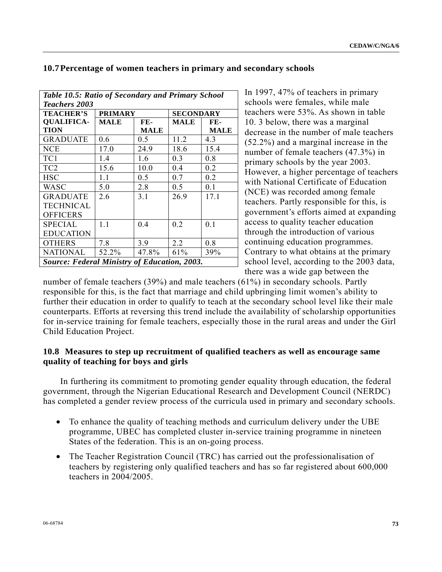| Table 10.5: Ratio of Secondary and Primary School   |                |             |                  |                |  |  |
|-----------------------------------------------------|----------------|-------------|------------------|----------------|--|--|
| Teachers 2003                                       |                |             |                  |                |  |  |
| <b>TEACHER'S</b>                                    | <b>PRIMARY</b> |             | <b>SECONDARY</b> |                |  |  |
| <b>OUALIFICA-</b>                                   | <b>MALE</b>    | FE-         | <b>MALE</b>      | $FE-$          |  |  |
| TION                                                |                | <b>MALE</b> |                  | <b>MALE</b>    |  |  |
| GRADUATE                                            | 0.6            | 0.5         | 11.2             | 4.3            |  |  |
| NCE                                                 | 17.0           | 24.9        | 18.6             | 15.4           |  |  |
| TC1                                                 | 1.4            | 1.6         | 0.3              | 0.8            |  |  |
| TC <sub>2</sub>                                     | 15.6           | 10.0        | 0.4              | 0.2            |  |  |
| HSC                                                 | 1.1            | 0.5         | 0.7              | 0.2            |  |  |
| WASC                                                | 5.0            | 2.8         | 0.5              | 0 <sub>1</sub> |  |  |
| <b>GRADUATE</b>                                     | 26             | 3.1         | 26.9             | 17.1           |  |  |
| <b>TECHNICAL</b>                                    |                |             |                  |                |  |  |
| <b>OFFICERS</b>                                     |                |             |                  |                |  |  |
| <b>SPECIAL</b>                                      | $1\;1$         | 04          | 0.2              | 0.1            |  |  |
| <b>EDUCATION</b>                                    |                |             |                  |                |  |  |
| <b>OTHERS</b>                                       | 7.8            | 3.9         | 2.2              | 0.8            |  |  |
| <b>NATIONAL</b>                                     | 52.2%          | 47.8%       | 61%              | 39%            |  |  |
| <b>Source: Federal Ministry of Education, 2003.</b> |                |             |                  |                |  |  |

#### **10.7 Percentage of women teachers in primary and secondary schools**

In 1997, 47% of teachers in primary schools were females, while male teachers were 53%. As shown in table 10. 3 below, there was a marginal decrease in the number of male teachers (52.2%) and a marginal increase in the number of female teachers (47.3%) in primary schools by the year 2003. However, a higher percentage of teachers with National Certificate of Education (NCE) was recorded among female teachers. Partly responsible for this, is government's efforts aimed at expanding access to quality teacher education through the introduction of various continuing education programmes. Contrary to what obtains at the primary school level, according to the 2003 data, there was a wide gap between the

number of female teachers (39%) and male teachers (61%) in secondary schools. Partly responsible for this, is the fact that marriage and child upbringing limit women's ability to further their education in order to qualify to teach at the secondary school level like their male counterparts. Efforts at reversing this trend include the availability of scholarship opportunities for in-service training for female teachers, especially those in the rural areas and under the Girl Child Education Project.

## **10.8 Measures to step up recruitment of qualified teachers as well as encourage same quality of teaching for boys and girls**

 In furthering its commitment to promoting gender equality through education, the federal government, through the Nigerian Educational Research and Development Council (NERDC) has completed a gender review process of the curricula used in primary and secondary schools.

- To enhance the quality of teaching methods and curriculum delivery under the UBE programme, UBEC has completed cluster in-service training programme in nineteen States of the federation. This is an on-going process.
- The Teacher Registration Council (TRC) has carried out the professionalisation of teachers by registering only qualified teachers and has so far registered about 600,000 teachers in 2004/2005.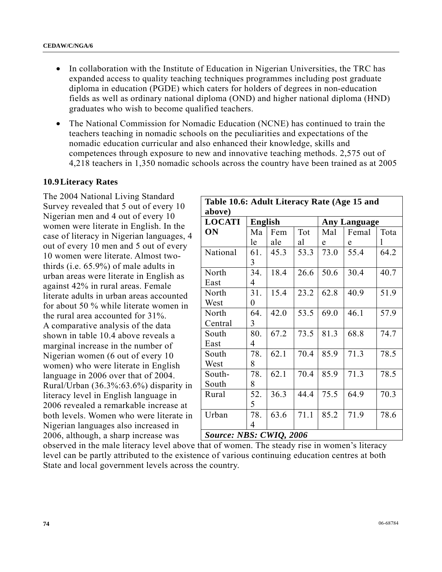- In collaboration with the Institute of Education in Nigerian Universities, the TRC has expanded access to quality teaching techniques programmes including post graduate diploma in education (PGDE) which caters for holders of degrees in non-education fields as well as ordinary national diploma (OND) and higher national diploma (HND) graduates who wish to become qualified teachers.
- The National Commission for Nomadic Education (NCNE) has continued to train the teachers teaching in nomadic schools on the peculiarities and expectations of the nomadic education curricular and also enhanced their knowledge, skills and competences through exposure to new and innovative teaching methods. 2,575 out of 4,218 teachers in 1,350 nomadic schools across the country have been trained as at 2005

#### **10.9 Literacy Rates**

The 2004 National Living Standard Survey revealed that 5 out of every 10 Nigerian men and 4 out of every 10 women were literate in English. In the case of literacy in Nigerian languages, 4 out of every 10 men and 5 out of every 10 women were literate. Almost twothirds (i.e. 65.9%) of male adults in urban areas were literate in English as against 42% in rural areas. Female literate adults in urban areas accounted for about 50 % while literate women in the rural area accounted for 31%. A comparative analysis of the data shown in table 10.4 above reveals a marginal increase in the number of Nigerian women (6 out of every 10 women) who were literate in English language in 2006 over that of 2004. Rural/Urban (36.3%:63.6%) disparity in literacy level in English language in 2006 revealed a remarkable increase at both levels. Women who were literate in Nigerian languages also increased in 2006, although, a sharp increase was

| Table 10.6: Adult Literacy Rate (Age 15 and |                |      |      |                     |       |      |  |
|---------------------------------------------|----------------|------|------|---------------------|-------|------|--|
| above)                                      |                |      |      |                     |       |      |  |
| <b>LOCATI</b>                               | <b>English</b> |      |      | <b>Any Language</b> |       |      |  |
| <b>ON</b>                                   | Ma             | Fem  | Tot  | Mal                 | Femal | Tota |  |
|                                             | le             | ale  | al   | e                   | e     | 1    |  |
| National                                    | 61.            | 45.3 | 53.3 | 73.0                | 55.4  | 64.2 |  |
|                                             | 3              |      |      |                     |       |      |  |
| North                                       | 34.            | 18.4 | 26.6 | 50.6                | 30.4  | 40.7 |  |
| East                                        | 4              |      |      |                     |       |      |  |
| North                                       | 31.            | 15.4 | 23.2 | 62.8                | 40.9  | 51.9 |  |
| West                                        | 0              |      |      |                     |       |      |  |
| North                                       | 64.            | 42.0 | 53.5 | 69.0                | 46.1  | 57.9 |  |
| Central                                     | 3              |      |      |                     |       |      |  |
| South                                       | 80.            | 67.2 | 73.5 | 81.3                | 68.8  | 74.7 |  |
| East                                        | 4              |      |      |                     |       |      |  |
| South                                       | 78.            | 62.1 | 70.4 | 85.9                | 71.3  | 78.5 |  |
| West                                        | 8              |      |      |                     |       |      |  |
| South-                                      | 78.            | 62.1 | 70.4 | 85.9                | 71.3  | 78.5 |  |
| South                                       | 8              |      |      |                     |       |      |  |
| Rural                                       | 52.            | 36.3 | 44.4 | 75.5                | 64.9  | 70.3 |  |
|                                             | 5              |      |      |                     |       |      |  |
| Urban                                       | 78.            | 63.6 | 71.1 | 85.2                | 71.9  | 78.6 |  |
|                                             | 4              |      |      |                     |       |      |  |
| <b>Source: NBS: CWIQ, 2006</b>              |                |      |      |                     |       |      |  |

observed in the male literacy level above that of women. The steady rise in women's literacy level can be partly attributed to the existence of various continuing education centres at both State and local government levels across the country.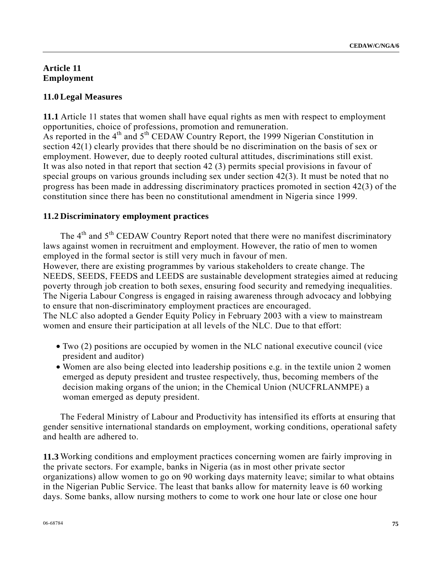#### **Article 11 Employment**

## **11.0 Legal Measures**

**11.1** Article 11 states that women shall have equal rights as men with respect to employment opportunities, choice of professions, promotion and remuneration. As reported in the  $4<sup>th</sup>$  and  $5<sup>th</sup>$  CEDAW Country Report, the 1999 Nigerian Constitution in section 42(1) clearly provides that there should be no discrimination on the basis of sex or employment. However, due to deeply rooted cultural attitudes, discriminations still exist. It was also noted in that report that section 42 (3) permits special provisions in favour of special groups on various grounds including sex under section 42(3). It must be noted that no progress has been made in addressing discriminatory practices promoted in section 42(3) of the constitution since there has been no constitutional amendment in Nigeria since 1999.

## **11.2 Discriminatory employment practices**

The 4<sup>th</sup> and 5<sup>th</sup> CEDAW Country Report noted that there were no manifest discriminatory laws against women in recruitment and employment. However, the ratio of men to women employed in the formal sector is still very much in favour of men.

However, there are existing programmes by various stakeholders to create change. The NEEDS, SEEDS, FEEDS and LEEDS are sustainable development strategies aimed at reducing poverty through job creation to both sexes, ensuring food security and remedying inequalities. The Nigeria Labour Congress is engaged in raising awareness through advocacy and lobbying to ensure that non-discriminatory employment practices are encouraged.

The NLC also adopted a Gender Equity Policy in February 2003 with a view to mainstream women and ensure their participation at all levels of the NLC. Due to that effort:

- Two (2) positions are occupied by women in the NLC national executive council (vice president and auditor)
- Women are also being elected into leadership positions e.g. in the textile union 2 women emerged as deputy president and trustee respectively, thus, becoming members of the decision making organs of the union; in the Chemical Union (NUCFRLANMPE) a woman emerged as deputy president.

 The Federal Ministry of Labour and Productivity has intensified its efforts at ensuring that gender sensitive international standards on employment, working conditions, operational safety and health are adhered to.

**11.3** Working conditions and employment practices concerning women are fairly improving in the private sectors. For example, banks in Nigeria (as in most other private sector organizations) allow women to go on 90 working days maternity leave; similar to what obtains in the Nigerian Public Service. The least that banks allow for maternity leave is 60 working days. Some banks, allow nursing mothers to come to work one hour late or close one hour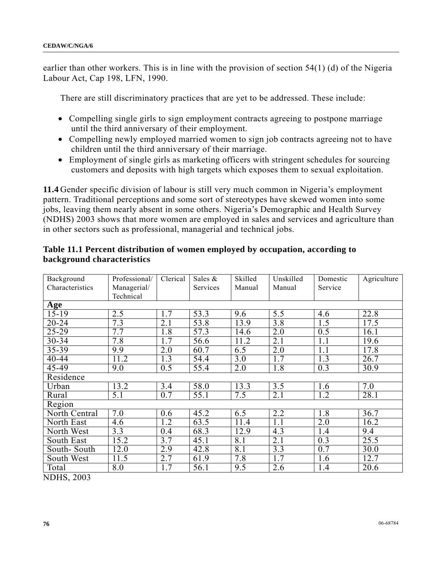earlier than other workers. This is in line with the provision of section 54(1) (d) of the Nigeria Labour Act, Cap 198, LFN, 1990.

There are still discriminatory practices that are yet to be addressed. These include:

- Compelling single girls to sign employment contracts agreeing to postpone marriage until the third anniversary of their employment.
- Compelling newly employed married women to sign job contracts agreeing not to have children until the third anniversary of their marriage.
- Employment of single girls as marketing officers with stringent schedules for sourcing customers and deposits with high targets which exposes them to sexual exploitation.

**11.4** Gender specific division of labour is still very much common in Nigeria's employment pattern. Traditional perceptions and some sort of stereotypes have skewed women into some jobs, leaving them nearly absent in some others. Nigeria's Demographic and Health Survey (NDHS) 2003 shows that more women are employed in sales and services and agriculture than in other sectors such as professional, managerial and technical jobs.

| Background      | Professional/    | Clerical         | Sales $\&$ | Skilled          | Unskilled        | Domestic         | Agriculture |
|-----------------|------------------|------------------|------------|------------------|------------------|------------------|-------------|
| Characteristics | Managerial/      |                  | Services   | Manual           | Manual           | Service          |             |
|                 | Technical        |                  |            |                  |                  |                  |             |
| Age             |                  |                  |            |                  |                  |                  |             |
| $15-19$         | 2.5              | 1.7              | 53.3       | 9.6              | 5.5              | 4.6              | 22.8        |
| $20 - 24$       | $\overline{7.3}$ | 2.1              | 53.8       | 13.9             | 3.8              | 1.5              | 17.5        |
| $25 - 29$       | 7.7              | 1.8              | 57.3       | 14.6             | 2.0              | 0.5              | 16.1        |
| 30-34           | 7.8              | 1.7              | 56.6       | 11.2             | 2.1              | 1.1              | 19.6        |
| $35 - 39$       | 9.9              | $\overline{2.0}$ | 60.7       | $\overline{6.5}$ | 2.0              | 1.1              | 17.8        |
| 40-44           | 11.2             | 1.3              | 54.4       | 3.0              | 1.7              | 1.3              | 26.7        |
| 45-49           | 9.0              | 0.5              | 55.4       | 2.0              | 1.8              | 0.3              | 30.9        |
| Residence       |                  |                  |            |                  |                  |                  |             |
| Urban           | 13.2             | 3.4              | 58.0       | 13.3             | 3.5              | 1.6              | 7.0         |
| Rural           | $\overline{5.1}$ | $\overline{0.7}$ | 55.1       | 7.5              | $\overline{2.1}$ | 1.2              | 28.1        |
| Region          |                  |                  |            |                  |                  |                  |             |
| North Central   | 7.0              | 0.6              | 45.2       | 6.5              | 2.2              | 1.8              | 36.7        |
| North East      | 4.6              | $\overline{1.2}$ | 63.5       | 11.4             | 1.1              | 2.0              | 16.2        |
| North West      | 3.3              | 0.4              | 68.3       | 12.9             | 4.3              | 1.4              | 9.4         |
| South East      | 15.2             | 3.7              | 45.1       | $\overline{8.1}$ | $\overline{2.1}$ | $\overline{0.3}$ | 25.5        |
| South-South     | 12.0             | 2.9              | 42.8       | 8.1              | 3.3              | 0.7              | 30.0        |
| South West      | 11.5             | 2.7              | 61.9       | 7.8              | 1.7              | 1.6              | 12.7        |
| Total           | $\overline{8.0}$ | 1.7              | 56.1       | 9.5              | $\overline{2.6}$ | 1.4              | 20.6        |

#### **Table 11.1 Percent distribution of women employed by occupation, according to background characteristics**

NDHS, 2003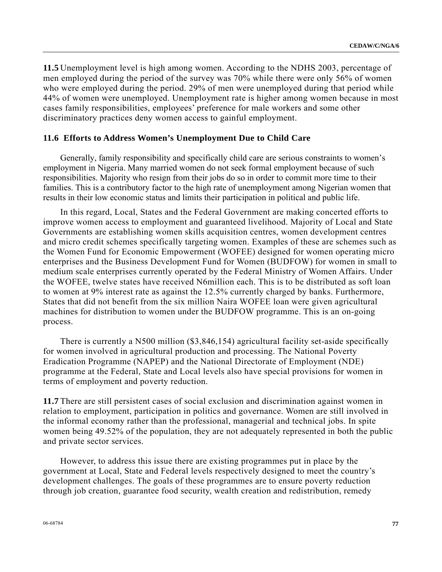**11.5** Unemployment level is high among women. According to the NDHS 2003, percentage of men employed during the period of the survey was 70% while there were only 56% of women who were employed during the period. 29% of men were unemployed during that period while 44% of women were unemployed. Unemployment rate is higher among women because in most cases family responsibilities, employees' preference for male workers and some other discriminatory practices deny women access to gainful employment.

#### **11.6 Efforts to Address Women's Unemployment Due to Child Care**

 Generally, family responsibility and specifically child care are serious constraints to women's employment in Nigeria. Many married women do not seek formal employment because of such responsibilities. Majority who resign from their jobs do so in order to commit more time to their families. This is a contributory factor to the high rate of unemployment among Nigerian women that results in their low economic status and limits their participation in political and public life.

 In this regard, Local, States and the Federal Government are making concerted efforts to improve women access to employment and guaranteed livelihood. Majority of Local and State Governments are establishing women skills acquisition centres, women development centres and micro credit schemes specifically targeting women. Examples of these are schemes such as the Women Fund for Economic Empowerment (WOFEE) designed for women operating micro enterprises and the Business Development Fund for Women (BUDFOW) for women in small to medium scale enterprises currently operated by the Federal Ministry of Women Affairs. Under the WOFEE, twelve states have received N6million each. This is to be distributed as soft loan to women at 9% interest rate as against the 12.5% currently charged by banks. Furthermore, States that did not benefit from the six million Naira WOFEE loan were given agricultural machines for distribution to women under the BUDFOW programme. This is an on-going process.

 There is currently a N500 million (\$3,846,154) agricultural facility set-aside specifically for women involved in agricultural production and processing. The National Poverty Eradication Programme (NAPEP) and the National Directorate of Employment (NDE) programme at the Federal, State and Local levels also have special provisions for women in terms of employment and poverty reduction.

**11.7** There are still persistent cases of social exclusion and discrimination against women in relation to employment, participation in politics and governance. Women are still involved in the informal economy rather than the professional, managerial and technical jobs. In spite women being 49.52% of the population, they are not adequately represented in both the public and private sector services.

 However, to address this issue there are existing programmes put in place by the government at Local, State and Federal levels respectively designed to meet the country's development challenges. The goals of these programmes are to ensure poverty reduction through job creation, guarantee food security, wealth creation and redistribution, remedy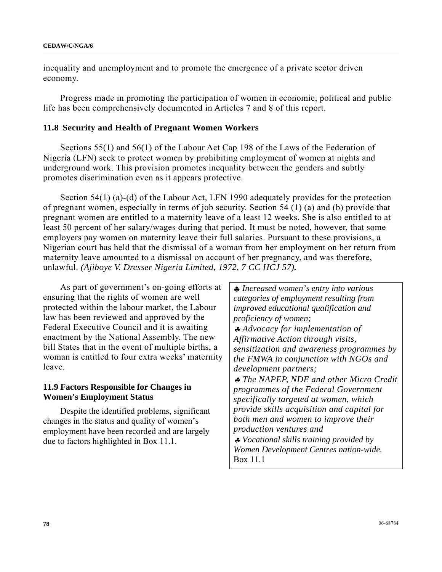inequality and unemployment and to promote the emergence of a private sector driven economy.

 Progress made in promoting the participation of women in economic, political and public life has been comprehensively documented in Articles 7 and 8 of this report.

#### **11.8 Security and Health of Pregnant Women Workers**

 Sections 55(1) and 56(1) of the Labour Act Cap 198 of the Laws of the Federation of Nigeria (LFN) seek to protect women by prohibiting employment of women at nights and underground work. This provision promotes inequality between the genders and subtly promotes discrimination even as it appears protective.

 Section 54(1) (a)-(d) of the Labour Act, LFN 1990 adequately provides for the protection of pregnant women, especially in terms of job security. Section 54 (1) (a) and (b) provide that pregnant women are entitled to a maternity leave of a least 12 weeks. She is also entitled to at least 50 percent of her salary/wages during that period. It must be noted, however, that some employers pay women on maternity leave their full salaries. Pursuant to these provisions, a Nigerian court has held that the dismissal of a woman from her employment on her return from maternity leave amounted to a dismissal on account of her pregnancy, and was therefore, unlawful. *(Ajiboye V. Dresser Nigeria Limited, 1972, 7 CC HCJ 57).* 

 As part of government's on-going efforts at ensuring that the rights of women are well protected within the labour market, the Labour law has been reviewed and approved by the Federal Executive Council and it is awaiting enactment by the National Assembly. The new bill States that in the event of multiple births, a woman is entitled to four extra weeks' maternity leave.

#### **11.9 Factors Responsible for Changes in Women's Employment Status**

 Despite the identified problems, significant changes in the status and quality of women's employment have been recorded and are largely due to factors highlighted in Box 11.1.

♣ *Increased women's entry into various categories of employment resulting from improved educational qualification and proficiency of women;*  ♣ *Advocacy for implementation of Affirmative Action through visits, sensitization and awareness programmes by the FMWA in conjunction with NGOs and development partners;*  ♣ *The NAPEP, NDE and other Micro Credit programmes of the Federal Government specifically targeted at women, which provide skills acquisition and capital for both men and women to improve their production ventures and*  ♣ *Vocational skills training provided by Women Development Centres nation-wide.* Box 11.1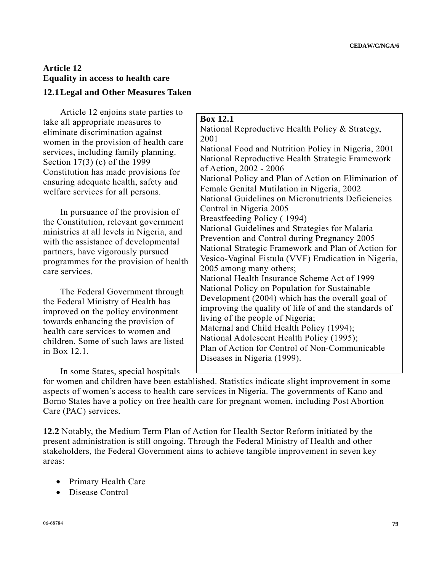# **Article 12 Equality in access to health care**

## **12.1 Legal and Other Measures Taken**

 Article 12 enjoins state parties to take all appropriate measures to eliminate discrimination against women in the provision of health care services, including family planning. Section 17(3) (c) of the 1999 Constitution has made provisions for ensuring adequate health, safety and welfare services for all persons.

 In pursuance of the provision of the Constitution, relevant government ministries at all levels in Nigeria, and with the assistance of developmental partners, have vigorously pursued programmes for the provision of health care services.

 The Federal Government through the Federal Ministry of Health has improved on the policy environment towards enhancing the provision of health care services to women and children. Some of such laws are listed in Box 12.1.

In some States, special hospitals

#### **Box 12.1**

National Reproductive Health Policy & Strategy, 2001 National Food and Nutrition Policy in Nigeria, 2001 National Reproductive Health Strategic Framework of Action, 2002 - 2006 National Policy and Plan of Action on Elimination of Female Genital Mutilation in Nigeria, 2002 National Guidelines on Micronutrients Deficiencies Control in Nigeria 2005 Breastfeeding Policy ( 1994) National Guidelines and Strategies for Malaria Prevention and Control during Pregnancy 2005 National Strategic Framework and Plan of Action for Vesico-Vaginal Fistula (VVF) Eradication in Nigeria, 2005 among many others; National Health Insurance Scheme Act of 1999 National Policy on Population for Sustainable Development (2004) which has the overall goal of improving the quality of life of and the standards of living of the people of Nigeria; Maternal and Child Health Policy (1994); National Adolescent Health Policy (1995); Plan of Action for Control of Non-Communicable Diseases in Nigeria (1999).

for women and children have been established. Statistics indicate slight improvement in some aspects of women's access to health care services in Nigeria. The governments of Kano and Borno States have a policy on free health care for pregnant women, including Post Abortion Care (PAC) services.

**12.2** Notably, the Medium Term Plan of Action for Health Sector Reform initiated by the present administration is still ongoing. Through the Federal Ministry of Health and other stakeholders, the Federal Government aims to achieve tangible improvement in seven key areas:

- Primary Health Care
- Disease Control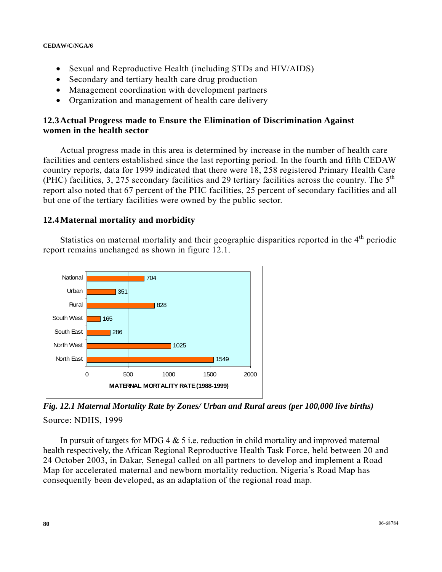- Sexual and Reproductive Health (including STDs and HIV/AIDS)
- Secondary and tertiary health care drug production
- Management coordination with development partners
- Organization and management of health care delivery

#### **12.3 Actual Progress made to Ensure the Elimination of Discrimination Against women in the health sector**

 Actual progress made in this area is determined by increase in the number of health care facilities and centers established since the last reporting period. In the fourth and fifth CEDAW country reports, data for 1999 indicated that there were 18, 258 registered Primary Health Care (PHC) facilities, 3, 275 secondary facilities and 29 tertiary facilities across the country. The  $5<sup>th</sup>$ report also noted that 67 percent of the PHC facilities, 25 percent of secondary facilities and all but one of the tertiary facilities were owned by the public sector.

#### **12.4 Maternal mortality and morbidity**

Statistics on maternal mortality and their geographic disparities reported in the  $4<sup>th</sup>$  periodic report remains unchanged as shown in figure 12.1.



*Fig. 12.1 Maternal Mortality Rate by Zones/ Urban and Rural areas (per 100,000 live births)*  Source: NDHS, 1999

In pursuit of targets for MDG 4  $&$  5 i.e. reduction in child mortality and improved maternal health respectively, the African Regional Reproductive Health Task Force, held between 20 and 24 October 2003, in Dakar, Senegal called on all partners to develop and implement a Road Map for accelerated maternal and newborn mortality reduction. Nigeria's Road Map has consequently been developed, as an adaptation of the regional road map.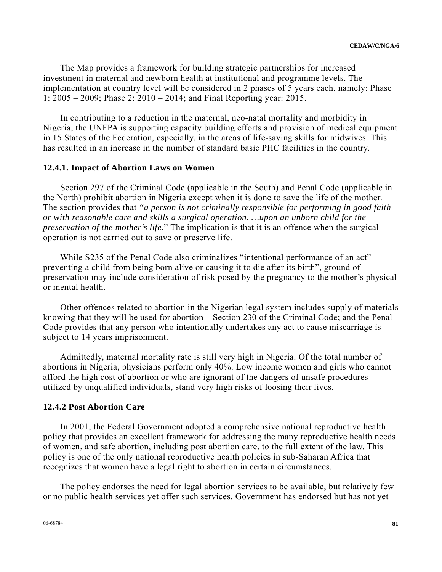The Map provides a framework for building strategic partnerships for increased investment in maternal and newborn health at institutional and programme levels. The implementation at country level will be considered in 2 phases of 5 years each, namely: Phase 1: 2005 – 2009; Phase 2: 2010 – 2014; and Final Reporting year: 2015.

 In contributing to a reduction in the maternal, neo-natal mortality and morbidity in Nigeria, the UNFPA is supporting capacity building efforts and provision of medical equipment in 15 States of the Federation, especially, in the areas of life-saving skills for midwives. This has resulted in an increase in the number of standard basic PHC facilities in the country.

#### **12.4.1. Impact of Abortion Laws on Women**

 Section 297 of the Criminal Code (applicable in the South) and Penal Code (applicable in the North) prohibit abortion in Nigeria except when it is done to save the life of the mother. The section provides that *"a person is not criminally responsible for performing in good faith or with reasonable care and skills a surgical operation. …upon an unborn child for the preservation of the mother's life*." The implication is that it is an offence when the surgical operation is not carried out to save or preserve life.

While S235 of the Penal Code also criminalizes "intentional performance of an act" preventing a child from being born alive or causing it to die after its birth", ground of preservation may include consideration of risk posed by the pregnancy to the mother's physical or mental health.

 Other offences related to abortion in the Nigerian legal system includes supply of materials knowing that they will be used for abortion – Section 230 of the Criminal Code; and the Penal Code provides that any person who intentionally undertakes any act to cause miscarriage is subject to 14 years imprisonment.

 Admittedly, maternal mortality rate is still very high in Nigeria. Of the total number of abortions in Nigeria, physicians perform only 40%. Low income women and girls who cannot afford the high cost of abortion or who are ignorant of the dangers of unsafe procedures utilized by unqualified individuals, stand very high risks of loosing their lives.

#### **12.4.2 Post Abortion Care**

 In 2001, the Federal Government adopted a comprehensive national reproductive health policy that provides an excellent framework for addressing the many reproductive health needs of women, and safe abortion, including post abortion care, to the full extent of the law. This policy is one of the only national reproductive health policies in sub-Saharan Africa that recognizes that women have a legal right to abortion in certain circumstances.

 The policy endorses the need for legal abortion services to be available, but relatively few or no public health services yet offer such services. Government has endorsed but has not yet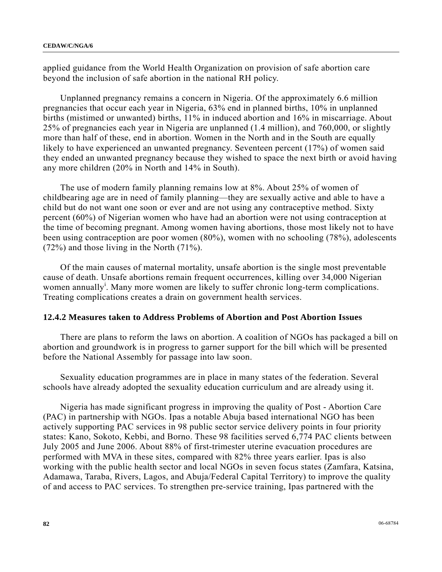applied guidance from the World Health Organization on provision of safe abortion care beyond the inclusion of safe abortion in the national RH policy.

 Unplanned pregnancy remains a concern in Nigeria. Of the approximately 6.6 million pregnancies that occur each year in Nigeria, 63% end in planned births, 10% in unplanned births (mistimed or unwanted) births, 11% in induced abortion and 16% in miscarriage. About 25% of pregnancies each year in Nigeria are unplanned (1.4 million), and 760,000, or slightly more than half of these, end in abortion. Women in the North and in the South are equally likely to have experienced an unwanted pregnancy. Seventeen percent (17%) of women said they ended an unwanted pregnancy because they wished to space the next birth or avoid having any more children (20% in North and 14% in South).

 The use of modern family planning remains low at 8%. About 25% of women of childbearing age are in need of family planning—they are sexually active and able to have a child but do not want one soon or ever and are not using any contraceptive method. Sixty percent (60%) of Nigerian women who have had an abortion were not using contraception at the time of becoming pregnant. Among women having abortions, those most likely not to have been using contraception are poor women (80%), women with no schooling (78%), adolescents (72%) and those living in the North (71%).

 Of the main causes of maternal mortality, unsafe abortion is the single most preventable cause of death. Unsafe abortions remain frequent occurrences, killing over 34,000 Nigerian women annually<sup>i</sup>. Many more women are likely to suffer chronic long-term complications. Treating complications creates a drain on government health services.

#### **12.4.2 Measures taken to Address Problems of Abortion and Post Abortion Issues**

 There are plans to reform the laws on abortion. A coalition of NGOs has packaged a bill on abortion and groundwork is in progress to garner support for the bill which will be presented before the National Assembly for passage into law soon.

 Sexuality education programmes are in place in many states of the federation. Several schools have already adopted the sexuality education curriculum and are already using it.

 Nigeria has made significant progress in improving the quality of Post - Abortion Care (PAC) in partnership with NGOs. Ipas a notable Abuja based international NGO has been actively supporting PAC services in 98 public sector service delivery points in four priority states: Kano, Sokoto, Kebbi, and Borno. These 98 facilities served 6,774 PAC clients between July 2005 and June 2006. About 88% of first-trimester uterine evacuation procedures are performed with MVA in these sites, compared with 82% three years earlier. Ipas is also working with the public health sector and local NGOs in seven focus states (Zamfara, Katsina, Adamawa, Taraba, Rivers, Lagos, and Abuja/Federal Capital Territory) to improve the quality of and access to PAC services. To strengthen pre-service training, Ipas partnered with the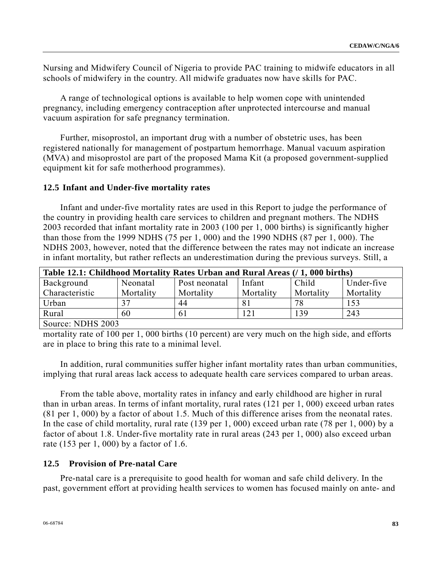Nursing and Midwifery Council of Nigeria to provide PAC training to midwife educators in all schools of midwifery in the country. All midwife graduates now have skills for PAC.

 A range of technological options is available to help women cope with unintended pregnancy, including emergency contraception after unprotected intercourse and manual vacuum aspiration for safe pregnancy termination.

 Further, misoprostol, an important drug with a number of obstetric uses, has been registered nationally for management of postpartum hemorrhage. Manual vacuum aspiration (MVA) and misoprostol are part of the proposed Mama Kit (a proposed government-supplied equipment kit for safe motherhood programmes).

#### **12.5 Infant and Under-five mortality rates**

 Infant and under-five mortality rates are used in this Report to judge the performance of the country in providing health care services to children and pregnant mothers. The NDHS 2003 recorded that infant mortality rate in 2003 (100 per 1, 000 births) is significantly higher than those from the 1999 NDHS (75 per 1, 000) and the 1990 NDHS (87 per 1, 000). The NDHS 2003, however, noted that the difference between the rates may not indicate an increase in infant mortality, but rather reflects an underestimation during the previous surveys. Still, a

| Table 12.1: Childhood Mortality Rates Urban and Rural Areas (/ 1, 000 births) |           |               |           |           |            |  |  |
|-------------------------------------------------------------------------------|-----------|---------------|-----------|-----------|------------|--|--|
| Background                                                                    | Neonatal  | Post neonatal | Infant    | Child     | Under-five |  |  |
| Characteristic                                                                | Mortality | Mortality     | Mortality | Mortality | Mortality  |  |  |
| Urban                                                                         | 37        | 44            | 81        | 78        | 153        |  |  |
| Rural                                                                         | 60        | 61            | 121       | 139       | 243        |  |  |
| Source: NDHS 2003                                                             |           |               |           |           |            |  |  |

mortality rate of 100 per 1, 000 births (10 percent) are very much on the high side, and efforts are in place to bring this rate to a minimal level.

 In addition, rural communities suffer higher infant mortality rates than urban communities, implying that rural areas lack access to adequate health care services compared to urban areas.

 From the table above, mortality rates in infancy and early childhood are higher in rural than in urban areas. In terms of infant mortality, rural rates (121 per 1, 000) exceed urban rates (81 per 1, 000) by a factor of about 1.5. Much of this difference arises from the neonatal rates. In the case of child mortality, rural rate (139 per 1, 000) exceed urban rate (78 per 1, 000) by a factor of about 1.8. Under-five mortality rate in rural areas (243 per 1, 000) also exceed urban rate (153 per 1, 000) by a factor of 1.6.

#### **12.5 Provision of Pre-natal Care**

 Pre-natal care is a prerequisite to good health for woman and safe child delivery. In the past, government effort at providing health services to women has focused mainly on ante- and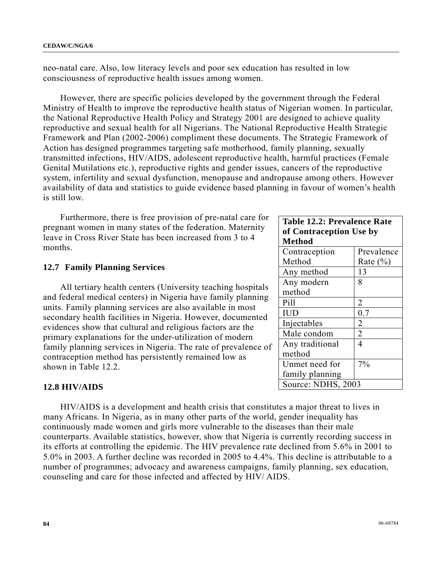neo-natal care. Also, low literacy levels and poor sex education has resulted in low consciousness of reproductive health issues among women.

 However, there are specific policies developed by the government through the Federal Ministry of Health to improve the reproductive health status of Nigerian women. In particular, the National Reproductive Health Policy and Strategy 2001 are designed to achieve quality reproductive and sexual health for all Nigerians. The National Reproductive Health Strategic Framework and Plan (2002-2006) compliment these documents. The Strategic Framework of Action has designed programmes targeting safe motherhood, family planning, sexually transmitted infections, HIV/AIDS, adolescent reproductive health, harmful practices (Female Genital Mutilations etc.), reproductive rights and gender issues, cancers of the reproductive system, infertility and sexual dysfunction, menopause and andropause among others. However availability of data and statistics to guide evidence based planning in favour of women's health is still low.

 Furthermore, there is free provision of pre-natal care for pregnant women in many states of the federation. Maternity leave in Cross River State has been increased from 3 to 4 months.

#### **12.7 Family Planning Services**

 All tertiary health centers (University teaching hospitals and federal medical centers) in Nigeria have family planning units. Family planning services are also available in most secondary health facilities in Nigeria. However, documented evidences show that cultural and religious factors are the primary explanations for the under-utilization of modern family planning services in Nigeria. The rate of prevalence of contraception method has persistently remained low as shown in Table 12.2.

#### **12.8 HIV/AIDS**

 HIV/AIDS is a development and health crisis that constitutes a major threat to lives in many Africans. In Nigeria, as in many other parts of the world, gender inequality has continuously made women and girls more vulnerable to the diseases than their male counterparts. Available statistics, however, show that Nigeria is currently recording success in its efforts at controlling the epidemic. The HIV prevalence rate declined from 5.6% in 2001 to 5.0% in 2003. A further decline was recorded in 2005 to 4.4%. This decline is attributable to a number of programmes; advocacy and awareness campaigns, family planning, sex education, counseling and care for those infected and affected by HIV/ AIDS.

| <b>Table 12.2: Prevalence Rate</b> |                |  |  |  |
|------------------------------------|----------------|--|--|--|
| of Contraception Use by            |                |  |  |  |
| <b>Method</b>                      |                |  |  |  |
| Contraception                      | Prevalence     |  |  |  |
| Method                             | Rate $(\% )$   |  |  |  |
| Any method                         | 13             |  |  |  |
| Any modern                         | 8              |  |  |  |
| method                             |                |  |  |  |
| Pill                               | 2              |  |  |  |
| <b>IUD</b>                         | 0.7            |  |  |  |
| Injectables                        | $\overline{2}$ |  |  |  |
| Male condom                        | $\overline{2}$ |  |  |  |
| Any traditional                    | 4              |  |  |  |
| method                             |                |  |  |  |
| Unmet need for                     | 7%             |  |  |  |
| family planning                    |                |  |  |  |
| Source: NDHS, 2003                 |                |  |  |  |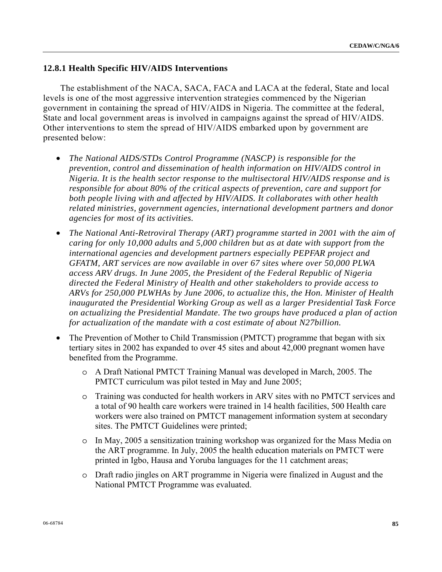#### **12.8.1 Health Specific HIV/AIDS Interventions**

 The establishment of the NACA, SACA, FACA and LACA at the federal, State and local levels is one of the most aggressive intervention strategies commenced by the Nigerian government in containing the spread of HIV/AIDS in Nigeria. The committee at the federal, State and local government areas is involved in campaigns against the spread of HIV/AIDS. Other interventions to stem the spread of HIV/AIDS embarked upon by government are presented below:

- *The National AIDS/STDs Control Programme (NASCP) is responsible for the prevention, control and dissemination of health information on HIV/AIDS control in Nigeria. It is the health sector response to the multisectoral HIV/AIDS response and is responsible for about 80% of the critical aspects of prevention, care and support for both people living with and affected by HIV/AIDS. It collaborates with other health related ministries, government agencies, international development partners and donor agencies for most of its activities.*
- *The National Anti-Retroviral Therapy (ART) programme started in 2001 with the aim of caring for only 10,000 adults and 5,000 children but as at date with support from the international agencies and development partners especially PEPFAR project and GFATM, ART services are now available in over 67 sites where over 50,000 PLWA access ARV drugs. In June 2005, the President of the Federal Republic of Nigeria directed the Federal Ministry of Health and other stakeholders to provide access to ARVs for 250,000 PLWHAs by June 2006, to actualize this, the Hon. Minister of Health inaugurated the Presidential Working Group as well as a larger Presidential Task Force on actualizing the Presidential Mandate. The two groups have produced a plan of action for actualization of the mandate with a cost estimate of about N27billion.*
- The Prevention of Mother to Child Transmission (PMTCT) programme that began with six tertiary sites in 2002 has expanded to over 45 sites and about 42,000 pregnant women have benefited from the Programme.
	- o A Draft National PMTCT Training Manual was developed in March, 2005. The PMTCT curriculum was pilot tested in May and June 2005;
	- o Training was conducted for health workers in ARV sites with no PMTCT services and a total of 90 health care workers were trained in 14 health facilities, 500 Health care workers were also trained on PMTCT management information system at secondary sites. The PMTCT Guidelines were printed;
	- o In May, 2005 a sensitization training workshop was organized for the Mass Media on the ART programme. In July, 2005 the health education materials on PMTCT were printed in Igbo, Hausa and Yoruba languages for the 11 catchment areas;
	- o Draft radio jingles on ART programme in Nigeria were finalized in August and the National PMTCT Programme was evaluated.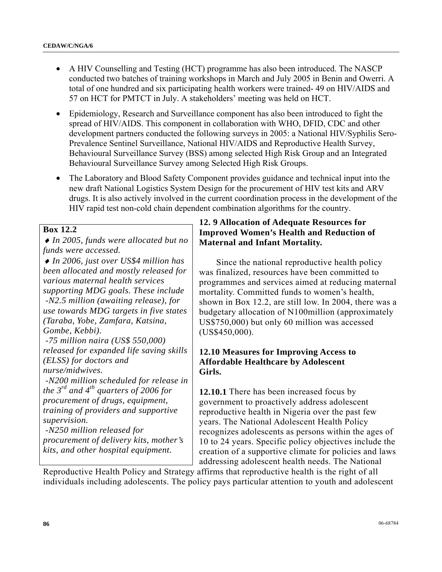- A HIV Counselling and Testing (HCT) programme has also been introduced. The NASCP conducted two batches of training workshops in March and July 2005 in Benin and Owerri. A total of one hundred and six participating health workers were trained- 49 on HIV/AIDS and 57 on HCT for PMTCT in July. A stakeholders' meeting was held on HCT.
- Epidemiology, Research and Surveillance component has also been introduced to fight the spread of HIV/AIDS. This component in collaboration with WHO, DFID, CDC and other development partners conducted the following surveys in 2005: a National HIV/Syphilis Sero-Prevalence Sentinel Surveillance, National HIV/AIDS and Reproductive Health Survey, Behavioural Surveillance Survey (BSS) among selected High Risk Group and an Integrated Behavioural Surveillance Survey among Selected High Risk Groups.
- The Laboratory and Blood Safety Component provides guidance and technical input into the new draft National Logistics System Design for the procurement of HIV test kits and ARV drugs. It is also actively involved in the current coordination process in the development of the HIV rapid test non-cold chain dependent combination algorithms for the country.

#### **Box 12.2**

♦ *In 2005, funds were allocated but no funds were accessed.* 

♦ *In 2006, just over US\$4 million has been allocated and mostly released for various maternal health services supporting MDG goals. These include -N2.5 million (awaiting release), for use towards MDG targets in five states (Taraba, Yobe, Zamfara, Katsina, Gombe, Kebbi). -75 million naira (US\$ 550,000) released for expanded life saving skills (ELSS) for doctors and nurse/midwives. -N200 million scheduled for release in the 3rd and 4th quarters of 2006 for* 

*procurement of drugs, equipment, training of providers and supportive supervision.* 

 *-N250 million released for procurement of delivery kits, mother's kits, and other hospital equipment.*

## **12. 9 Allocation of Adequate Resources for Improved Women's Health and Reduction of Maternal and Infant Mortality.**

 Since the national reproductive health policy was finalized, resources have been committed to programmes and services aimed at reducing maternal mortality. Committed funds to women's health, shown in Box 12.2, are still low. In 2004, there was a budgetary allocation of N100million (approximately US\$750,000) but only 60 million was accessed (US\$450,000).

## **12.10 Measures for Improving Access to Affordable Healthcare by Adolescent Girls.**

**12.10.1** There has been increased focus by government to proactively address adolescent reproductive health in Nigeria over the past few years. The National Adolescent Health Policy recognizes adolescents as persons within the ages of 10 to 24 years. Specific policy objectives include the creation of a supportive climate for policies and laws addressing adolescent health needs. The National

Reproductive Health Policy and Strategy affirms that reproductive health is the right of all individuals including adolescents. The policy pays particular attention to youth and adolescent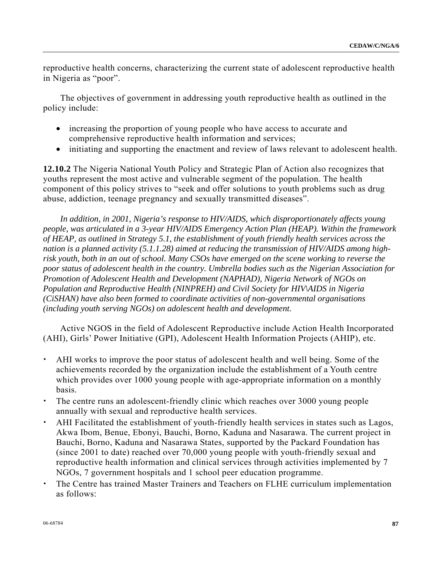reproductive health concerns, characterizing the current state of adolescent reproductive health in Nigeria as "poor".

 The objectives of government in addressing youth reproductive health as outlined in the policy include:

- increasing the proportion of young people who have access to accurate and comprehensive reproductive health information and services;
- initiating and supporting the enactment and review of laws relevant to adolescent health.

**12.10.2** The Nigeria National Youth Policy and Strategic Plan of Action also recognizes that youths represent the most active and vulnerable segment of the population. The health component of this policy strives to "seek and offer solutions to youth problems such as drug abuse, addiction, teenage pregnancy and sexually transmitted diseases".

 *In addition, in 2001, Nigeria's response to HIV/AIDS, which disproportionately affects young people, was articulated in a 3-year HIV/AIDS Emergency Action Plan (HEAP). Within the framework of HEAP, as outlined in Strategy 5.1, the establishment of youth friendly health services across the nation is a planned activity (5.1.1.28) aimed at reducing the transmission of HIV/AIDS among highrisk youth, both in an out of school. Many CSOs have emerged on the scene working to reverse the poor status of adolescent health in the country. Umbrella bodies such as the Nigerian Association for Promotion of Adolescent Health and Development (NAPHAD), Nigeria Network of NGOs on Population and Reproductive Health (NINPREH) and Civil Society for HIV\AIDS in Nigeria (CiSHAN) have also been formed to coordinate activities of non-governmental organisations (including youth serving NGOs) on adolescent health and development.*

 Active NGOS in the field of Adolescent Reproductive include Action Health Incorporated (AHI), Girls' Power Initiative (GPI), Adolescent Health Information Projects (AHIP), etc.

- AHI works to improve the poor status of adolescent health and well being. Some of the achievements recorded by the organization include the establishment of a Youth centre which provides over 1000 young people with age-appropriate information on a monthly basis.
- The centre runs an adolescent-friendly clinic which reaches over 3000 young people annually with sexual and reproductive health services.
- AHI Facilitated the establishment of youth-friendly health services in states such as Lagos, Akwa Ibom, Benue, Ebonyi, Bauchi, Borno, Kaduna and Nasarawa. The current project in Bauchi, Borno, Kaduna and Nasarawa States, supported by the Packard Foundation has (since 2001 to date) reached over 70,000 young people with youth-friendly sexual and reproductive health information and clinical services through activities implemented by 7 NGOs, 7 government hospitals and 1 school peer education programme.
- The Centre has trained Master Trainers and Teachers on FLHE curriculum implementation as follows: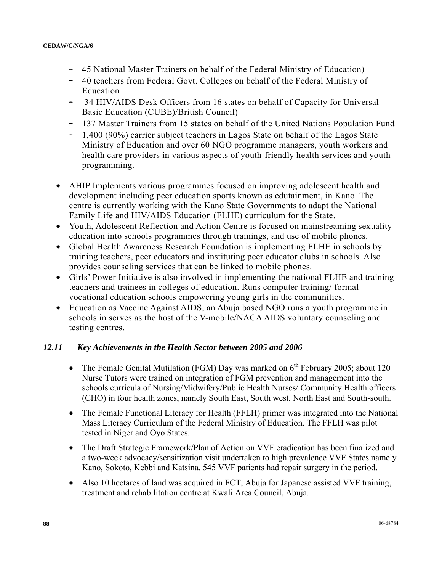- 45 National Master Trainers on behalf of the Federal Ministry of Education)
- 40 teachers from Federal Govt. Colleges on behalf of the Federal Ministry of Education
- 34 HIV/AIDS Desk Officers from 16 states on behalf of Capacity for Universal Basic Education (CUBE)/British Council)
- 137 Master Trainers from 15 states on behalf of the United Nations Population Fund
- 1,400 (90%) carrier subject teachers in Lagos State on behalf of the Lagos State Ministry of Education and over 60 NGO programme managers, youth workers and health care providers in various aspects of youth-friendly health services and youth programming.
- AHIP Implements various programmes focused on improving adolescent health and development including peer education sports known as edutainment, in Kano. The centre is currently working with the Kano State Governments to adapt the National Family Life and HIV/AIDS Education (FLHE) curriculum for the State.
- Youth, Adolescent Reflection and Action Centre is focused on mainstreaming sexuality education into schools programmes through trainings, and use of mobile phones.
- Global Health Awareness Research Foundation is implementing FLHE in schools by training teachers, peer educators and instituting peer educator clubs in schools. Also provides counseling services that can be linked to mobile phones.
- Girls' Power Initiative is also involved in implementing the national FLHE and training teachers and trainees in colleges of education. Runs computer training/ formal vocational education schools empowering young girls in the communities.
- Education as Vaccine Against AIDS, an Abuja based NGO runs a youth programme in schools in serves as the host of the V-mobile/NACA AIDS voluntary counseling and testing centres.

## *12.11 Key Achievements in the Health Sector between 2005 and 2006*

- The Female Genital Mutilation (FGM) Day was marked on  $6<sup>th</sup>$  February 2005; about 120 Nurse Tutors were trained on integration of FGM prevention and management into the schools curricula of Nursing/Midwifery/Public Health Nurses/ Community Health officers (CHO) in four health zones, namely South East, South west, North East and South-south.
- The Female Functional Literacy for Health (FFLH) primer was integrated into the National Mass Literacy Curriculum of the Federal Ministry of Education. The FFLH was pilot tested in Niger and Oyo States.
- The Draft Strategic Framework/Plan of Action on VVF eradication has been finalized and a two-week advocacy/sensitization visit undertaken to high prevalence VVF States namely Kano, Sokoto, Kebbi and Katsina. 545 VVF patients had repair surgery in the period.
- Also 10 hectares of land was acquired in FCT, Abuja for Japanese assisted VVF training, treatment and rehabilitation centre at Kwali Area Council, Abuja.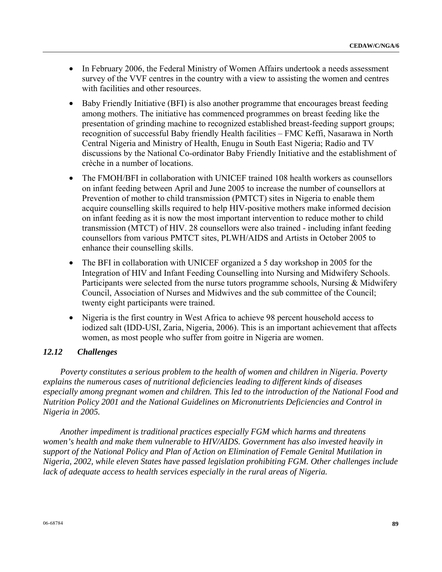- In February 2006, the Federal Ministry of Women Affairs undertook a needs assessment survey of the VVF centres in the country with a view to assisting the women and centres with facilities and other resources.
- Baby Friendly Initiative (BFI) is also another programme that encourages breast feeding among mothers. The initiative has commenced programmes on breast feeding like the presentation of grinding machine to recognized established breast-feeding support groups; recognition of successful Baby friendly Health facilities – FMC Keffi, Nasarawa in North Central Nigeria and Ministry of Health, Enugu in South East Nigeria; Radio and TV discussions by the National Co-ordinator Baby Friendly Initiative and the establishment of crèche in a number of locations.
- The FMOH/BFI in collaboration with UNICEF trained 108 health workers as counsellors on infant feeding between April and June 2005 to increase the number of counsellors at Prevention of mother to child transmission (PMTCT) sites in Nigeria to enable them acquire counselling skills required to help HIV-positive mothers make informed decision on infant feeding as it is now the most important intervention to reduce mother to child transmission (MTCT) of HIV. 28 counsellors were also trained - including infant feeding counsellors from various PMTCT sites, PLWH/AIDS and Artists in October 2005 to enhance their counselling skills.
- The BFI in collaboration with UNICEF organized a 5 day workshop in 2005 for the Integration of HIV and Infant Feeding Counselling into Nursing and Midwifery Schools. Participants were selected from the nurse tutors programme schools, Nursing & Midwifery Council, Association of Nurses and Midwives and the sub committee of the Council; twenty eight participants were trained.
- Nigeria is the first country in West Africa to achieve 98 percent household access to iodized salt (IDD-USI, Zaria, Nigeria, 2006). This is an important achievement that affects women, as most people who suffer from goitre in Nigeria are women.

#### *12.12 Challenges*

 *Poverty constitutes a serious problem to the health of women and children in Nigeria. Poverty explains the numerous cases of nutritional deficiencies leading to different kinds of diseases especially among pregnant women and children. This led to the introduction of the National Food and Nutrition Policy 2001 and the National Guidelines on Micronutrients Deficiencies and Control in Nigeria in 2005.* 

 *Another impediment is traditional practices especially FGM which harms and threatens women's health and make them vulnerable to HIV/AIDS. Government has also invested heavily in support of the National Policy and Plan of Action on Elimination of Female Genital Mutilation in Nigeria, 2002, while eleven States have passed legislation prohibiting FGM. Other challenges include*  lack of adequate access to health services especially in the rural areas of Nigeria.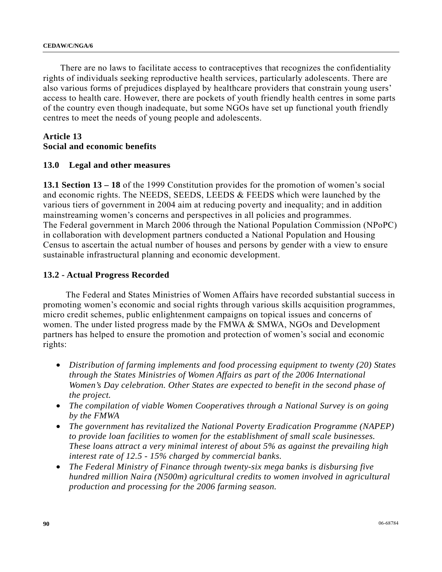There are no laws to facilitate access to contraceptives that recognizes the confidentiality rights of individuals seeking reproductive health services, particularly adolescents. There are also various forms of prejudices displayed by healthcare providers that constrain young users' access to health care. However, there are pockets of youth friendly health centres in some parts of the country even though inadequate, but some NGOs have set up functional youth friendly centres to meet the needs of young people and adolescents.

#### **Article 13 Social and economic benefits**

# **13.0 Legal and other measures**

**13.1 Section 13 – 18** of the 1999 Constitution provides for the promotion of women's social and economic rights. The NEEDS, SEEDS, LEEDS & FEEDS which were launched by the various tiers of government in 2004 aim at reducing poverty and inequality; and in addition mainstreaming women's concerns and perspectives in all policies and programmes. The Federal government in March 2006 through the National Population Commission (NPoPC) in collaboration with development partners conducted a National Population and Housing Census to ascertain the actual number of houses and persons by gender with a view to ensure sustainable infrastructural planning and economic development.

## **13.2 - Actual Progress Recorded**

 The Federal and States Ministries of Women Affairs have recorded substantial success in promoting women's economic and social rights through various skills acquisition programmes, micro credit schemes, public enlightenment campaigns on topical issues and concerns of women. The under listed progress made by the FMWA & SMWA, NGOs and Development partners has helped to ensure the promotion and protection of women's social and economic rights:

- *Distribution of farming implements and food processing equipment to twenty (20) States through the States Ministries of Women Affairs as part of the 2006 International Women's Day celebration. Other States are expected to benefit in the second phase of the project.*
- *The compilation of viable Women Cooperatives through a National Survey is on going by the FMWA*
- *The government has revitalized the National Poverty Eradication Programme (NAPEP) to provide loan facilities to women for the establishment of small scale businesses. These loans attract a very minimal interest of about 5% as against the prevailing high interest rate of 12.5 - 15% charged by commercial banks.*
- *The Federal Ministry of Finance through twenty-six mega banks is disbursing five hundred million Naira (N500m) agricultural credits to women involved in agricultural production and processing for the 2006 farming season.*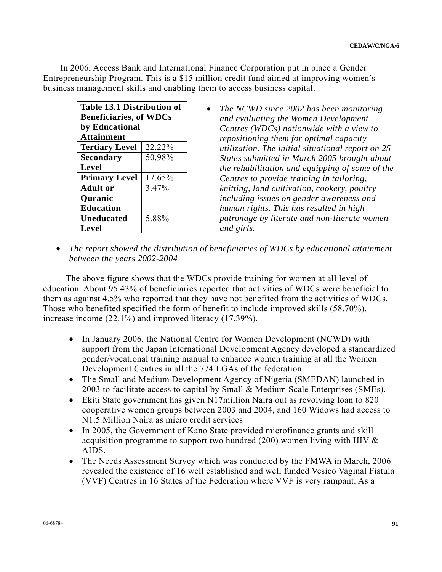In 2006, Access Bank and International Finance Corporation put in place a Gender Entrepreneurship Program. This is a \$15 million credit fund aimed at improving women's business management skills and enabling them to access business capital.

| <b>Table 13.1 Distribution of</b><br><b>Beneficiaries, of WDCs</b><br>by Educational<br><b>Attainment</b> |  |  |  |  |  |  |
|-----------------------------------------------------------------------------------------------------------|--|--|--|--|--|--|
| <b>Tertiary Level</b><br>22.22%                                                                           |  |  |  |  |  |  |
| 50.98%<br><b>Secondary</b>                                                                                |  |  |  |  |  |  |
| <b>Level</b>                                                                                              |  |  |  |  |  |  |
| <b>Primary Level</b><br>17.65%                                                                            |  |  |  |  |  |  |
| 3.47%<br><b>Adult</b> or                                                                                  |  |  |  |  |  |  |
| <b>Quranic</b>                                                                                            |  |  |  |  |  |  |
| <b>Education</b>                                                                                          |  |  |  |  |  |  |
| 5.88%<br><b>Uneducated</b>                                                                                |  |  |  |  |  |  |
| Level                                                                                                     |  |  |  |  |  |  |

- *The NCWD since 2002 has been monitoring and evaluating the Women Development Centres (WDCs) nationwide with a view to repositioning them for optimal capacity utilization. The initial situational report on 25 States submitted in March 2005 brought about the rehabilitation and equipping of some of the Centres to provide training in tailoring, knitting, land cultivation, cookery, poultry including issues on gender awareness and human rights. This has resulted in high patronage by literate and non-literate women and girls.*
- *The report showed the distribution of beneficiaries of WDCs by educational attainment between the years 2002-2004*

 The above figure shows that the WDCs provide training for women at all level of education. About 95.43% of beneficiaries reported that activities of WDCs were beneficial to them as against 4.5% who reported that they have not benefited from the activities of WDCs. Those who benefited specified the form of benefit to include improved skills (58.70%), increase income (22.1%) and improved literacy (17.39%).

- In January 2006, the National Centre for Women Development (NCWD) with support from the Japan International Development Agency developed a standardized gender/vocational training manual to enhance women training at all the Women Development Centres in all the 774 LGAs of the federation.
- The Small and Medium Development Agency of Nigeria (SMEDAN) launched in 2003 to facilitate access to capital by Small & Medium Scale Enterprises (SMEs).
- Ekiti State government has given N17million Naira out as revolving loan to 820 cooperative women groups between 2003 and 2004, and 160 Widows had access to N1.5 Million Naira as micro credit services
- In 2005, the Government of Kano State provided microfinance grants and skill acquisition programme to support two hundred (200) women living with HIV & AIDS.
- The Needs Assessment Survey which was conducted by the FMWA in March, 2006 revealed the existence of 16 well established and well funded Vesico Vaginal Fistula (VVF) Centres in 16 States of the Federation where VVF is very rampant. As a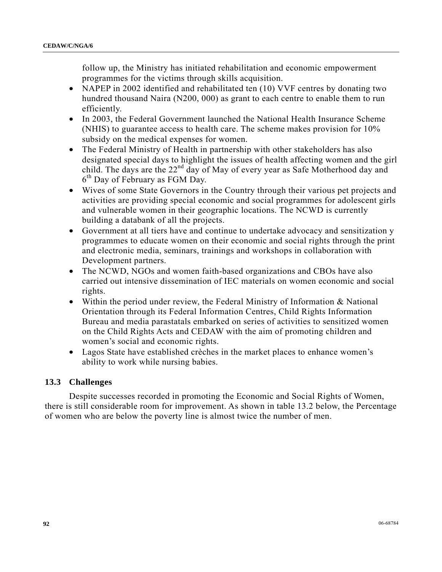follow up, the Ministry has initiated rehabilitation and economic empowerment programmes for the victims through skills acquisition.

- NAPEP in 2002 identified and rehabilitated ten (10) VVF centres by donating two hundred thousand Naira (N200, 000) as grant to each centre to enable them to run efficiently.
- In 2003, the Federal Government launched the National Health Insurance Scheme (NHIS) to guarantee access to health care. The scheme makes provision for 10% subsidy on the medical expenses for women.
- The Federal Ministry of Health in partnership with other stakeholders has also designated special days to highlight the issues of health affecting women and the girl child. The days are the  $22<sup>nd</sup>$  day of May of every year as Safe Motherhood day and 6<sup>th</sup> Day of February as FGM Day.
- Wives of some State Governors in the Country through their various pet projects and activities are providing special economic and social programmes for adolescent girls and vulnerable women in their geographic locations. The NCWD is currently building a databank of all the projects.
- Government at all tiers have and continue to undertake advocacy and sensitization y programmes to educate women on their economic and social rights through the print and electronic media, seminars, trainings and workshops in collaboration with Development partners.
- The NCWD, NGOs and women faith-based organizations and CBOs have also carried out intensive dissemination of IEC materials on women economic and social rights.
- Within the period under review, the Federal Ministry of Information & National Orientation through its Federal Information Centres, Child Rights Information Bureau and media parastatals embarked on series of activities to sensitized women on the Child Rights Acts and CEDAW with the aim of promoting children and women's social and economic rights.
- Lagos State have established crèches in the market places to enhance women's ability to work while nursing babies.

## **13.3 Challenges**

 Despite successes recorded in promoting the Economic and Social Rights of Women, there is still considerable room for improvement. As shown in table 13.2 below, the Percentage of women who are below the poverty line is almost twice the number of men.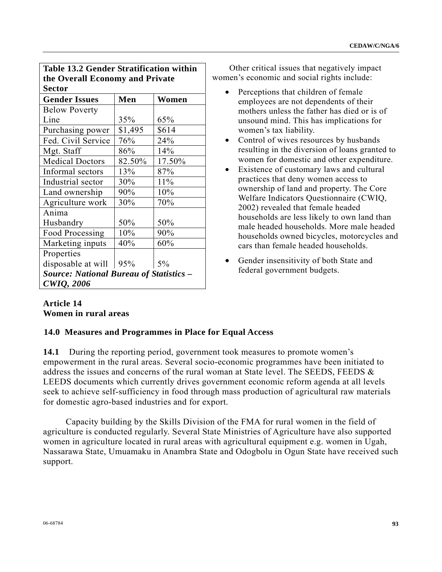| <b>Table 13.2 Gender Stratification within</b> |         |        |  |  |  |  |
|------------------------------------------------|---------|--------|--|--|--|--|
| the Overall Economy and Private                |         |        |  |  |  |  |
| <b>Sector</b>                                  |         |        |  |  |  |  |
| <b>Gender Issues</b>                           | Men     | Women  |  |  |  |  |
| <b>Below Poverty</b>                           |         |        |  |  |  |  |
| Line                                           | 35%     | 65%    |  |  |  |  |
| Purchasing power                               | \$1,495 | \$614  |  |  |  |  |
| Fed. Civil Service                             | 76%     | 24%    |  |  |  |  |
| Mgt. Staff                                     | 86%     | 14%    |  |  |  |  |
| <b>Medical Doctors</b>                         | 82.50%  | 17.50% |  |  |  |  |
| Informal sectors                               | 13%     | 87%    |  |  |  |  |
| Industrial sector                              | 30%     | 11%    |  |  |  |  |
| Land ownership                                 | 90%     | 10%    |  |  |  |  |
| Agriculture work                               | 30%     | 70%    |  |  |  |  |
| Anima                                          |         |        |  |  |  |  |
| Husbandry                                      | 50%     | 50%    |  |  |  |  |
| Food Processing                                | 10%     | 90%    |  |  |  |  |
| Marketing inputs                               | 40%     | 60%    |  |  |  |  |
| Properties                                     |         |        |  |  |  |  |
| disposable at will                             | 95%     | 5%     |  |  |  |  |
| <b>Source: National Bureau of Statistics -</b> |         |        |  |  |  |  |
| <b>CWIQ, 2006</b>                              |         |        |  |  |  |  |

 Other critical issues that negatively impact women's economic and social rights include:

- Perceptions that children of female employees are not dependents of their mothers unless the father has died or is of unsound mind. This has implications for women's tax liability.
- Control of wives resources by husbands resulting in the diversion of loans granted to women for domestic and other expenditure.
- Existence of customary laws and cultural practices that deny women access to ownership of land and property. The Core Welfare Indicators Questionnaire (CWIQ, 2002) revealed that female headed households are less likely to own land than male headed households. More male headed households owned bicycles, motorcycles and cars than female headed households.
- Gender insensitivity of both State and federal government budgets.

## **Article 14 Women in rural areas**

## **14.0 Measures and Programmes in Place for Equal Access**

**14.1** During the reporting period, government took measures to promote women's empowerment in the rural areas. Several socio-economic programmes have been initiated to address the issues and concerns of the rural woman at State level. The SEEDS, FEEDS & LEEDS documents which currently drives government economic reform agenda at all levels seek to achieve self-sufficiency in food through mass production of agricultural raw materials for domestic agro-based industries and for export.

 Capacity building by the Skills Division of the FMA for rural women in the field of agriculture is conducted regularly. Several State Ministries of Agriculture have also supported women in agriculture located in rural areas with agricultural equipment e.g. women in Ugah, Nassarawa State, Umuamaku in Anambra State and Odogbolu in Ogun State have received such support.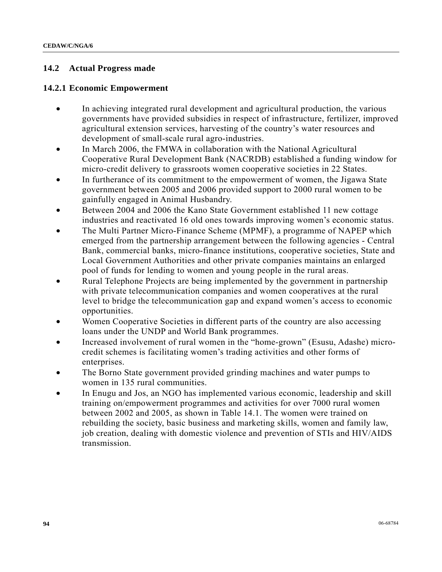## **14.2 Actual Progress made**

#### **14.2.1 Economic Empowerment**

- In achieving integrated rural development and agricultural production, the various governments have provided subsidies in respect of infrastructure, fertilizer, improved agricultural extension services, harvesting of the country's water resources and development of small-scale rural agro-industries.
- In March 2006, the FMWA in collaboration with the National Agricultural Cooperative Rural Development Bank (NACRDB) established a funding window for micro-credit delivery to grassroots women cooperative societies in 22 States.
- In furtherance of its commitment to the empowerment of women, the Jigawa State government between 2005 and 2006 provided support to 2000 rural women to be gainfully engaged in Animal Husbandry.
- Between 2004 and 2006 the Kano State Government established 11 new cottage industries and reactivated 16 old ones towards improving women's economic status.
- The Multi Partner Micro-Finance Scheme (MPMF), a programme of NAPEP which emerged from the partnership arrangement between the following agencies - Central Bank, commercial banks, micro-finance institutions, cooperative societies, State and Local Government Authorities and other private companies maintains an enlarged pool of funds for lending to women and young people in the rural areas.
- Rural Telephone Projects are being implemented by the government in partnership with private telecommunication companies and women cooperatives at the rural level to bridge the telecommunication gap and expand women's access to economic opportunities.
- Women Cooperative Societies in different parts of the country are also accessing loans under the UNDP and World Bank programmes.
- Increased involvement of rural women in the "home-grown" (Esusu, Adashe) microcredit schemes is facilitating women's trading activities and other forms of enterprises.
- The Borno State government provided grinding machines and water pumps to women in 135 rural communities.
- In Enugu and Jos, an NGO has implemented various economic, leadership and skill training on/empowerment programmes and activities for over 7000 rural women between 2002 and 2005, as shown in Table 14.1. The women were trained on rebuilding the society, basic business and marketing skills, women and family law, job creation, dealing with domestic violence and prevention of STIs and HIV/AIDS transmission.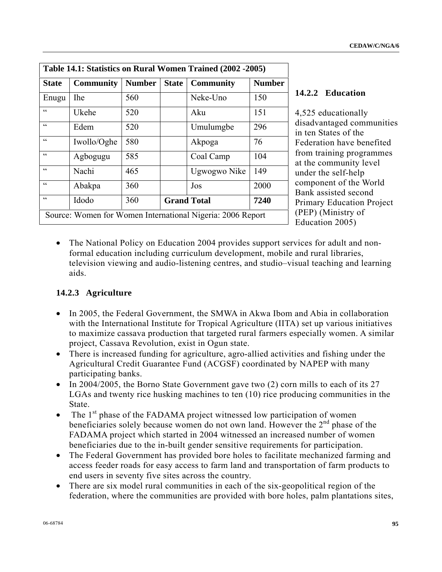| Table 14.1: Statistics on Rural Women Trained (2002 -2005)    |                  |               |              |                  |               |
|---------------------------------------------------------------|------------------|---------------|--------------|------------------|---------------|
| <b>State</b>                                                  | <b>Community</b> | <b>Number</b> | <b>State</b> | <b>Community</b> | <b>Number</b> |
| Enugu                                                         | <b>The</b>       | 560           |              | Neke-Uno         | 150           |
| C                                                             | Ukehe            | 520           |              | Aku              | 151           |
| C                                                             | Edem             | 520           |              | Umulumgbe        | 296           |
| $\zeta\,\zeta$                                                | Iwollo/Oghe      | 580           |              | Akpoga           | 76            |
| C                                                             | Agbogugu         | 585           |              | Coal Camp        | 104           |
| $\epsilon$                                                    | Nachi            | 465           |              | Ugwogwo Nike     | 149           |
| $\zeta\,\zeta$                                                | Abakpa           | 360           |              | Jos              | 2000          |
| $\zeta$ $\zeta$<br>Idodo<br>360<br>7240<br><b>Grand Total</b> |                  |               |              |                  |               |
| Source: Women for Women International Nigeria: 2006 Report    |                  |               |              |                  |               |

## **14.2.2 Education**

4,525 educationally disadvantaged communities in ten States of the Federation have benefited from training programmes at the community level under the self-help component of the World Bank assisted second Primary Education Project (PEP) (Ministry of Education 2005)

• The National Policy on Education 2004 provides support services for adult and nonformal education including curriculum development, mobile and rural libraries, television viewing and audio-listening centres, and studio–visual teaching and learning aids.

# **14.2.3 Agriculture**

- In 2005, the Federal Government, the SMWA in Akwa Ibom and Abia in collaboration with the International Institute for Tropical Agriculture (IITA) set up various initiatives to maximize cassava production that targeted rural farmers especially women. A similar project, Cassava Revolution, exist in Ogun state.
- There is increased funding for agriculture, agro-allied activities and fishing under the Agricultural Credit Guarantee Fund (ACGSF) coordinated by NAPEP with many participating banks.
- In 2004/2005, the Borno State Government gave two (2) corn mills to each of its 27 LGAs and twenty rice husking machines to ten (10) rice producing communities in the State.
- The  $1<sup>st</sup>$  phase of the FADAMA project witnessed low participation of women beneficiaries solely because women do not own land. However the 2<sup>nd</sup> phase of the FADAMA project which started in 2004 witnessed an increased number of women beneficiaries due to the in-built gender sensitive requirements for participation.
- The Federal Government has provided bore holes to facilitate mechanized farming and access feeder roads for easy access to farm land and transportation of farm products to end users in seventy five sites across the country.
- There are six model rural communities in each of the six-geopolitical region of the federation, where the communities are provided with bore holes, palm plantations sites,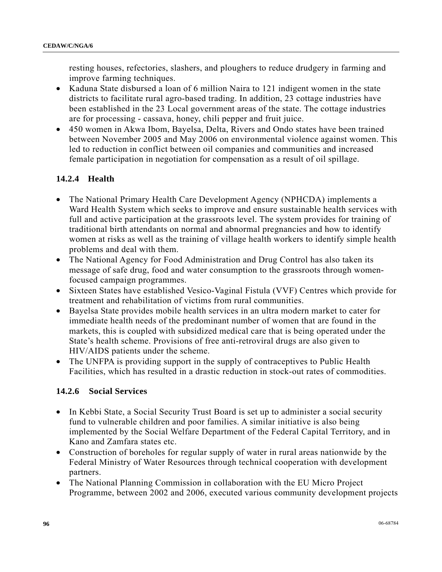resting houses, refectories, slashers, and ploughers to reduce drudgery in farming and improve farming techniques.

- Kaduna State disbursed a loan of 6 million Naira to 121 indigent women in the state districts to facilitate rural agro-based trading. In addition, 23 cottage industries have been established in the 23 Local government areas of the state. The cottage industries are for processing - cassava, honey, chili pepper and fruit juice.
- 450 women in Akwa Ibom, Bayelsa, Delta, Rivers and Ondo states have been trained between November 2005 and May 2006 on environmental violence against women. This led to reduction in conflict between oil companies and communities and increased female participation in negotiation for compensation as a result of oil spillage.

## **14.2.4 Health**

- The National Primary Health Care Development Agency (NPHCDA) implements a Ward Health System which seeks to improve and ensure sustainable health services with full and active participation at the grassroots level. The system provides for training of traditional birth attendants on normal and abnormal pregnancies and how to identify women at risks as well as the training of village health workers to identify simple health problems and deal with them.
- The National Agency for Food Administration and Drug Control has also taken its message of safe drug, food and water consumption to the grassroots through womenfocused campaign programmes.
- Sixteen States have established Vesico-Vaginal Fistula (VVF) Centres which provide for treatment and rehabilitation of victims from rural communities.
- Bayelsa State provides mobile health services in an ultra modern market to cater for immediate health needs of the predominant number of women that are found in the markets, this is coupled with subsidized medical care that is being operated under the State's health scheme. Provisions of free anti-retroviral drugs are also given to HIV/AIDS patients under the scheme.
- The UNFPA is providing support in the supply of contraceptives to Public Health Facilities, which has resulted in a drastic reduction in stock-out rates of commodities.

## **14.2.6 Social Services**

- In Kebbi State, a Social Security Trust Board is set up to administer a social security fund to vulnerable children and poor families. A similar initiative is also being implemented by the Social Welfare Department of the Federal Capital Territory, and in Kano and Zamfara states etc.
- Construction of boreholes for regular supply of water in rural areas nationwide by the Federal Ministry of Water Resources through technical cooperation with development partners.
- The National Planning Commission in collaboration with the EU Micro Project Programme, between 2002 and 2006, executed various community development projects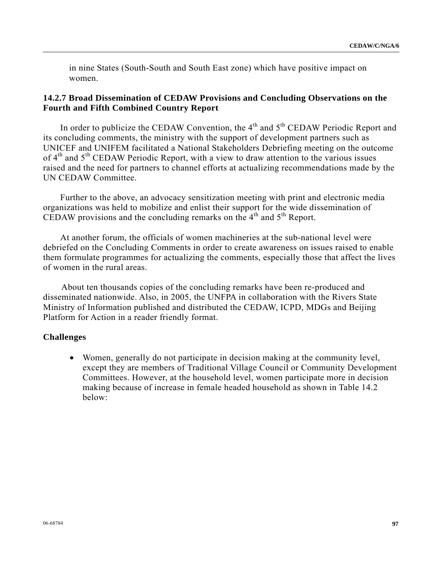in nine States (South-South and South East zone) which have positive impact on women.

#### **14.2.7 Broad Dissemination of CEDAW Provisions and Concluding Observations on the Fourth and Fifth Combined Country Report**

In order to publicize the CEDAW Convention, the  $4<sup>th</sup>$  and  $5<sup>th</sup>$  CEDAW Periodic Report and its concluding comments, the ministry with the support of development partners such as UNICEF and UNIFEM facilitated a National Stakeholders Debriefing meeting on the outcome of  $4<sup>th</sup>$  and  $5<sup>th</sup>$  CEDAW Periodic Report, with a view to draw attention to the various issues raised and the need for partners to channel efforts at actualizing recommendations made by the UN CEDAW Committee.

 Further to the above, an advocacy sensitization meeting with print and electronic media organizations was held to mobilize and enlist their support for the wide dissemination of CEDAW provisions and the concluding remarks on the  $4<sup>th</sup>$  and  $5<sup>th</sup>$  Report.

 At another forum, the officials of women machineries at the sub-national level were debriefed on the Concluding Comments in order to create awareness on issues raised to enable them formulate programmes for actualizing the comments, especially those that affect the lives of women in the rural areas.

 About ten thousands copies of the concluding remarks have been re-produced and disseminated nationwide. Also, in 2005, the UNFPA in collaboration with the Rivers State Ministry of Information published and distributed the CEDAW, ICPD, MDGs and Beijing Platform for Action in a reader friendly format.

#### **Challenges**

• Women, generally do not participate in decision making at the community level, except they are members of Traditional Village Council or Community Development Committees. However, at the household level, women participate more in decision making because of increase in female headed household as shown in Table 14.2 below: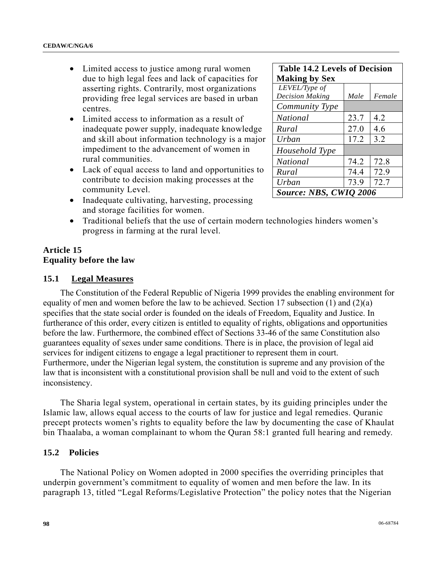- Limited access to justice among rural women due to high legal fees and lack of capacities for asserting rights. Contrarily, most organizations providing free legal services are based in urban centres.
- Limited access to information as a result of inadequate power supply, inadequate knowledge and skill about information technology is a major impediment to the advancement of women in rural communities.
- Lack of equal access to land and opportunities to contribute to decision making processes at the community Level.
- Inadequate cultivating, harvesting, processing and storage facilities for women.
- Traditional beliefs that the use of certain modern technologies hinders women's progress in farming at the rural level.

## **Article 15 Equality before the law**

#### **15.1 Legal Measures**

 The Constitution of the Federal Republic of Nigeria 1999 provides the enabling environment for equality of men and women before the law to be achieved. Section 17 subsection (1) and (2)(a) specifies that the state social order is founded on the ideals of Freedom, Equality and Justice. In furtherance of this order, every citizen is entitled to equality of rights, obligations and opportunities before the law. Furthermore, the combined effect of Sections 33-46 of the same Constitution also guarantees equality of sexes under same conditions. There is in place, the provision of legal aid services for indigent citizens to engage a legal practitioner to represent them in court. Furthermore, under the Nigerian legal system, the constitution is supreme and any provision of the law that is inconsistent with a constitutional provision shall be null and void to the extent of such inconsistency.

 The Sharia legal system, operational in certain states, by its guiding principles under the Islamic law, allows equal access to the courts of law for justice and legal remedies. Quranic precept protects women's rights to equality before the law by documenting the case of Khaulat bin Thaalaba, a woman complainant to whom the Quran 58:1 granted full hearing and remedy.

#### **15.2 Policies**

 The National Policy on Women adopted in 2000 specifies the overriding principles that underpin government's commitment to equality of women and men before the law. In its paragraph 13, titled "Legal Reforms/Legislative Protection" the policy notes that the Nigerian

| <b>Table 14.2 Levels of Decision</b> |      |        |  |  |  |
|--------------------------------------|------|--------|--|--|--|
| <b>Making by Sex</b>                 |      |        |  |  |  |
| LEVEL/Type of                        |      |        |  |  |  |
| <b>Decision Making</b>               | Male | Female |  |  |  |
| Community Type                       |      |        |  |  |  |
| National                             | 23.7 | 4.2    |  |  |  |
| Rural                                | 27.0 | 4.6    |  |  |  |
| Urban                                | 17.2 | 3.2    |  |  |  |
| Household Type                       |      |        |  |  |  |
| National                             | 74.2 | 72.8   |  |  |  |
| Rural                                | 74.4 | 72.9   |  |  |  |
| Urban                                | 73.9 | 72.7   |  |  |  |
| Source: NBS, CWIQ 2006               |      |        |  |  |  |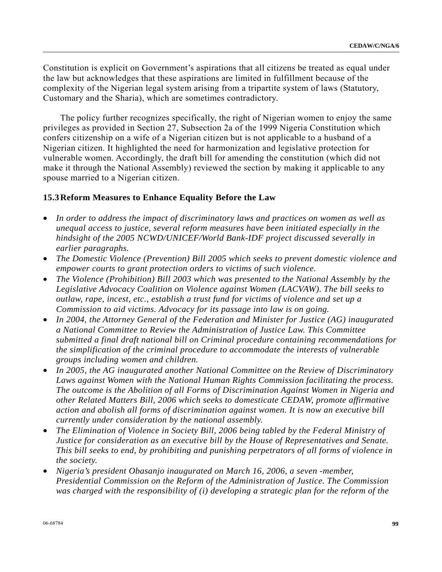Constitution is explicit on Government's aspirations that all citizens be treated as equal under the law but acknowledges that these aspirations are limited in fulfillment because of the complexity of the Nigerian legal system arising from a tripartite system of laws (Statutory, Customary and the Sharia), which are sometimes contradictory.

 The policy further recognizes specifically, the right of Nigerian women to enjoy the same privileges as provided in Section 27, Subsection 2a of the 1999 Nigeria Constitution which confers citizenship on a wife of a Nigerian citizen but is not applicable to a husband of a Nigerian citizen. It highlighted the need for harmonization and legislative protection for vulnerable women. Accordingly, the draft bill for amending the constitution (which did not make it through the National Assembly) reviewed the section by making it applicable to any spouse married to a Nigerian citizen.

## **15.3Reform Measures to Enhance Equality Before the Law**

- *In order to address the impact of discriminatory laws and practices on women as well as unequal access to justice, several reform measures have been initiated especially in the hindsight of the 2005 NCWD/UNICEF/World Bank-IDF project discussed severally in earlier paragraphs.*
- *The Domestic Violence (Prevention) Bill 2005 which seeks to prevent domestic violence and empower courts to grant protection orders to victims of such violence.*
- *The Violence (Prohibition) Bill 2003 which was presented to the National Assembly by the Legislative Advocacy Coalition on Violence against Women (LACVAW). The bill seeks to outlaw, rape, incest, etc., establish a trust fund for victims of violence and set up a Commission to aid victims. Advocacy for its passage into law is on going.*
- *In 2004, the Attorney General of the Federation and Minister for Justice (AG) inaugurated a National Committee to Review the Administration of Justice Law. This Committee submitted a final draft national bill on Criminal procedure containing recommendations for the simplification of the criminal procedure to accommodate the interests of vulnerable groups including women and children.*
- *In 2005, the AG inaugurated another National Committee on the Review of Discriminatory Laws against Women with the National Human Rights Commission facilitating the process. The outcome is the Abolition of all Forms of Discrimination Against Women in Nigeria and other Related Matters Bill, 2006 which seeks to domesticate CEDAW, promote affirmative action and abolish all forms of discrimination against women. It is now an executive bill currently under consideration by the national assembly.*
- *The Elimination of Violence in Society Bill, 2006 being tabled by the Federal Ministry of Justice for consideration as an executive bill by the House of Representatives and Senate. This bill seeks to end, by prohibiting and punishing perpetrators of all forms of violence in the society.*
- *Nigeria's president Obasanjo inaugurated on March 16, 2006, a seven -member, Presidential Commission on the Reform of the Administration of Justice. The Commission was charged with the responsibility of (i) developing a strategic plan for the reform of the*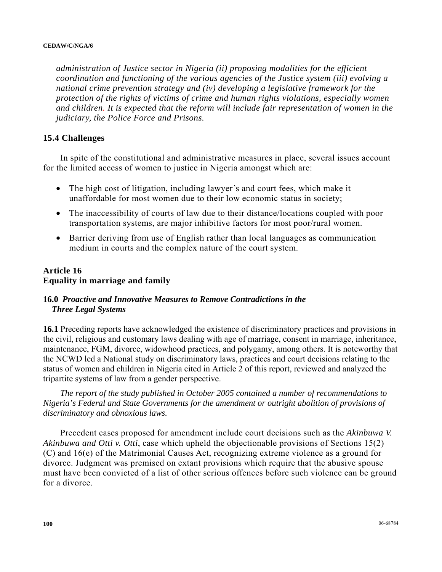*administration of Justice sector in Nigeria (ii) proposing modalities for the efficient coordination and functioning of the various agencies of the Justice system (iii) evolving a national crime prevention strategy and (iv) developing a legislative framework for the protection of the rights of victims of crime and human rights violations, especially women and children. It is expected that the reform will include fair representation of women in the judiciary, the Police Force and Prisons.* 

#### **15.4 Challenges**

 In spite of the constitutional and administrative measures in place, several issues account for the limited access of women to justice in Nigeria amongst which are:

- The high cost of litigation, including lawyer's and court fees, which make it unaffordable for most women due to their low economic status in society;
- The inaccessibility of courts of law due to their distance/locations coupled with poor transportation systems, are major inhibitive factors for most poor/rural women.
- Barrier deriving from use of English rather than local languages as communication medium in courts and the complex nature of the court system.

#### **Article 16 Equality in marriage and family**

## **16.0** *Proactive and Innovative Measures to Remove Contradictions in the Three Legal Systems*

**16.1** Preceding reports have acknowledged the existence of discriminatory practices and provisions in the civil, religious and customary laws dealing with age of marriage, consent in marriage, inheritance, maintenance, FGM, divorce, widowhood practices, and polygamy, among others. It is noteworthy that the NCWD led a National study on discriminatory laws, practices and court decisions relating to the status of women and children in Nigeria cited in Article 2 of this report, reviewed and analyzed the tripartite systems of law from a gender perspective.

 *The report of the study published in October 2005 contained a number of recommendations to Nigeria's Federal and State Governments for the amendment or outright abolition of provisions of discriminatory and obnoxious laws.* 

 Precedent cases proposed for amendment include court decisions such as the *Akinbuwa V. Akinbuwa and Otti v. Otti*, case which upheld the objectionable provisions of Sections 15(2) (C) and 16(e) of the Matrimonial Causes Act, recognizing extreme violence as a ground for divorce. Judgment was premised on extant provisions which require that the abusive spouse must have been convicted of a list of other serious offences before such violence can be ground for a divorce.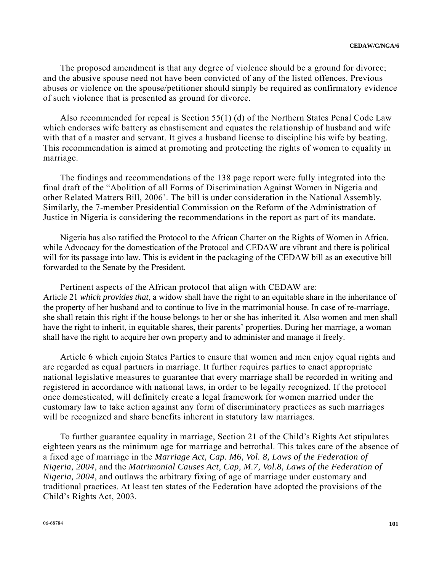The proposed amendment is that any degree of violence should be a ground for divorce; and the abusive spouse need not have been convicted of any of the listed offences. Previous abuses or violence on the spouse/petitioner should simply be required as confirmatory evidence of such violence that is presented as ground for divorce.

 Also recommended for repeal is Section 55(1) (d) of the Northern States Penal Code Law which endorses wife battery as chastisement and equates the relationship of husband and wife with that of a master and servant. It gives a husband license to discipline his wife by beating. This recommendation is aimed at promoting and protecting the rights of women to equality in marriage.

 The findings and recommendations of the 138 page report were fully integrated into the final draft of the "Abolition of all Forms of Discrimination Against Women in Nigeria and other Related Matters Bill, 2006'. The bill is under consideration in the National Assembly. Similarly, the 7-member Presidential Commission on the Reform of the Administration of Justice in Nigeria is considering the recommendations in the report as part of its mandate.

 Nigeria has also ratified the Protocol to the African Charter on the Rights of Women in Africa. while Advocacy for the domestication of the Protocol and CEDAW are vibrant and there is political will for its passage into law. This is evident in the packaging of the CEDAW bill as an executive bill forwarded to the Senate by the President.

 Pertinent aspects of the African protocol that align with CEDAW are: Article 21 *which provides that*, a widow shall have the right to an equitable share in the inheritance of the property of her husband and to continue to live in the matrimonial house. In case of re-marriage, she shall retain this right if the house belongs to her or she has inherited it. Also women and men shall have the right to inherit, in equitable shares, their parents' properties. During her marriage, a woman shall have the right to acquire her own property and to administer and manage it freely.

Article 6 which enjoin States Parties to ensure that women and men enjoy equal rights and are regarded as equal partners in marriage. It further requires parties to enact appropriate national legislative measures to guarantee that every marriage shall be recorded in writing and registered in accordance with national laws, in order to be legally recognized. If the protocol once domesticated, will definitely create a legal framework for women married under the customary law to take action against any form of discriminatory practices as such marriages will be recognized and share benefits inherent in statutory law marriages.

 To further guarantee equality in marriage, Section 21 of the Child's Rights Act stipulates eighteen years as the minimum age for marriage and betrothal. This takes care of the absence of a fixed age of marriage in the *Marriage Act, Cap. M6, Vol. 8, Laws of the Federation of Nigeria, 2004*, and the *Matrimonial Causes Act, Cap, M.7, Vol.8, Laws of the Federation of Nigeria, 2004*, and outlaws the arbitrary fixing of age of marriage under customary and traditional practices. At least ten states of the Federation have adopted the provisions of the Child's Rights Act, 2003.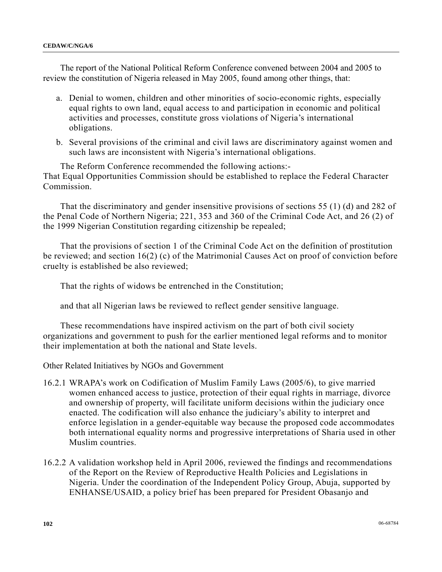The report of the National Political Reform Conference convened between 2004 and 2005 to review the constitution of Nigeria released in May 2005, found among other things, that:

- a. Denial to women, children and other minorities of socio-economic rights, especially equal rights to own land, equal access to and participation in economic and political activities and processes, constitute gross violations of Nigeria's international obligations.
- b. Several provisions of the criminal and civil laws are discriminatory against women and such laws are inconsistent with Nigeria's international obligations.

 The Reform Conference recommended the following actions:- That Equal Opportunities Commission should be established to replace the Federal Character Commission.

 That the discriminatory and gender insensitive provisions of sections 55 (1) (d) and 282 of the Penal Code of Northern Nigeria; 221, 353 and 360 of the Criminal Code Act, and 26 (2) of the 1999 Nigerian Constitution regarding citizenship be repealed;

 That the provisions of section 1 of the Criminal Code Act on the definition of prostitution be reviewed; and section 16(2) (c) of the Matrimonial Causes Act on proof of conviction before cruelty is established be also reviewed;

That the rights of widows be entrenched in the Constitution;

and that all Nigerian laws be reviewed to reflect gender sensitive language.

 These recommendations have inspired activism on the part of both civil society organizations and government to push for the earlier mentioned legal reforms and to monitor their implementation at both the national and State levels.

Other Related Initiatives by NGOs and Government

- 16.2.1 WRAPA's work on Codification of Muslim Family Laws (2005/6), to give married women enhanced access to justice, protection of their equal rights in marriage, divorce and ownership of property, will facilitate uniform decisions within the judiciary once enacted. The codification will also enhance the judiciary's ability to interpret and enforce legislation in a gender-equitable way because the proposed code accommodates both international equality norms and progressive interpretations of Sharia used in other Muslim countries.
- 16.2.2 A validation workshop held in April 2006, reviewed the findings and recommendations of the Report on the Review of Reproductive Health Policies and Legislations in Nigeria. Under the coordination of the Independent Policy Group, Abuja, supported by ENHANSE/USAID, a policy brief has been prepared for President Obasanjo and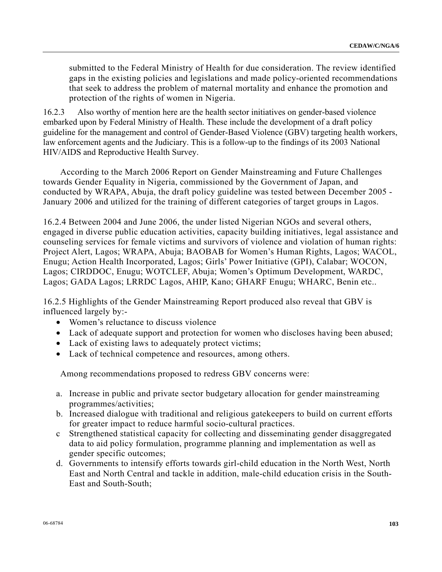submitted to the Federal Ministry of Health for due consideration. The review identified gaps in the existing policies and legislations and made policy-oriented recommendations that seek to address the problem of maternal mortality and enhance the promotion and protection of the rights of women in Nigeria.

16.2.3 Also worthy of mention here are the health sector initiatives on gender-based violence embarked upon by Federal Ministry of Health. These include the development of a draft policy guideline for the management and control of Gender-Based Violence (GBV) targeting health workers, law enforcement agents and the Judiciary. This is a follow-up to the findings of its 2003 National HIV/AIDS and Reproductive Health Survey.

 According to the March 2006 Report on Gender Mainstreaming and Future Challenges towards Gender Equality in Nigeria, commissioned by the Government of Japan, and conducted by WRAPA, Abuja, the draft policy guideline was tested between December 2005 - January 2006 and utilized for the training of different categories of target groups in Lagos.

16.2.4 Between 2004 and June 2006, the under listed Nigerian NGOs and several others, engaged in diverse public education activities, capacity building initiatives, legal assistance and counseling services for female victims and survivors of violence and violation of human rights: Project Alert, Lagos; WRAPA, Abuja; BAOBAB for Women's Human Rights, Lagos; WACOL, Enugu; Action Health Incorporated, Lagos; Girls' Power Initiative (GPI), Calabar; WOCON, Lagos; CIRDDOC, Enugu; WOTCLEF, Abuja; Women's Optimum Development, WARDC, Lagos; GADA Lagos; LRRDC Lagos, AHIP, Kano; GHARF Enugu; WHARC, Benin etc..

16.2.5 Highlights of the Gender Mainstreaming Report produced also reveal that GBV is influenced largely by:-

- Women's reluctance to discuss violence
- Lack of adequate support and protection for women who discloses having been abused;
- Lack of existing laws to adequately protect victims;
- Lack of technical competence and resources, among others.

Among recommendations proposed to redress GBV concerns were:

- a. Increase in public and private sector budgetary allocation for gender mainstreaming programmes/activities;
- b. Increased dialogue with traditional and religious gatekeepers to build on current efforts for greater impact to reduce harmful socio-cultural practices.
- c Strengthened statistical capacity for collecting and disseminating gender disaggregated data to aid policy formulation, programme planning and implementation as well as gender specific outcomes;
- d. Governments to intensify efforts towards girl-child education in the North West, North East and North Central and tackle in addition, male-child education crisis in the South-East and South-South;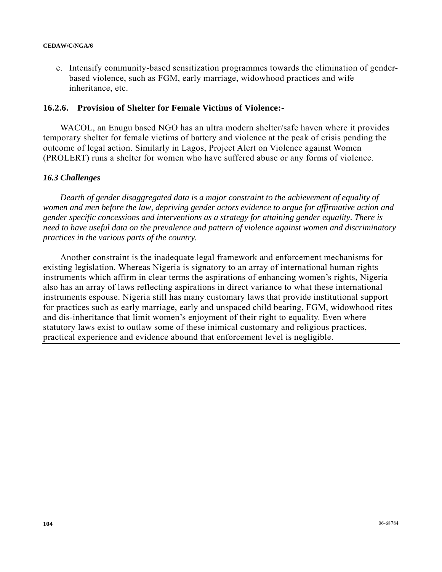e. Intensify community-based sensitization programmes towards the elimination of genderbased violence, such as FGM, early marriage, widowhood practices and wife inheritance, etc.

#### **16.2.6. Provision of Shelter for Female Victims of Violence:-**

 WACOL, an Enugu based NGO has an ultra modern shelter/safe haven where it provides temporary shelter for female victims of battery and violence at the peak of crisis pending the outcome of legal action. Similarly in Lagos, Project Alert on Violence against Women (PROLERT) runs a shelter for women who have suffered abuse or any forms of violence.

#### *16.3 Challenges*

 *Dearth of gender disaggregated data is a major constraint to the achievement of equality of women and men before the law, depriving gender actors evidence to argue for affirmative action and gender specific concessions and interventions as a strategy for attaining gender equality. There is need to have useful data on the prevalence and pattern of violence against women and discriminatory practices in the various parts of the country.* 

 Another constraint is the inadequate legal framework and enforcement mechanisms for existing legislation. Whereas Nigeria is signatory to an array of international human rights instruments which affirm in clear terms the aspirations of enhancing women's rights, Nigeria also has an array of laws reflecting aspirations in direct variance to what these international instruments espouse. Nigeria still has many customary laws that provide institutional support for practices such as early marriage, early and unspaced child bearing, FGM, widowhood rites and dis-inheritance that limit women's enjoyment of their right to equality. Even where statutory laws exist to outlaw some of these inimical customary and religious practices, practical experience and evidence abound that enforcement level is negligible.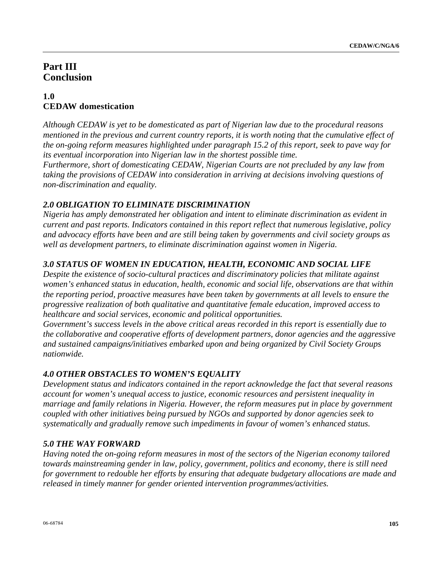# **Part III Conclusion**

# **1.0 CEDAW domestication**

*Although CEDAW is yet to be domesticated as part of Nigerian law due to the procedural reasons mentioned in the previous and current country reports, it is worth noting that the cumulative effect of the on-going reform measures highlighted under paragraph 15.2 of this report, seek to pave way for its eventual incorporation into Nigerian law in the shortest possible time.* 

*Furthermore, short of domesticating CEDAW, Nigerian Courts are not precluded by any law from taking the provisions of CEDAW into consideration in arriving at decisions involving questions of non-discrimination and equality.* 

# *2.0 OBLIGATION TO ELIMINATE DISCRIMINATION*

*Nigeria has amply demonstrated her obligation and intent to eliminate discrimination as evident in current and past reports. Indicators contained in this report reflect that numerous legislative, policy and advocacy efforts have been and are still being taken by governments and civil society groups as well as development partners, to eliminate discrimination against women in Nigeria.* 

# *3.0 STATUS OF WOMEN IN EDUCATION, HEALTH, ECONOMIC AND SOCIAL LIFE*

*Despite the existence of socio-cultural practices and discriminatory policies that militate against women's enhanced status in education, health, economic and social life, observations are that within the reporting period, proactive measures have been taken by governments at all levels to ensure the progressive realization of both qualitative and quantitative female education, improved access to healthcare and social services, economic and political opportunities.* 

*Government's success levels in the above critical areas recorded in this report is essentially due to the collaborative and cooperative efforts of development partners, donor agencies and the aggressive and sustained campaigns/initiatives embarked upon and being organized by Civil Society Groups nationwide.* 

# *4.0 OTHER OBSTACLES TO WOMEN'S EQUALITY*

*Development status and indicators contained in the report acknowledge the fact that several reasons account for women's unequal access to justice, economic resources and persistent inequality in marriage and family relations in Nigeria. However, the reform measures put in place by government coupled with other initiatives being pursued by NGOs and supported by donor agencies seek to systematically and gradually remove such impediments in favour of women's enhanced status.* 

# *5.0 THE WAY FORWARD*

*Having noted the on-going reform measures in most of the sectors of the Nigerian economy tailored towards mainstreaming gender in law, policy, government, politics and economy, there is still need for government to redouble her efforts by ensuring that adequate budgetary allocations are made and released in timely manner for gender oriented intervention programmes/activities.*